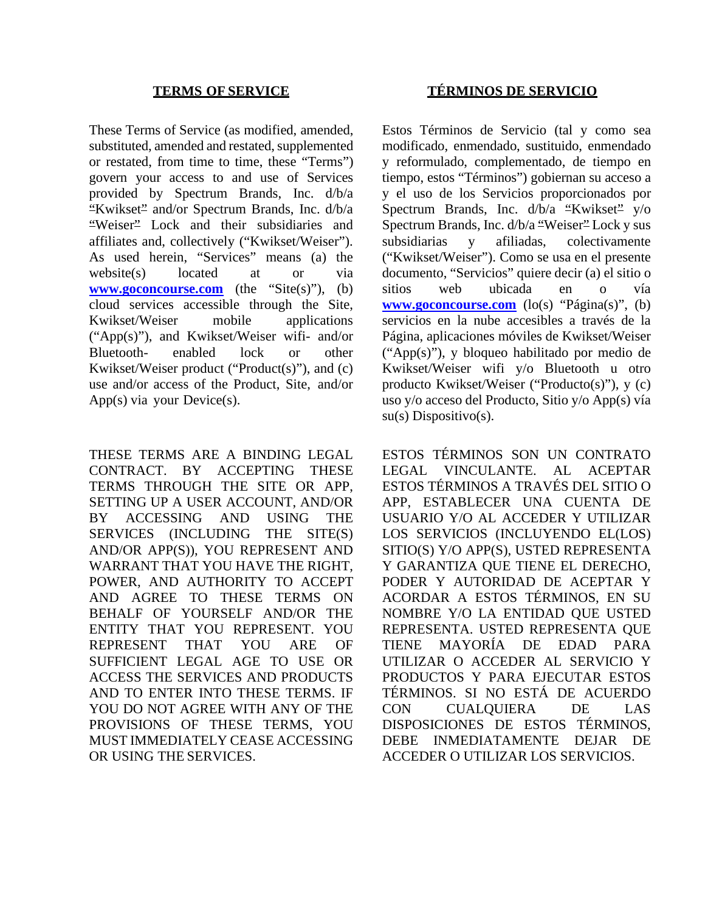These Terms of Service (as modified, amended, substituted, amended and restated, supplemented or restated, from time to time, these "Terms") govern your access to and use of Services provided by Spectrum Brands, Inc. d/b/a "Kwikset" and/or Spectrum Brands, Inc. d/b/a "Weiser" Lock and their subsidiaries and affiliates and, collectively ("Kwikset/Weiser"). As used herein, "Services" means (a) the website(s) located at or via **[www.goconcourse.com](http://www.goconcourse.com/)** (the "Site(s)"), (b) cloud services accessible through the Site, Kwikset/Weiser mobile applications ("App(s)"), and Kwikset/Weiser wifi- and/or Bluetooth- enabled lock or other Kwikset/Weiser product ("Product(s)"), and (c) use and/or access of the Product, Site, and/or App(s) via your Device(s).

THESE TERMS ARE A BINDING LEGAL CONTRACT. BY ACCEPTING THESE TERMS THROUGH THE SITE OR APP, SETTING UP A USER ACCOUNT, AND/OR BY ACCESSING AND USING THE SERVICES (INCLUDING THE SITE(S) AND/OR APP(S)), YOU REPRESENT AND WARRANT THAT YOU HAVE THE RIGHT, POWER, AND AUTHORITY TO ACCEPT AND AGREE TO THESE TERMS ON BEHALF OF YOURSELF AND/OR THE ENTITY THAT YOU REPRESENT. YOU REPRESENT THAT YOU ARE OF SUFFICIENT LEGAL AGE TO USE OR ACCESS THE SERVICES AND PRODUCTS AND TO ENTER INTO THESE TERMS. IF YOU DO NOT AGREE WITH ANY OF THE PROVISIONS OF THESE TERMS, YOU MUST IMMEDIATELY CEASE ACCESSING OR USING THE SERVICES.

### **TERMS OF SERVICE TÉRMINOS DE SERVICIO**

Estos Términos de Servicio (tal y como sea modificado, enmendado, sustituido, enmendado y reformulado, complementado, de tiempo en tiempo, estos "Términos") gobiernan su acceso a y el uso de los Servicios proporcionados por Spectrum Brands, Inc. d/b/a "Kwikset" y/o Spectrum Brands, Inc. d/b/a "Weiser" Lock y sus subsidiarias y afiliadas, colectivamente ("Kwikset/Weiser"). Como se usa en el presente documento, "Servicios" quiere decir (a) el sitio o sitios web ubicada en o vía **[www.goconcourse.com](http://www.goconcourse.com/)** (lo(s) "Página(s)", (b) servicios en la nube accesibles a través de la Página, aplicaciones móviles de Kwikset/Weiser ("App(s)"), y bloqueo habilitado por medio de Kwikset/Weiser wifi y/o Bluetooth u otro producto Kwikset/Weiser ("Producto(s)"), y (c) uso y/o acceso del Producto, Sitio y/o App(s) vía su(s) Dispositivo(s).

ESTOS TÉRMINOS SON UN CONTRATO LEGAL VINCULANTE. AL ACEPTAR ESTOS TÉRMINOS A TRAVÉS DEL SITIO O APP, ESTABLECER UNA CUENTA DE USUARIO Y/O AL ACCEDER Y UTILIZAR LOS SERVICIOS (INCLUYENDO EL(LOS) SITIO(S) Y/O APP(S), USTED REPRESENTA Y GARANTIZA QUE TIENE EL DERECHO, PODER Y AUTORIDAD DE ACEPTAR Y ACORDAR A ESTOS TÉRMINOS, EN SU NOMBRE Y/O LA ENTIDAD QUE USTED REPRESENTA. USTED REPRESENTA QUE TIENE MAYORÍA DE EDAD PARA UTILIZAR O ACCEDER AL SERVICIO Y PRODUCTOS Y PARA EJECUTAR ESTOS TÉRMINOS. SI NO ESTÁ DE ACUERDO CON CUALQUIERA DE LAS DISPOSICIONES DE ESTOS TÉRMINOS, DEBE INMEDIATAMENTE DEJAR DE ACCEDER O UTILIZAR LOS SERVICIOS.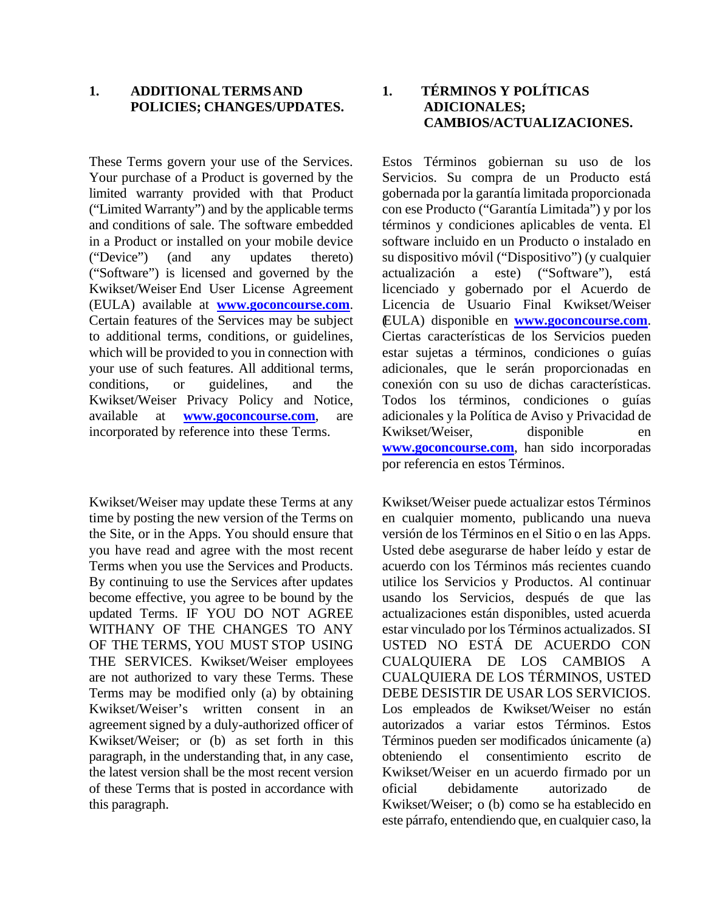#### **1. ADDITIONALTERMSAND POLICIES; CHANGES/UPDATES.**

These Terms govern your use of the Services. Your purchase of a Product is governed by the limited warranty provided with that Product ("Limited Warranty") and by the applicable terms and conditions of sale. The software embedded in a Product or installed on your mobile device ("Device") (and any updates thereto) ("Software") is licensed and governed by the Kwikset/Weiser End User License Agreement (EULA) available at **[www.goconcourse.com](http://www.goconcourse.com/)**. Certain features of the Services may be subject to additional terms, conditions, or guidelines, which will be provided to you in connection with your use of such features. All additional terms, conditions, or guidelines, and the Kwikset/Weiser Privacy Policy and Notice, available at **[www.goconcourse.com](http://www.goconcourse.com/)**, are incorporated by reference into these Terms.

Kwikset/Weiser may update these Terms at any time by posting the new version of the Terms on the Site, or in the Apps. You should ensure that you have read and agree with the most recent Terms when you use the Services and Products. By continuing to use the Services after updates become effective, you agree to be bound by the updated Terms. IF YOU DO NOT AGREE WITHANY OF THE CHANGES TO ANY OF THE TERMS, YOU MUST STOP USING THE SERVICES. Kwikset/Weiser employees are not authorized to vary these Terms. These Terms may be modified only (a) by obtaining Kwikset/Weiser's written consent in an agreement signed by a duly-authorized officer of Kwikset/Weiser; or (b) as set forth in this paragraph, in the understanding that, in any case, the latest version shall be the most recent version of these Terms that is posted in accordance with this paragraph.

# **1. TÉRMINOS Y POLÍTICAS ADICIONALES; CAMBIOS/ACTUALIZACIONES.**

Estos Términos gobiernan su uso de los Servicios. Su compra de un Producto está gobernada por la garantía limitada proporcionada con ese Producto ("Garantía Limitada") y por los términos y condiciones aplicables de venta. El software incluido en un Producto o instalado en su dispositivo móvil ("Dispositivo") (y cualquier actualización a este) ("Software"), está licenciado y gobernado por el Acuerdo de Licencia de Usuario Final Kwikset/Weiser (EULA) disponible en **[www.goconcourse.com](http://www.goconcourse.com/)**. Ciertas características de los Servicios pueden estar sujetas a términos, condiciones o guías adicionales, que le serán proporcionadas en conexión con su uso de dichas características. Todos los términos, condiciones o guías adicionales y la Política de Aviso y Privacidad de Kwikset/Weiser, disponible en **[www.goconcourse.com](http://www.goconcourse.com/)**, han sido incorporadas por referencia en estos Términos.

Kwikset/Weiser puede actualizar estos Términos en cualquier momento, publicando una nueva versión de los Términos en el Sitio o en las Apps. Usted debe asegurarse de haber leído y estar de acuerdo con los Términos más recientes cuando utilice los Servicios y Productos. Al continuar usando los Servicios, después de que las actualizaciones están disponibles, usted acuerda estar vinculado por los Términos actualizados. SI USTED NO ESTÁ DE ACUERDO CON CUALQUIERA DE LOS CAMBIOS A CUALQUIERA DE LOS TÉRMINOS, USTED DEBE DESISTIR DE USAR LOS SERVICIOS. Los empleados de Kwikset/Weiser no están autorizados a variar estos Términos. Estos Términos pueden ser modificados únicamente (a) obteniendo el consentimiento escrito de Kwikset/Weiser en un acuerdo firmado por un oficial debidamente autorizado de Kwikset/Weiser; o (b) como se ha establecido en este párrafo, entendiendo que, en cualquier caso, la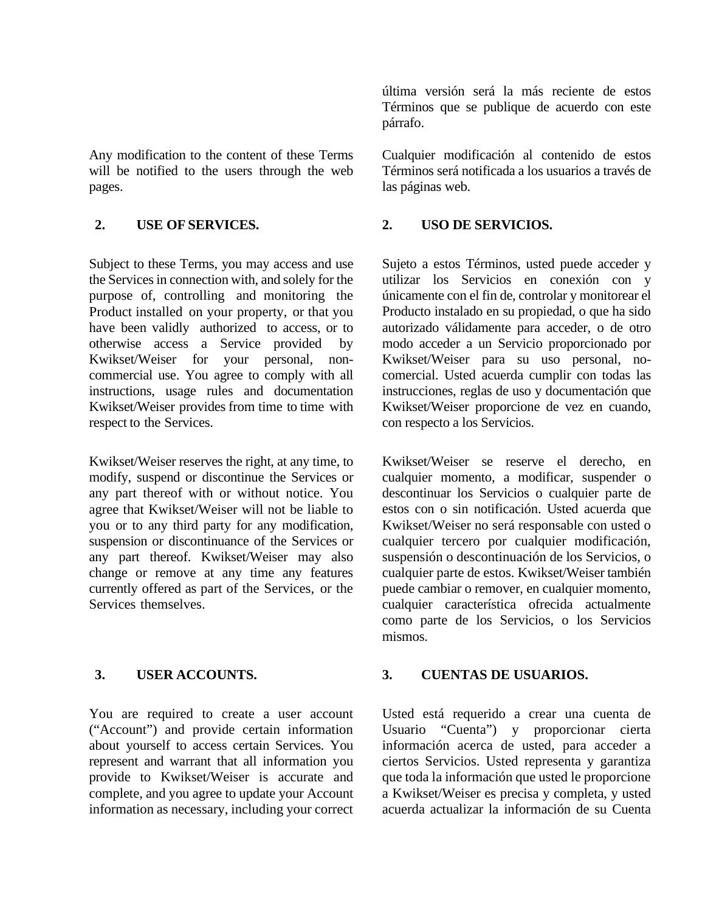Any modification to the content of these Terms will be notified to the users through the web pages.

Subject to these Terms, you may access and use the Services in connection with, and solely for the purpose of, controlling and monitoring the Product installed on your property, or that you have been validly authorized to access, or to otherwise access a Service provided by Kwikset/Weiser for your personal, noncommercial use. You agree to comply with all instructions, usage rules and documentation Kwikset/Weiser provides from time to time with respect to the Services.

Kwikset/Weiser reserves the right, at any time, to modify, suspend or discontinue the Services or any part thereof with or without notice. You agree that Kwikset/Weiser will not be liable to you or to any third party for any modification, suspension or discontinuance of the Services or any part thereof. Kwikset/Weiser may also change or remove at any time any features currently offered as part of the Services, or the Services themselves.

You are required to create a user account ("Account") and provide certain information about yourself to access certain Services. You represent and warrant that all information you provide to Kwikset/Weiser is accurate and complete, and you agree to update your Account information as necessary, including your correct

última versión será la más reciente de estos Términos que se publique de acuerdo con este párrafo.

Cualquier modificación al contenido de estos Términos será notificada a los usuarios a través de las páginas web.

### **2. USE OF SERVICES. 2. USO DE SERVICIOS.**

Sujeto a estos Términos, usted puede acceder y utilizar los Servicios en conexión con y únicamente con el fin de, controlar y monitorear el Producto instalado en su propiedad, o que ha sido autorizado válidamente para acceder, o de otro modo acceder a un Servicio proporcionado por Kwikset/Weiser para su uso personal, nocomercial. Usted acuerda cumplir con todas las instrucciones, reglas de uso y documentación que Kwikset/Weiser proporcione de vez en cuando, con respecto a los Servicios.

Kwikset/Weiser se reserve el derecho, en cualquier momento, a modificar, suspender o descontinuar los Servicios o cualquier parte de estos con o sin notificación. Usted acuerda que Kwikset/Weiser no será responsable con usted o cualquier tercero por cualquier modificación, suspensión o descontinuación de los Servicios, o cualquier parte de estos. Kwikset/Weiser también puede cambiar o remover, en cualquier momento, cualquier característica ofrecida actualmente como parte de los Servicios, o los Servicios mismos.

### **3. USER ACCOUNTS. 3. CUENTAS DE USUARIOS.**

Usted está requerido a crear una cuenta de Usuario "Cuenta") y proporcionar cierta información acerca de usted, para acceder a ciertos Servicios. Usted representa y garantiza que toda la información que usted le proporcione a Kwikset/Weiser es precisa y completa, y usted acuerda actualizar la información de su Cuenta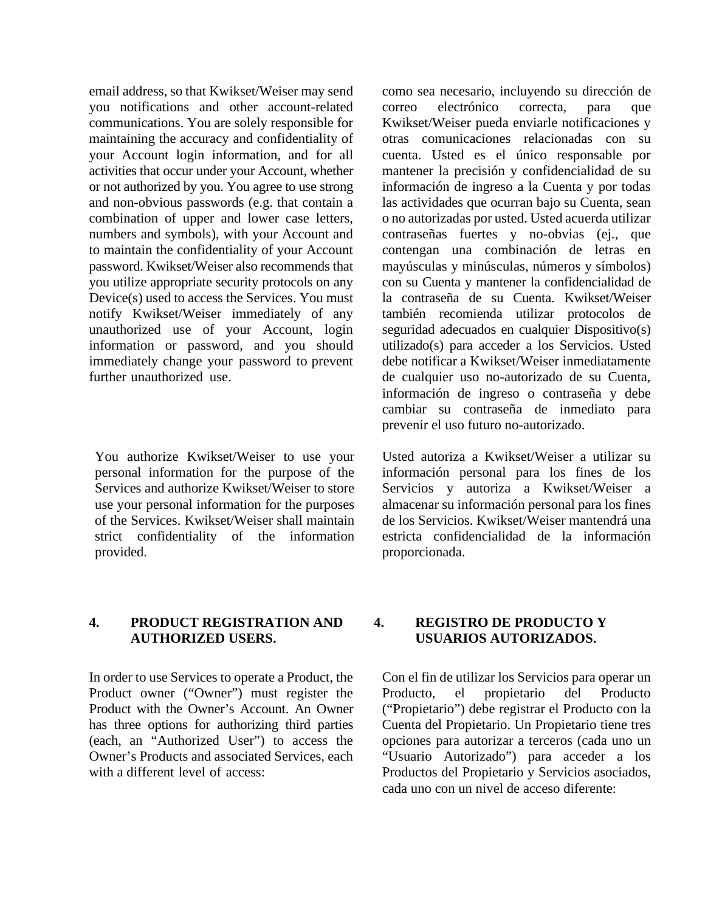email address, so that Kwikset/Weiser may send you notifications and other account-related communications. You are solely responsible for maintaining the accuracy and confidentiality of your Account login information, and for all activities that occur under your Account, whether or not authorized by you. You agree to use strong and non-obvious passwords (e.g. that contain a combination of upper and lower case letters, numbers and symbols), with your Account and to maintain the confidentiality of your Account password. Kwikset/Weiser also recommends that you utilize appropriate security protocols on any Device(s) used to access the Services. You must notify Kwikset/Weiser immediately of any unauthorized use of your Account, login information or password, and you should immediately change your password to prevent further unauthorized use.

You authorize Kwikset/Weiser to use your personal information for the purpose of the Services and authorize Kwikset/Weiser to store use your personal information for the purposes of the Services. Kwikset/Weiser shall maintain strict confidentiality of the information provided.

como sea necesario, incluyendo su dirección de correo electrónico correcta, para que Kwikset/Weiser pueda enviarle notificaciones y otras comunicaciones relacionadas con su cuenta. Usted es el único responsable por mantener la precisión y confidencialidad de su información de ingreso a la Cuenta y por todas las actividades que ocurran bajo su Cuenta, sean o no autorizadas por usted. Usted acuerda utilizar contraseñas fuertes y no-obvias (ej., que contengan una combinación de letras en mayúsculas y minúsculas, números y símbolos) con su Cuenta y mantener la confidencialidad de la contraseña de su Cuenta. Kwikset/Weiser también recomienda utilizar protocolos de seguridad adecuados en cualquier Dispositivo(s) utilizado(s) para acceder a los Servicios. Usted debe notificar a Kwikset/Weiser inmediatamente de cualquier uso no-autorizado de su Cuenta, información de ingreso o contraseña y debe cambiar su contraseña de inmediato para prevenir el uso futuro no-autorizado.

Usted autoriza a Kwikset/Weiser a utilizar su información personal para los fines de los Servicios y autoriza a Kwikset/Weiser a almacenar su información personal para los fines de los Servicios. Kwikset/Weiser mantendrá una estricta confidencialidad de la información proporcionada.

#### **4. PRODUCT REGISTRATION AND AUTHORIZED USERS.**

In order to use Services to operate a Product, the Product owner ("Owner") must register the Product with the Owner's Account. An Owner has three options for authorizing third parties (each, an "Authorized User") to access the Owner's Products and associated Services, each with a different level of access:

### **4. REGISTRO DE PRODUCTO Y USUARIOS AUTORIZADOS.**

Con el fin de utilizar los Servicios para operar un Producto, el propietario del Producto ("Propietario") debe registrar el Producto con la Cuenta del Propietario. Un Propietario tiene tres opciones para autorizar a terceros (cada uno un "Usuario Autorizado") para acceder a los Productos del Propietario y Servicios asociados, cada uno con un nivel de acceso diferente: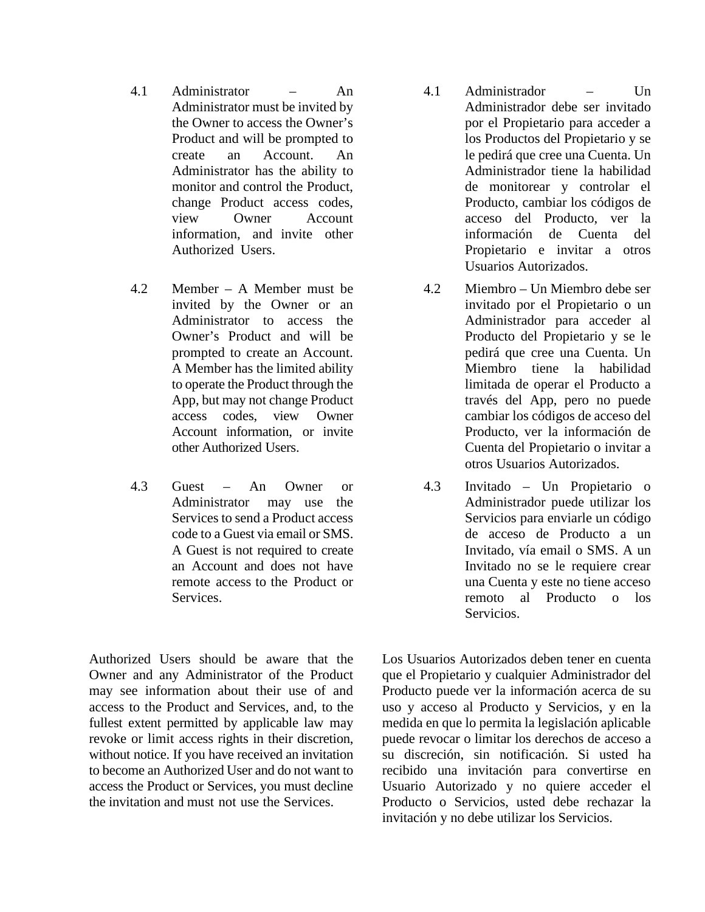- 4.1 Administrator An Administrator must be invited by the Owner to access the Owner's Product and will be prompted to create an Account. An Administrator has the ability to monitor and control the Product, change Product access codes, view Owner Account information, and invite other Authorized Users.
- 4.2 Member A Member must be invited by the Owner or an Administrator to access the Owner's Product and will be prompted to create an Account. A Member has the limited ability to operate the Product through the App, but may not change Product access codes, view Owner Account information, or invite other Authorized Users.
- 4.3 Guest An Owner or Administrator may use the Services to send a Product access code to a Guest via email or SMS. A Guest is not required to create an Account and does not have remote access to the Product or **Services**

Authorized Users should be aware that the Owner and any Administrator of the Product may see information about their use of and access to the Product and Services, and, to the fullest extent permitted by applicable law may revoke or limit access rights in their discretion, without notice. If you have received an invitation to become an Authorized User and do not want to access the Product or Services, you must decline the invitation and must not use the Services.

- 4.1 Administrador Un Administrador debe ser invitado por el Propietario para acceder a los Productos del Propietario y se le pedirá que cree una Cuenta. Un Administrador tiene la habilidad de monitorear y controlar el Producto, cambiar los códigos de acceso del Producto, ver la información de Cuenta del Propietario e invitar a otros Usuarios Autorizados.
- 4.2 Miembro Un Miembro debe ser invitado por el Propietario o un Administrador para acceder al Producto del Propietario y se le pedirá que cree una Cuenta. Un Miembro tiene la habilidad limitada de operar el Producto a través del App, pero no puede cambiar los códigos de acceso del Producto, ver la información de Cuenta del Propietario o invitar a otros Usuarios Autorizados.
- 4.3 Invitado Un Propietario o Administrador puede utilizar los Servicios para enviarle un código de acceso de Producto a un Invitado, vía email o SMS. A un Invitado no se le requiere crear una Cuenta y este no tiene acceso remoto al Producto o los Servicios.

Los Usuarios Autorizados deben tener en cuenta que el Propietario y cualquier Administrador del Producto puede ver la información acerca de su uso y acceso al Producto y Servicios, y en la medida en que lo permita la legislación aplicable puede revocar o limitar los derechos de acceso a su discreción, sin notificación. Si usted ha recibido una invitación para convertirse en Usuario Autorizado y no quiere acceder el Producto o Servicios, usted debe rechazar la invitación y no debe utilizar los Servicios.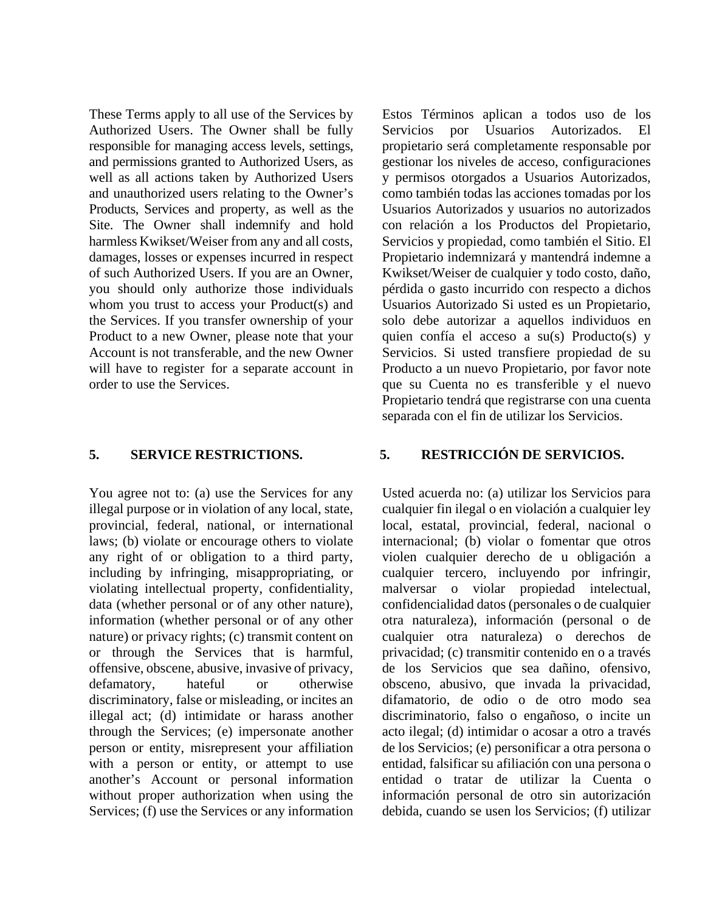These Terms apply to all use of the Services by Authorized Users. The Owner shall be fully responsible for managing access levels, settings, and permissions granted to Authorized Users, as well as all actions taken by Authorized Users and unauthorized users relating to the Owner's Products, Services and property, as well as the Site. The Owner shall indemnify and hold harmless Kwikset/Weiser from any and all costs, damages, losses or expenses incurred in respect of such Authorized Users. If you are an Owner, you should only authorize those individuals whom you trust to access your Product(s) and the Services. If you transfer ownership of your Product to a new Owner, please note that your Account is not transferable, and the new Owner will have to register for a separate account in order to use the Services.

You agree not to: (a) use the Services for any illegal purpose or in violation of any local, state, provincial, federal, national, or international laws; (b) violate or encourage others to violate any right of or obligation to a third party, including by infringing, misappropriating, or violating intellectual property, confidentiality, data (whether personal or of any other nature), information (whether personal or of any other nature) or privacy rights; (c) transmit content on or through the Services that is harmful, offensive, obscene, abusive, invasive of privacy, defamatory, hateful or otherwise discriminatory, false or misleading, or incites an illegal act; (d) intimidate or harass another through the Services; (e) impersonate another person or entity, misrepresent your affiliation with a person or entity, or attempt to use another's Account or personal information without proper authorization when using the Services; (f) use the Services or any information

Estos Términos aplican a todos uso de los Servicios por Usuarios Autorizados. El propietario será completamente responsable por gestionar los niveles de acceso, configuraciones y permisos otorgados a Usuarios Autorizados, como también todas las acciones tomadas por los Usuarios Autorizados y usuarios no autorizados con relación a los Productos del Propietario, Servicios y propiedad, como también el Sitio. El Propietario indemnizará y mantendrá indemne a Kwikset/Weiser de cualquier y todo costo, daño, pérdida o gasto incurrido con respecto a dichos Usuarios Autorizado Si usted es un Propietario, solo debe autorizar a aquellos individuos en quien confía el acceso a su(s) Producto(s) y Servicios. Si usted transfiere propiedad de su Producto a un nuevo Propietario, por favor note que su Cuenta no es transferible y el nuevo Propietario tendrá que registrarse con una cuenta separada con el fin de utilizar los Servicios.

## **5. SERVICE RESTRICTIONS. 5. RESTRICCIÓN DE SERVICIOS.**

<span id="page-5-0"></span>Usted acuerda no: (a) utilizar los Servicios para cualquier fin ilegal o en violación a cualquier ley local, estatal, provincial, federal, nacional o internacional; (b) violar o fomentar que otros violen cualquier derecho de u obligación a cualquier tercero, incluyendo por infringir, malversar o violar propiedad intelectual, confidencialidad datos (personales o de cualquier otra naturaleza), información (personal o de cualquier otra naturaleza) o derechos de privacidad; (c) transmitir contenido en o a través de los Servicios que sea dañino, ofensivo, obsceno, abusivo, que invada la privacidad, difamatorio, de odio o de otro modo sea discriminatorio, falso o engañoso, o incite un acto ilegal; (d) intimidar o acosar a otro a través de los Servicios; (e) personificar a otra persona o entidad, falsificar su afiliación con una persona o entidad o tratar de utilizar la Cuenta o información personal de otro sin autorización debida, cuando se usen los Servicios; (f) utilizar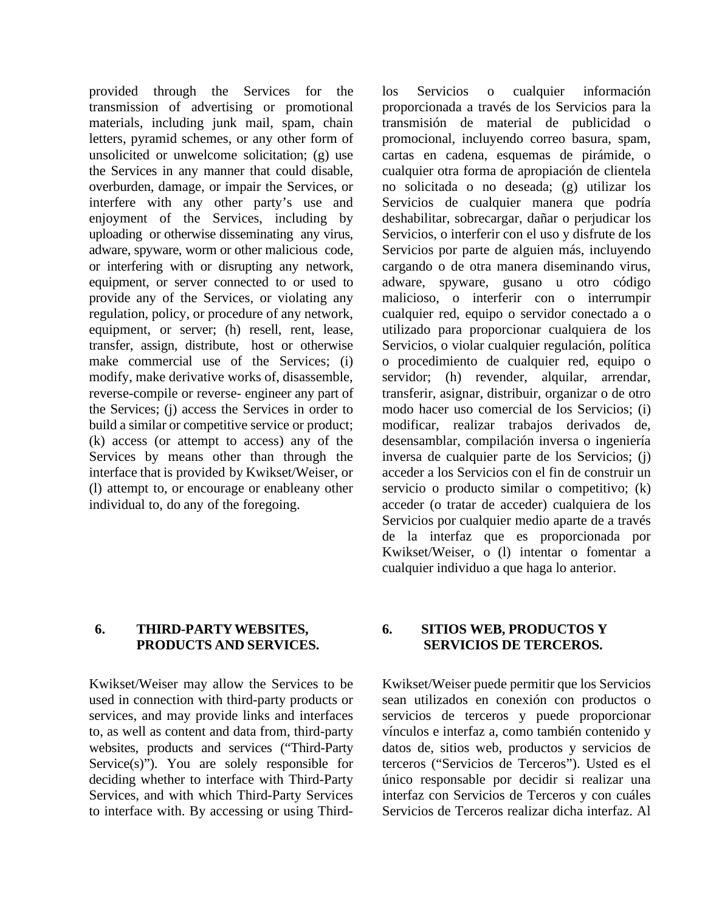provided through the Services for the transmission of advertising or promotional materials, including junk mail, spam, chain letters, pyramid schemes, or any other form of unsolicited or unwelcome solicitation; (g) use the Services in any manner that could disable, overburden, damage, or impair the Services, or interfere with any other party's use and enjoyment of the Services, including by uploading or otherwise disseminating any virus, adware, spyware, worm or other malicious code, or interfering with or disrupting any network, equipment, or server connected to or used to provide any of the Services, or violating any regulation, policy, or procedure of any network, equipment, or server; (h) resell, rent, lease, transfer, assign, distribute, host or otherwise make commercial use of the Services; (i) modify, make derivative works of, disassemble, reverse-compile or reverse- engineer any part of the Services; (j) access the Services in order to build a similar or competitive service or product; (k) access (or attempt to access) any of the Services by means other than through the interface that is provided by Kwikset/Weiser, or (l) attempt to, or encourage or enableany other individual to, do any of the foregoing.

los Servicios o cualquier información proporcionada a través de los Servicios para la transmisión de material de publicidad o promocional, incluyendo correo basura, spam, cartas en cadena, esquemas de pirámide, o cualquier otra forma de apropiación de clientela no solicitada o no deseada; (g) utilizar los Servicios de cualquier manera que podría deshabilitar, sobrecargar, dañar o perjudicar los Servicios, o interferir con el uso y disfrute de los Servicios por parte de alguien más, incluyendo cargando o de otra manera diseminando virus, adware, spyware, gusano u otro código malicioso, o interferir con o interrumpir cualquier red, equipo o servidor conectado a o utilizado para proporcionar cualquiera de los Servicios, o violar cualquier regulación, política o procedimiento de cualquier red, equipo o servidor; (h) revender, alquilar, arrendar, transferir, asignar, distribuir, organizar o de otro modo hacer uso comercial de los Servicios; (i) modificar, realizar trabajos derivados de, desensamblar, compilación inversa o ingeniería inversa de cualquier parte de los Servicios; (j) acceder a los Servicios con el fin de construir un servicio o producto similar o competitivo; (k) acceder (o tratar de acceder) cualquiera de los Servicios por cualquier medio aparte de a través de la interfaz que es proporcionada por Kwikset/Weiser, o (l) intentar o fomentar a cualquier individuo a que haga lo anterior.

#### **6. THIRD-PARTYWEBSITES, PRODUCTS AND SERVICES.**

Kwikset/Weiser may allow the Services to be used in connection with third-party products or services, and may provide links and interfaces to, as well as content and data from, third-party websites, products and services ("Third-Party Service(s)"). You are solely responsible for deciding whether to interface with Third-Party Services, and with which Third-Party Services to interface with. By accessing or using Third-

## **6. SITIOS WEB, PRODUCTOS Y SERVICIOS DE TERCEROS.**

Kwikset/Weiser puede permitir que los Servicios sean utilizados en conexión con productos o servicios de terceros y puede proporcionar vínculos e interfaz a, como también contenido y datos de, sitios web, productos y servicios de terceros ("Servicios de Terceros"). Usted es el único responsable por decidir si realizar una interfaz con Servicios de Terceros y con cuáles Servicios de Terceros realizar dicha interfaz. Al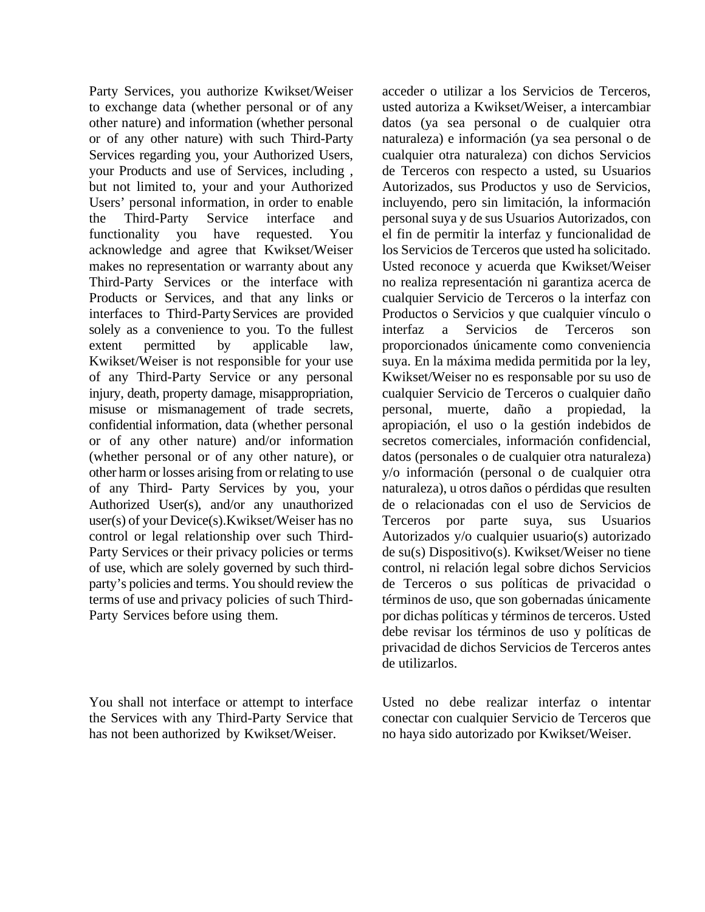Party Services, you authorize Kwikset/Weiser to exchange data (whether personal or of any other nature) and information (whether personal or of any other nature) with such Third-Party Services regarding you, your Authorized Users, your Products and use of Services, including , but not limited to, your and your Authorized Users' personal information, in order to enable the Third-Party Service interface and functionality you have requested. You acknowledge and agree that Kwikset/Weiser makes no representation or warranty about any Third-Party Services or the interface with Products or Services, and that any links or interfaces to Third-PartyServices are provided solely as a convenience to you. To the fullest extent permitted by applicable law, Kwikset/Weiser is not responsible for your use of any Third-Party Service or any personal injury, death, property damage, misappropriation, misuse or mismanagement of trade secrets, confidential information, data (whether personal or of any other nature) and/or information (whether personal or of any other nature), or other harm or losses arising from or relating to use of any Third- Party Services by you, your Authorized User(s), and/or any unauthorized user(s) of your Device(s).Kwikset/Weiser has no control or legal relationship over such Third-Party Services or their privacy policies or terms of use, which are solely governed by such thirdparty's policies and terms. You should review the terms of use and privacy policies of such Third-Party Services before using them.

You shall not interface or attempt to interface the Services with any Third-Party Service that has not been authorized by Kwikset/Weiser.

acceder o utilizar a los Servicios de Terceros, usted autoriza a Kwikset/Weiser, a intercambiar datos (ya sea personal o de cualquier otra naturaleza) e información (ya sea personal o de cualquier otra naturaleza) con dichos Servicios de Terceros con respecto a usted, su Usuarios Autorizados, sus Productos y uso de Servicios, incluyendo, pero sin limitación, la información personal suya y de sus Usuarios Autorizados, con el fin de permitir la interfaz y funcionalidad de los Servicios de Terceros que usted ha solicitado. Usted reconoce y acuerda que Kwikset/Weiser no realiza representación ni garantiza acerca de cualquier Servicio de Terceros o la interfaz con Productos o Servicios y que cualquier vínculo o interfaz a Servicios de Terceros son proporcionados únicamente como conveniencia suya. En la máxima medida permitida por la ley, Kwikset/Weiser no es responsable por su uso de cualquier Servicio de Terceros o cualquier daño personal, muerte, daño a propiedad, la apropiación, el uso o la gestión indebidos de secretos comerciales, información confidencial, datos (personales o de cualquier otra naturaleza) y/o información (personal o de cualquier otra naturaleza), u otros daños o pérdidas que resulten de o relacionadas con el uso de Servicios de Terceros por parte suya, sus Usuarios Autorizados y/o cualquier usuario(s) autorizado de su(s) Dispositivo(s). Kwikset/Weiser no tiene control, ni relación legal sobre dichos Servicios de Terceros o sus políticas de privacidad o términos de uso, que son gobernadas únicamente por dichas políticas y términos de terceros. Usted debe revisar los términos de uso y políticas de privacidad de dichos Servicios de Terceros antes de utilizarlos.

Usted no debe realizar interfaz o intentar conectar con cualquier Servicio de Terceros que no haya sido autorizado por Kwikset/Weiser.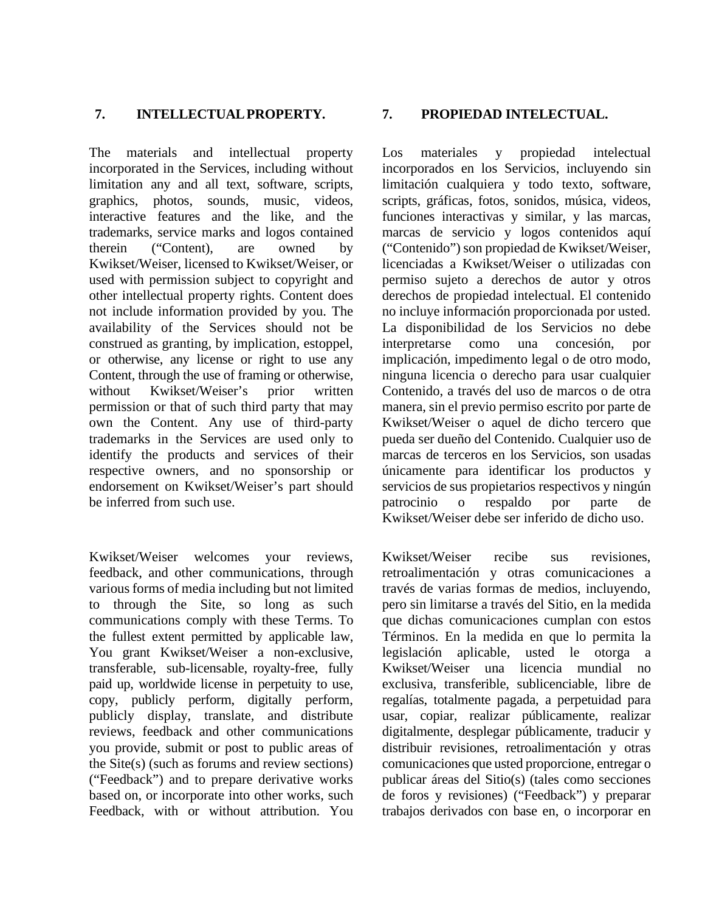## **7. INTELLECTUALPROPERTY. 7. PROPIEDAD INTELECTUAL.**

The materials and intellectual property incorporated in the Services, including without limitation any and all text, software, scripts, graphics, photos, sounds, music, videos, interactive features and the like, and the trademarks, service marks and logos contained therein ("Content), are owned by Kwikset/Weiser, licensed to Kwikset/Weiser, or used with permission subject to copyright and other intellectual property rights. Content does not include information provided by you. The availability of the Services should not be construed as granting, by implication, estoppel, or otherwise, any license or right to use any Content, through the use of framing or otherwise, without Kwikset/Weiser's prior written permission or that of such third party that may own the Content. Any use of third-party trademarks in the Services are used only to identify the products and services of their respective owners, and no sponsorship or endorsement on Kwikset/Weiser's part should be inferred from such use.

Kwikset/Weiser welcomes your reviews, feedback, and other communications, through various forms of media including but not limited to through the Site, so long as such communications comply with these Terms. To the fullest extent permitted by applicable law, You grant Kwikset/Weiser a non-exclusive, transferable, sub-licensable, royalty-free, fully paid up, worldwide license in perpetuity to use, copy, publicly perform, digitally perform, publicly display, translate, and distribute reviews, feedback and other communications you provide, submit or post to public areas of the Site(s) (such as forums and review sections) ("Feedback") and to prepare derivative works based on, or incorporate into other works, such Feedback, with or without attribution. You

<span id="page-8-0"></span>Los materiales y propiedad intelectual incorporados en los Servicios, incluyendo sin limitación cualquiera y todo texto, software, scripts, gráficas, fotos, sonidos, música, videos, funciones interactivas y similar, y las marcas, marcas de servicio y logos contenidos aquí ("Contenido") son propiedad de Kwikset/Weiser, licenciadas a Kwikset/Weiser o utilizadas con permiso sujeto a derechos de autor y otros derechos de propiedad intelectual. El contenido no incluye información proporcionada por usted. La disponibilidad de los Servicios no debe interpretarse como una concesión, por implicación, impedimento legal o de otro modo, ninguna licencia o derecho para usar cualquier Contenido, a través del uso de marcos o de otra manera, sin el previo permiso escrito por parte de Kwikset/Weiser o aquel de dicho tercero que pueda ser dueño del Contenido. Cualquier uso de marcas de terceros en los Servicios, son usadas únicamente para identificar los productos y servicios de sus propietarios respectivos y ningún patrocinio o respaldo por parte de Kwikset/Weiser debe ser inferido de dicho uso.

Kwikset/Weiser recibe sus revisiones, retroalimentación y otras comunicaciones a través de varias formas de medios, incluyendo, pero sin limitarse a través del Sitio, en la medida que dichas comunicaciones cumplan con estos Términos. En la medida en que lo permita la legislación aplicable, usted le otorga a Kwikset/Weiser una licencia mundial no exclusiva, transferible, sublicenciable, libre de regalías, totalmente pagada, a perpetuidad para usar, copiar, realizar públicamente, realizar digitalmente, desplegar públicamente, traducir y distribuir revisiones, retroalimentación y otras comunicaciones que usted proporcione, entregar o publicar áreas del Sitio(s) (tales como secciones de foros y revisiones) ("Feedback") y preparar trabajos derivados con base en, o incorporar en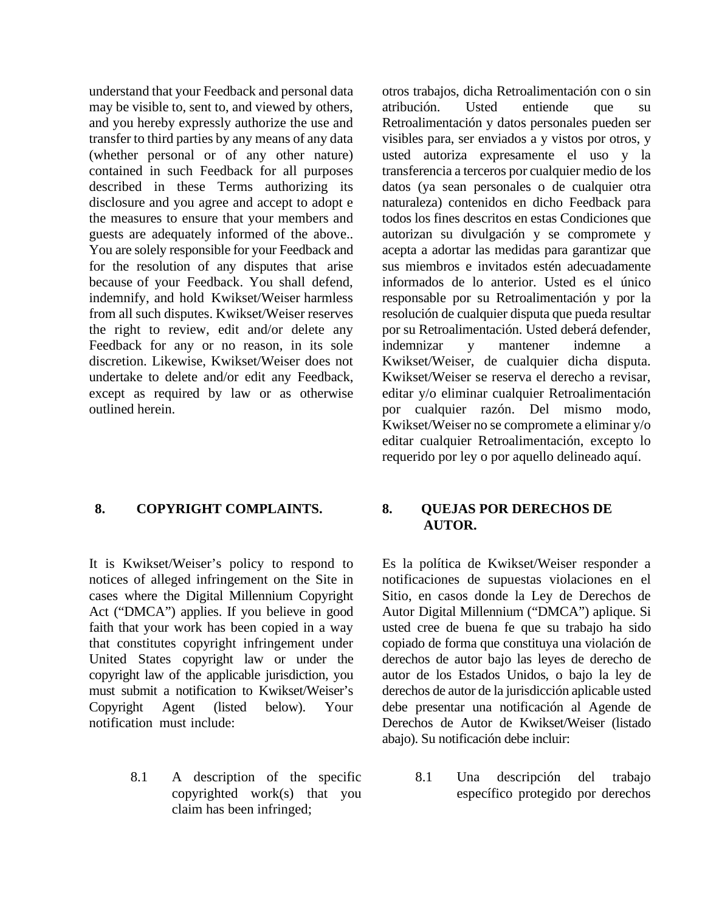understand that your Feedback and personal data may be visible to, sent to, and viewed by others, and you hereby expressly authorize the use and transfer to third parties by any means of any data (whether personal or of any other nature) contained in such Feedback for all purposes described in these Terms authorizing its disclosure and you agree and accept to adopt e the measures to ensure that your members and guests are adequately informed of the above.. You are solely responsible for your Feedback and for the resolution of any disputes that arise because of your Feedback. You shall defend, indemnify, and hold Kwikset/Weiser harmless from all such disputes. Kwikset/Weiser reserves the right to review, edit and/or delete any Feedback for any or no reason, in its sole discretion. Likewise, Kwikset/Weiser does not undertake to delete and/or edit any Feedback, except as required by law or as otherwise outlined herein.

### **8. COPYRIGHT COMPLAINTS. 8. QUEJAS POR DERECHOS DE**

It is Kwikset/Weiser's policy to respond to notices of alleged infringement on the Site in cases where the Digital Millennium Copyright Act ("DMCA") applies. If you believe in good faith that your work has been copied in a way that constitutes copyright infringement under United States copyright law or under the copyright law of the applicable jurisdiction, you must submit a notification to Kwikset/Weiser's Copyright Agent (listed below). Your notification must include:

> 8.1 A description of the specific copyrighted work(s) that you claim has been infringed;

otros trabajos, dicha Retroalimentación con o sin atribución. Usted entiende que su Retroalimentación y datos personales pueden ser visibles para, ser enviados a y vistos por otros, y usted autoriza expresamente el uso y la transferencia a terceros por cualquier medio de los datos (ya sean personales o de cualquier otra naturaleza) contenidos en dicho Feedback para todos los fines descritos en estas Condiciones que autorizan su divulgación y se compromete y acepta a adortar las medidas para garantizar que sus miembros e invitados estén adecuadamente informados de lo anterior. Usted es el único responsable por su Retroalimentación y por la resolución de cualquier disputa que pueda resultar por su Retroalimentación. Usted deberá defender, indemnizar y mantener indemne a Kwikset/Weiser, de cualquier dicha disputa. Kwikset/Weiser se reserva el derecho a revisar, editar y/o eliminar cualquier Retroalimentación por cualquier razón. Del mismo modo, Kwikset/Weiser no se compromete a eliminar y/o editar cualquier Retroalimentación, excepto lo requerido por ley o por aquello delineado aquí.

# **AUTOR.**

Es la política de Kwikset/Weiser responder a notificaciones de supuestas violaciones en el Sitio, en casos donde la Ley de Derechos de Autor Digital Millennium ("DMCA") aplique. Si usted cree de buena fe que su trabajo ha sido copiado de forma que constituya una violación de derechos de autor bajo las leyes de derecho de autor de los Estados Unidos, o bajo la ley de derechos de autor de la jurisdicción aplicable usted debe presentar una notificación al Agende de Derechos de Autor de Kwikset/Weiser (listado abajo). Su notificación debe incluir:

> 8.1 Una descripción del trabajo específico protegido por derechos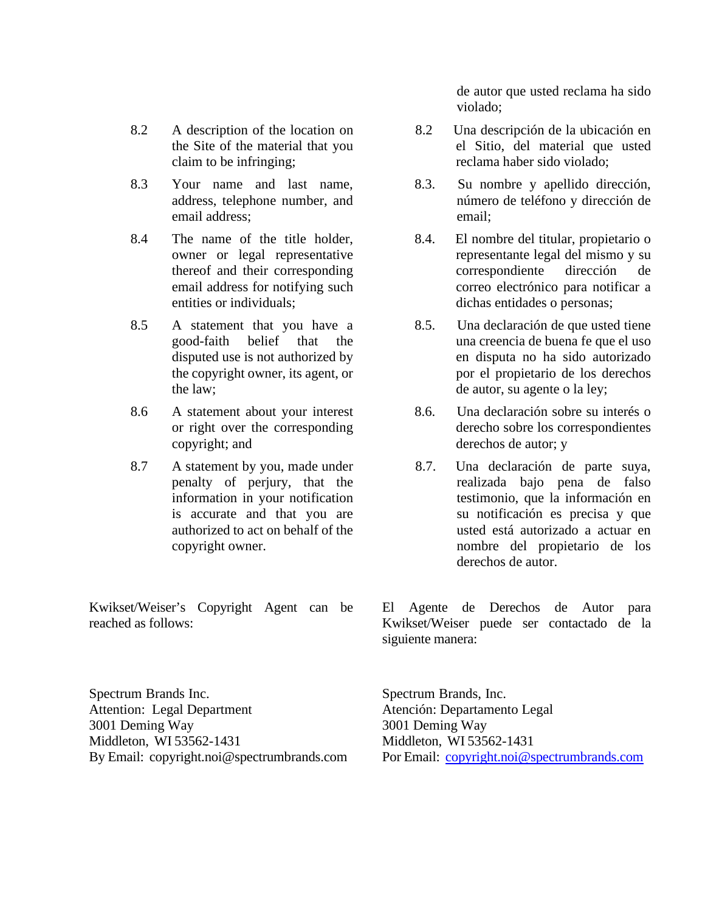- 8.2 A description of the location on the Site of the material that you claim to be infringing;
- 8.3 Your name and last name, address, telephone number, and email address;
- 8.4 The name of the title holder, owner or legal representative thereof and their corresponding email address for notifying such entities or individuals;
- 8.5 A statement that you have a good-faith belief that the disputed use is not authorized by the copyright owner, its agent, or the law;
- 8.6 A statement about your interest or right over the corresponding copyright; and
- 8.7 A statement by you, made under penalty of perjury, that the information in your notification is accurate and that you are authorized to act on behalf of the copyright owner.

Kwikset/Weiser's Copyright Agent can be reached as follows:

de autor que usted reclama ha sido violado;

- 8.2 Una descripción de la ubicación en el Sitio, del material que usted reclama haber sido violado;
- 8.3. Su nombre y apellido dirección, número de teléfono y dirección de email;
- 8.4. El nombre del titular, propietario o representante legal del mismo y su correspondiente dirección de correo electrónico para notificar a dichas entidades o personas;
- 8.5. Una declaración de que usted tiene una creencia de buena fe que el uso en disputa no ha sido autorizado por el propietario de los derechos de autor, su agente o la ley;
- 8.6. Una declaración sobre su interés o derecho sobre los correspondientes derechos de autor; y
- 8.7. Una declaración de parte suya, realizada bajo pena de falso testimonio, que la información en su notificación es precisa y que usted está autorizado a actuar en nombre del propietario de los derechos de autor.

El Agente de Derechos de Autor para Kwikset/Weiser puede ser contactado de la siguiente manera:

Spectrum Brands Inc. Attention: Legal Department 3001 Deming Way Middleton, WI 53562-1431 By Email: [copyright.noi@spectrumbrands.com](mailto:copyright.noi@spectrumbrands.com) Spectrum Brands, Inc. Atención: Departamento Legal 3001 Deming Way Middleton, WI 53562-1431 Por Email: [copyright.noi@spectrumbrands.com](mailto:copyright.noi@spectrumbrands.com)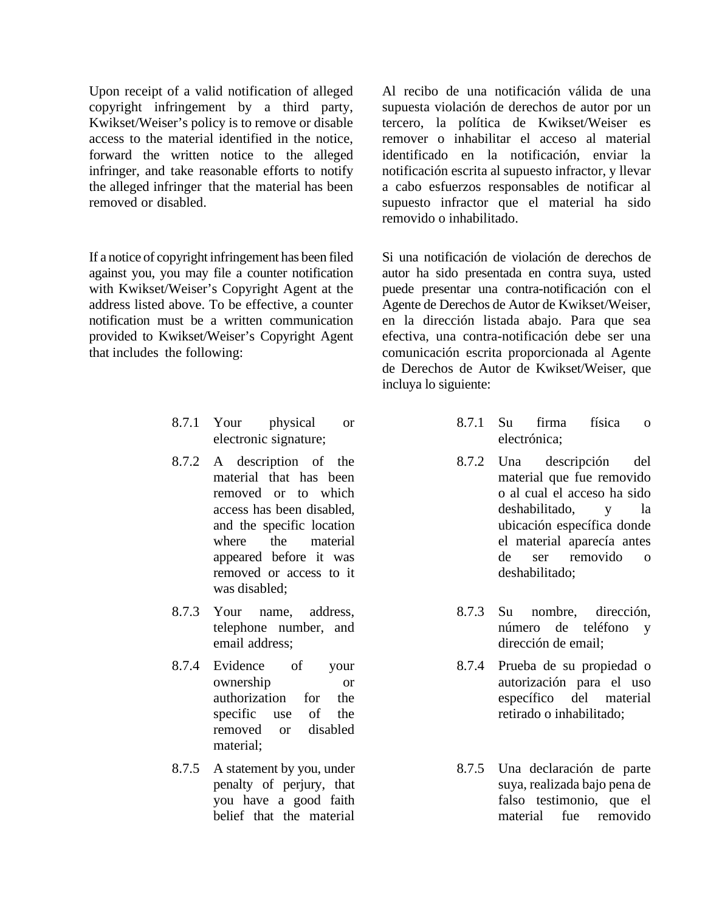Upon receipt of a valid notification of alleged copyright infringement by a third party, Kwikset/Weiser's policy is to remove or disable access to the material identified in the notice, forward the written notice to the alleged infringer, and take reasonable efforts to notify the alleged infringer that the material has been removed or disabled.

If a notice of copyright infringement has been filed against you, you may file a counter notification with Kwikset/Weiser's Copyright Agent at the address listed above. To be effective, a counter notification must be a written communication provided to Kwikset/Weiser's Copyright Agent that includes the following:

- 8.7.1 Your physical or electronic signature;
- 8.7.2 A description of the material that has been removed or to which access has been disabled, and the specific location where the material appeared before it was removed or access to it was disabled;
- 8.7.3 Your name, address, telephone number, and email address;
- 8.7.4 Evidence of your ownership or authorization for the specific use of the removed or disabled material;
- 8.7.5 A statement by you, under penalty of perjury, that you have a good faith belief that the material

Al recibo de una notificación válida de una supuesta violación de derechos de autor por un tercero, la política de Kwikset/Weiser es remover o inhabilitar el acceso al material identificado en la notificación, enviar la notificación escrita al supuesto infractor, y llevar a cabo esfuerzos responsables de notificar al supuesto infractor que el material ha sido removido o inhabilitado.

Si una notificación de violación de derechos de autor ha sido presentada en contra suya, usted puede presentar una contra-notificación con el Agente de Derechos de Autor de Kwikset/Weiser, en la dirección listada abajo. Para que sea efectiva, una contra-notificación debe ser una comunicación escrita proporcionada al Agente de Derechos de Autor de Kwikset/Weiser, que incluya lo siguiente:

- 8.7.1 Su firma física o electrónica;
- 8.7.2 Una descripción del material que fue removido o al cual el acceso ha sido deshabilitado, y la ubicación específica donde el material aparecía antes de ser removido o deshabilitado;
- 8.7.3 Su nombre, dirección, número de teléfono y dirección de email;
- 8.7.4 Prueba de su propiedad o autorización para el uso específico del material retirado o inhabilitado;
- 8.7.5 Una declaración de parte suya, realizada bajo pena de falso testimonio, que el material fue removido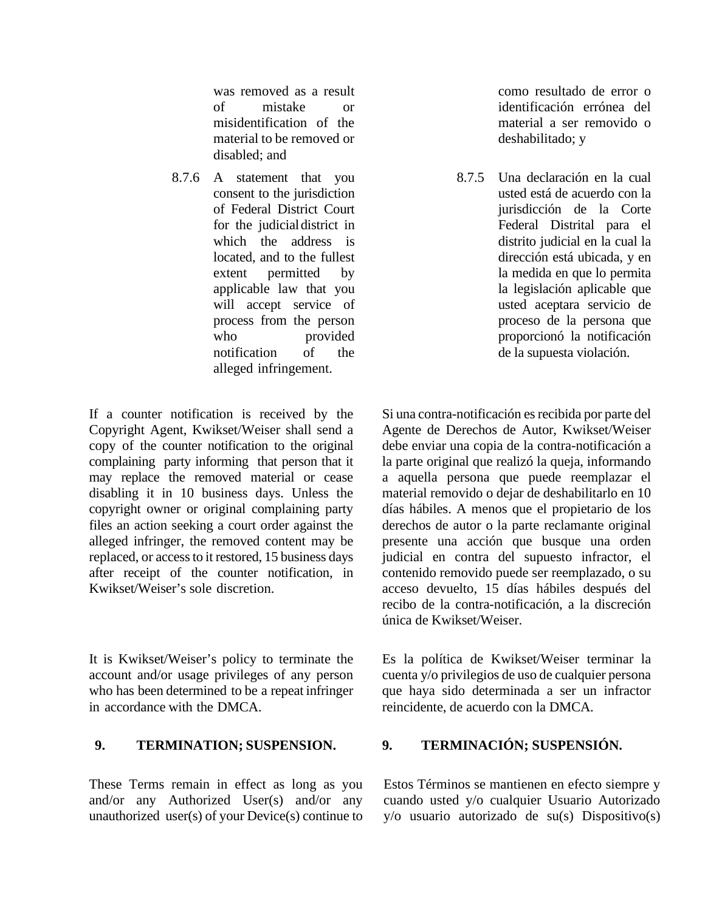was removed as a result of mistake or misidentification of the material to be removed or disabled; and

8.7.6 A statement that you consent to the jurisdiction of Federal District Court for the judicialdistrict in which the address is located, and to the fullest extent permitted by applicable law that you will accept service of process from the person who provided notification of the alleged infringement.

If a counter notification is received by the Copyright Agent, Kwikset/Weiser shall send a copy of the counter notification to the original complaining party informing that person that it may replace the removed material or cease disabling it in 10 business days. Unless the copyright owner or original complaining party files an action seeking a court order against the alleged infringer, the removed content may be replaced, or access to it restored, 15 business days after receipt of the counter notification, in Kwikset/Weiser's sole discretion.

It is Kwikset/Weiser's policy to terminate the account and/or usage privileges of any person who has been determined to be a repeat infringer in accordance with the DMCA.

These Terms remain in effect as long as you and/or any Authorized User(s) and/or any unauthorized user(s) of your Device(s) continue to como resultado de error o identificación errónea del material a ser removido o deshabilitado; y

8.7.5 Una declaración en la cual usted está de acuerdo con la jurisdicción de la Corte Federal Distrital para el distrito judicial en la cual la dirección está ubicada, y en la medida en que lo permita la legislación aplicable que usted aceptara servicio de proceso de la persona que proporcionó la notificación de la supuesta violación.

Si una contra-notificación es recibida por parte del Agente de Derechos de Autor, Kwikset/Weiser debe enviar una copia de la contra-notificación a la parte original que realizó la queja, informando a aquella persona que puede reemplazar el material removido o dejar de deshabilitarlo en 10 días hábiles. A menos que el propietario de los derechos de autor o la parte reclamante original presente una acción que busque una orden judicial en contra del supuesto infractor, el contenido removido puede ser reemplazado, o su acceso devuelto, 15 días hábiles después del recibo de la contra-notificación, a la discreción única de Kwikset/Weiser.

Es la política de Kwikset/Weiser terminar la cuenta y/o privilegios de uso de cualquier persona que haya sido determinada a ser un infractor reincidente, de acuerdo con la DMCA.

### **9. TERMINATION; SUSPENSION. 9. TERMINACIÓN; SUSPENSIÓN.**

Estos Términos se mantienen en efecto siempre y cuando usted y/o cualquier Usuario Autorizado y/o usuario autorizado de su(s) Dispositivo(s)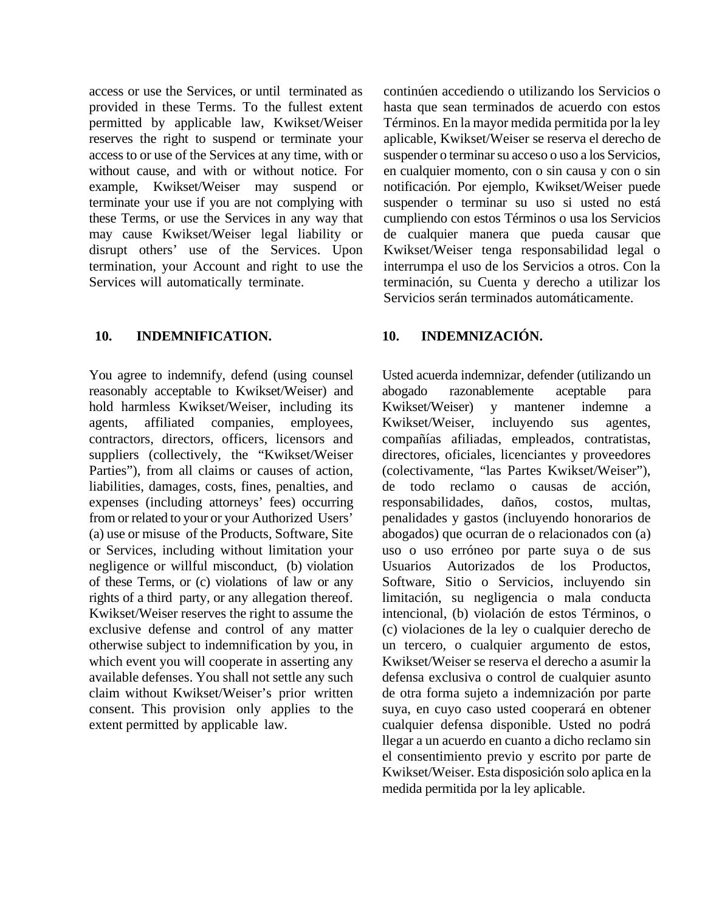access or use the Services, or until terminated as provided in these Terms. To the fullest extent permitted by applicable law, Kwikset/Weiser reserves the right to suspend or terminate your access to or use of the Services at any time, with or without cause, and with or without notice. For example, Kwikset/Weiser may suspend or terminate your use if you are not complying with these Terms, or use the Services in any way that may cause Kwikset/Weiser legal liability or disrupt others' use of the Services. Upon termination, your Account and right to use the Services will automatically terminate.

### **10. INDEMNIFICATION. 10. INDEMNIZACIÓN.**

You agree to indemnify, defend (using counsel reasonably acceptable to Kwikset/Weiser) and hold harmless Kwikset/Weiser, including its agents, affiliated companies, employees, contractors, directors, officers, licensors and suppliers (collectively, the "Kwikset/Weiser Parties"), from all claims or causes of action, liabilities, damages, costs, fines, penalties, and expenses (including attorneys' fees) occurring from or related to your or your Authorized Users' (a) use or misuse of the Products, Software, Site or Services, including without limitation your negligence or willful misconduct, (b) violation of these Terms, or (c) violations of law or any rights of a third party, or any allegation thereof. Kwikset/Weiser reserves the right to assume the exclusive defense and control of any matter otherwise subject to indemnification by you, in which event you will cooperate in asserting any available defenses. You shall not settle any such claim without Kwikset/Weiser's prior written consent. This provision only applies to the extent permitted by applicable law.

continúen accediendo o utilizando los Servicios o hasta que sean terminados de acuerdo con estos Términos. En la mayor medida permitida por la ley aplicable, Kwikset/Weiser se reserva el derecho de suspender o terminar su acceso o uso a los Servicios, en cualquier momento, con o sin causa y con o sin notificación. Por ejemplo, Kwikset/Weiser puede suspender o terminar su uso si usted no está cumpliendo con estos Términos o usa los Servicios de cualquier manera que pueda causar que Kwikset/Weiser tenga responsabilidad legal o interrumpa el uso de los Servicios a otros. Con la terminación, su Cuenta y derecho a utilizar los Servicios serán terminados automáticamente.

<span id="page-13-0"></span>Usted acuerda indemnizar, defender (utilizando un abogado razonablemente aceptable para Kwikset/Weiser) y mantener indemne a Kwikset/Weiser, incluyendo sus agentes, compañías afiliadas, empleados, contratistas, directores, oficiales, licenciantes y proveedores (colectivamente, "las Partes Kwikset/Weiser"), de todo reclamo o causas de acción, responsabilidades, daños, costos, multas, penalidades y gastos (incluyendo honorarios de abogados) que ocurran de o relacionados con (a) uso o uso erróneo por parte suya o de sus Usuarios Autorizados de los Productos, Software, Sitio o Servicios, incluyendo sin limitación, su negligencia o mala conducta intencional, (b) violación de estos Términos, o (c) violaciones de la ley o cualquier derecho de un tercero, o cualquier argumento de estos, Kwikset/Weiser se reserva el derecho a asumir la defensa exclusiva o control de cualquier asunto de otra forma sujeto a indemnización por parte suya, en cuyo caso usted cooperará en obtener cualquier defensa disponible. Usted no podrá llegar a un acuerdo en cuanto a dicho reclamo sin el consentimiento previo y escrito por parte de Kwikset/Weiser. Esta disposición solo aplica en la medida permitida por la ley aplicable.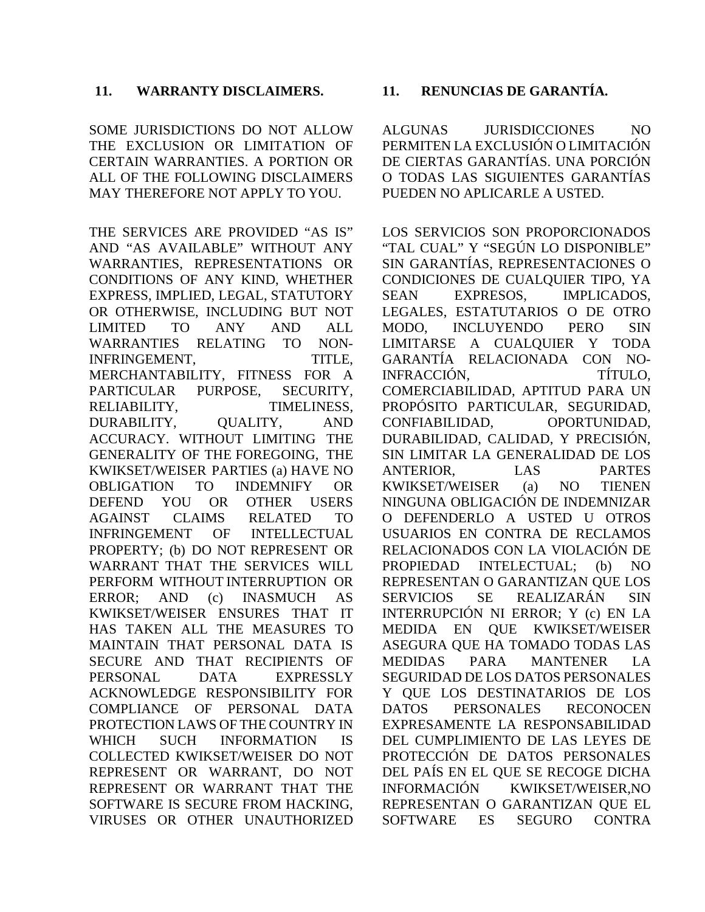## **11. WARRANTY DISCLAIMERS. 11. RENUNCIAS DE GARANTÍA.**

SOME JURISDICTIONS DO NOT ALLOW THE EXCLUSION OR LIMITATION OF CERTAIN WARRANTIES. A PORTION OR ALL OF THE FOLLOWING DISCLAIMERS MAY THEREFORE NOT APPLY TO YOU.

THE SERVICES ARE PROVIDED "AS IS" AND "AS AVAILABLE" WITHOUT ANY WARRANTIES, REPRESENTATIONS OR CONDITIONS OF ANY KIND, WHETHER EXPRESS, IMPLIED, LEGAL, STATUTORY OR OTHERWISE, INCLUDING BUT NOT LIMITED TO ANY AND ALL WARRANTIES RELATING TO NON-INFRINGEMENT, TITLE, MERCHANTABILITY, FITNESS FOR A PARTICULAR PURPOSE, SECURITY, RELIABILITY, TIMELINESS, DURABILITY, QUALITY, AND ACCURACY. WITHOUT LIMITING THE GENERALITY OF THE FOREGOING, THE KWIKSET/WEISER PARTIES (a) HAVE NO OBLIGATION TO INDEMNIFY OR DEFEND YOU OR OTHER USERS AGAINST CLAIMS RELATED TO INFRINGEMENT OF INTELLECTUAL PROPERTY; (b) DO NOT REPRESENT OR WARRANT THAT THE SERVICES WILL PERFORM WITHOUT INTERRUPTION OR ERROR; AND (c) INASMUCH AS KWIKSET/WEISER ENSURES THAT IT HAS TAKEN ALL THE MEASURES TO MAINTAIN THAT PERSONAL DATA IS SECURE AND THAT RECIPIENTS OF PERSONAL DATA EXPRESSLY ACKNOWLEDGE RESPONSIBILITY FOR COMPLIANCE OF PERSONAL DATA PROTECTION LAWS OF THE COUNTRY IN WHICH SUCH INFORMATION IS COLLECTED KWIKSET/WEISER DO NOT REPRESENT OR WARRANT, DO NOT REPRESENT OR WARRANT THAT THE SOFTWARE IS SECURE FROM HACKING, VIRUSES OR OTHER UNAUTHORIZED

<span id="page-14-0"></span>ALGUNAS JURISDICCIONES NO PERMITEN LA EXCLUSIÓN O LIMITACIÓN DE CIERTAS GARANTÍAS. UNA PORCIÓN O TODAS LAS SIGUIENTES GARANTÍAS PUEDEN NO APLICARLE A USTED.

LOS SERVICIOS SON PROPORCIONADOS "TAL CUAL" Y "SEGÚN LO DISPONIBLE" SIN GARANTÍAS, REPRESENTACIONES O CONDICIONES DE CUALQUIER TIPO, YA SEAN EXPRESOS, IMPLICADOS, LEGALES, ESTATUTARIOS O DE OTRO MODO, INCLUYENDO PERO SIN LIMITARSE A CUALQUIER Y TODA GARANTÍA RELACIONADA CON NO-INFRACCIÓN, TÍTULO, COMERCIABILIDAD, APTITUD PARA UN PROPÓSITO PARTICULAR, SEGURIDAD, CONFIABILIDAD, OPORTUNIDAD, DURABILIDAD, CALIDAD, Y PRECISIÓN, SIN LIMITAR LA GENERALIDAD DE LOS ANTERIOR, LAS PARTES KWIKSET/WEISER (a) NO TIENEN NINGUNA OBLIGACIÓN DE INDEMNIZAR O DEFENDERLO A USTED U OTROS USUARIOS EN CONTRA DE RECLAMOS RELACIONADOS CON LA VIOLACIÓN DE PROPIEDAD INTELECTUAL; (b) NO REPRESENTAN O GARANTIZAN QUE LOS SERVICIOS SE REALIZARÁN SIN INTERRUPCIÓN NI ERROR; Y (c) EN LA MEDIDA EN QUE KWIKSET/WEISER ASEGURA QUE HA TOMADO TODAS LAS MEDIDAS PARA MANTENER LA SEGURIDAD DE LOS DATOS PERSONALES Y QUE LOS DESTINATARIOS DE LOS DATOS PERSONALES RECONOCEN EXPRESAMENTE LA RESPONSABILIDAD DEL CUMPLIMIENTO DE LAS LEYES DE PROTECCIÓN DE DATOS PERSONALES DEL PAÍS EN EL QUE SE RECOGE DICHA INFORMACIÓN KWIKSET/WEISER,NO REPRESENTAN O GARANTIZAN QUE EL SOFTWARE ES SEGURO CONTRA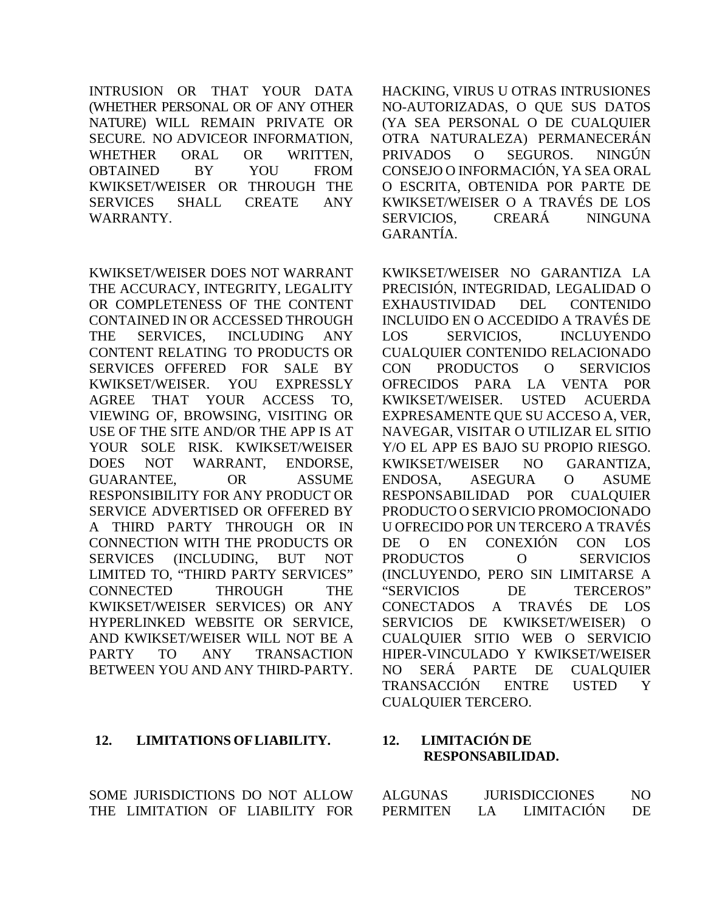INTRUSION OR THAT YOUR DATA (WHETHER PERSONAL OR OF ANY OTHER NATURE) WILL REMAIN PRIVATE OR SECURE. NO ADVICEOR INFORMATION, WHETHER ORAL OR WRITTEN, OBTAINED BY YOU FROM KWIKSET/WEISER OR THROUGH THE SERVICES SHALL CREATE ANY WARRANTY.

KWIKSET/WEISER DOES NOT WARRANT THE ACCURACY, INTEGRITY, LEGALITY OR COMPLETENESS OF THE CONTENT CONTAINED IN OR ACCESSED THROUGH THE SERVICES, INCLUDING ANY CONTENT RELATING TO PRODUCTS OR SERVICES OFFERED FOR SALE BY KWIKSET/WEISER. YOU EXPRESSLY AGREE THAT YOUR ACCESS TO, VIEWING OF, BROWSING, VISITING OR USE OF THE SITE AND/OR THE APP IS AT YOUR SOLE RISK. KWIKSET/WEISER DOES NOT WARRANT, ENDORSE, GUARANTEE, OR ASSUME RESPONSIBILITY FOR ANY PRODUCT OR SERVICE ADVERTISED OR OFFERED BY A THIRD PARTY THROUGH OR IN CONNECTION WITH THE PRODUCTS OR SERVICES (INCLUDING, BUT NOT LIMITED TO, "THIRD PARTY SERVICES" CONNECTED THROUGH THE KWIKSET/WEISER SERVICES) OR ANY HYPERLINKED WEBSITE OR SERVICE, AND KWIKSET/WEISER WILL NOT BE A PARTY TO ANY TRANSACTION BETWEEN YOU AND ANY THIRD-PARTY.

# **12. LIMITATIONS OFLIABILITY. 12. LIMITACIÓN DE**

SOME JURISDICTIONS DO NOT ALLOW THE LIMITATION OF LIABILITY FOR HACKING, VIRUS U OTRAS INTRUSIONES NO-AUTORIZADAS, O QUE SUS DATOS (YA SEA PERSONAL O DE CUALQUIER OTRA NATURALEZA) PERMANECERÁN PRIVADOS O SEGUROS. NINGÚN CONSEJO O INFORMACIÓN, YA SEA ORAL O ESCRITA, OBTENIDA POR PARTE DE KWIKSET/WEISER O A TRAVÉS DE LOS SERVICIOS, CREARÁ NINGUNA GARANTÍA.

KWIKSET/WEISER NO GARANTIZA LA PRECISIÓN, INTEGRIDAD, LEGALIDAD O EXHAUSTIVIDAD DEL CONTENIDO INCLUIDO EN O ACCEDIDO A TRAVÉS DE LOS SERVICIOS, INCLUYENDO CUALQUIER CONTENIDO RELACIONADO CON PRODUCTOS O SERVICIOS OFRECIDOS PARA LA VENTA POR KWIKSET/WEISER. USTED ACUERDA EXPRESAMENTE QUE SU ACCESO A, VER, NAVEGAR, VISITAR O UTILIZAR EL SITIO Y/O EL APP ES BAJO SU PROPIO RIESGO. KWIKSET/WEISER NO GARANTIZA, ENDOSA, ASEGURA O ASUME RESPONSABILIDAD POR CUALQUIER PRODUCTO O SERVICIO PROMOCIONADO U OFRECIDO POR UN TERCERO A TRAVÉS DE O EN CONEXIÓN CON LOS PRODUCTOS O SERVICIOS (INCLUYENDO, PERO SIN LIMITARSE A "SERVICIOS DE TERCEROS" CONECTADOS A TRAVÉS DE LOS SERVICIOS DE KWIKSET/WEISER) O CUALQUIER SITIO WEB O SERVICIO HIPER-VINCULADO Y KWIKSET/WEISER NO SERÁ PARTE DE CUALQUIER TRANSACCIÓN ENTRE USTED Y CUALQUIER TERCERO.

# <span id="page-15-0"></span>**RESPONSABILIDAD.**

| ALGUNAS  | <b>JURISDICCIONES</b> |                   | NО |
|----------|-----------------------|-------------------|----|
| PERMITEN | LA.                   | <b>LIMITACIÓN</b> | DE |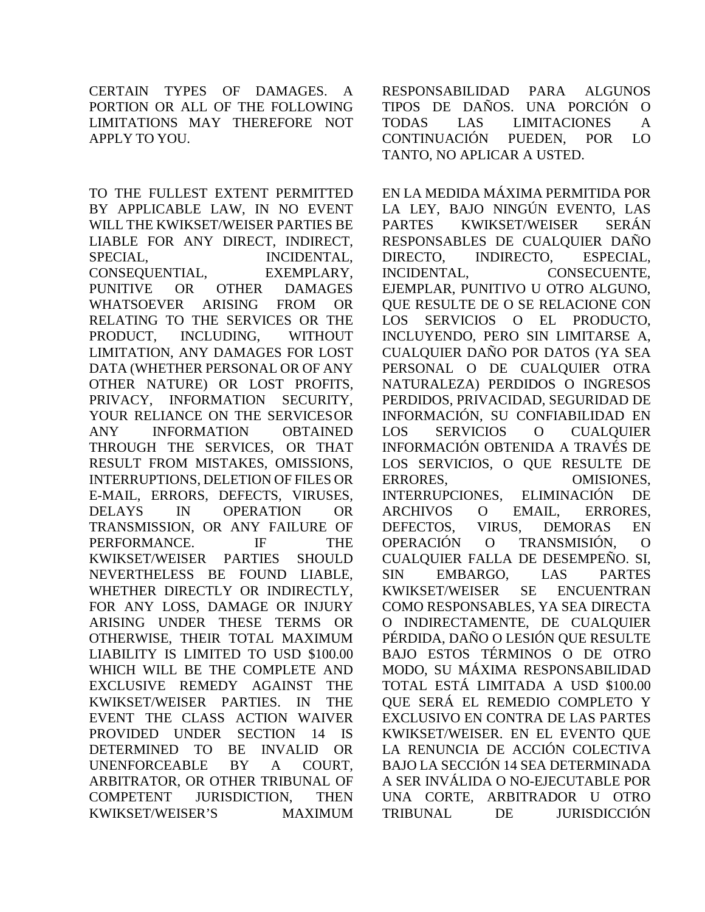CERTAIN TYPES OF DAMAGES. A PORTION OR ALL OF THE FOLLOWING LIMITATIONS MAY THEREFORE NOT APPLY TO YOU.

TO THE FULLEST EXTENT PERMITTED BY APPLICABLE LAW, IN NO EVENT WILL THE KWIKSET/WEISER PARTIES BE LIABLE FOR ANY DIRECT, INDIRECT, SPECIAL, INCIDENTAL, CONSEQUENTIAL, EXEMPLARY, PUNITIVE OR OTHER DAMAGES WHATSOEVER ARISING FROM OR RELATING TO THE SERVICES OR THE PRODUCT, INCLUDING, WITHOUT LIMITATION, ANY DAMAGES FOR LOST DATA (WHETHER PERSONAL OR OF ANY OTHER NATURE) OR LOST PROFITS, PRIVACY, INFORMATION SECURITY, YOUR RELIANCE ON THE SERVICES OR ANY INFORMATION OBTAINED THROUGH THE SERVICES, OR THAT RESULT FROM MISTAKES, OMISSIONS, INTERRUPTIONS, DELETION OF FILES OR E-MAIL, ERRORS, DEFECTS, VIRUSES, DELAYS IN OPERATION OR TRANSMISSION, OR ANY FAILURE OF PERFORMANCE. IF THE KWIKSET/WEISER PARTIES SHOULD NEVERTHELESS BE FOUND LIABLE, WHETHER DIRECTLY OR INDIRECTLY, FOR ANY LOSS, DAMAGE OR INJURY ARISING UNDER THESE TERMS OR OTHERWISE, THEIR TOTAL MAXIMUM LIABILITY IS LIMITED TO USD \$100.00 WHICH WILL BE THE COMPLETE AND EXCLUSIVE REMEDY AGAINST THE KWIKSET/WEISER PARTIES. IN THE EVENT THE CLASS ACTION WAIVER PROVIDED UNDER SECTION 14 IS DETERMINED TO BE INVALID OR UNENFORCEABLE BY A COURT, ARBITRATOR, OR OTHER TRIBUNAL OF COMPETENT JURISDICTION, THEN KWIKSET/WEISER'S MAXIMUM

RESPONSABILIDAD PARA ALGUNOS TIPOS DE DAÑOS. UNA PORCIÓN O TODAS LAS LIMITACIONES A CONTINUACIÓN PUEDEN, POR LO TANTO, NO APLICAR A USTED.

EN LA MEDIDA MÁXIMA PERMITIDA POR LA LEY, BAJO NINGÚN EVENTO, LAS PARTES KWIKSET/WEISER SERÁN RESPONSABLES DE CUALQUIER DAÑO DIRECTO, INDIRECTO, ESPECIAL, INCIDENTAL, CONSECUENTE, EJEMPLAR, PUNITIVO U OTRO ALGUNO, QUE RESULTE DE O SE RELACIONE CON LOS SERVICIOS O EL PRODUCTO, INCLUYENDO, PERO SIN LIMITARSE A, CUALQUIER DAÑO POR DATOS (YA SEA PERSONAL O DE CUALQUIER OTRA NATURALEZA) PERDIDOS O INGRESOS PERDIDOS, PRIVACIDAD, SEGURIDAD DE INFORMACIÓN, SU CONFIABILIDAD EN LOS SERVICIOS O CUALQUIER INFORMACIÓN OBTENIDA A TRAVÉS DE LOS SERVICIOS, O QUE RESULTE DE ERRORES, OMISIONES, INTERRUPCIONES, ELIMINACIÓN DE ARCHIVOS O EMAIL, ERRORES, DEFECTOS, VIRUS, DEMORAS EN OPERACIÓN O TRANSMISIÓN, O CUALQUIER FALLA DE DESEMPEÑO. SI, SIN EMBARGO, LAS PARTES KWIKSET/WEISER SE ENCUENTRAN COMO RESPONSABLES, YA SEA DIRECTA O INDIRECTAMENTE, DE CUALQUIER PÉRDIDA, DAÑO O LESIÓN QUE RESULTE BAJO ESTOS TÉRMINOS O DE OTRO MODO, SU MÁXIMA RESPONSABILIDAD TOTAL ESTÁ LIMITADA A USD \$100.00 QUE SERÁ EL REMEDIO COMPLETO Y EXCLUSIVO EN CONTRA DE LAS PARTES KWIKSET/WEISER. EN EL EVENTO QUE LA RENUNCIA DE ACCIÓN COLECTIVA BAJO LA SECCIÓN 14 SEA DETERMINADA A SER INVÁLIDA O NO-EJECUTABLE POR UNA CORTE, ARBITRADOR U OTRO TRIBUNAL DE JURISDICCIÓN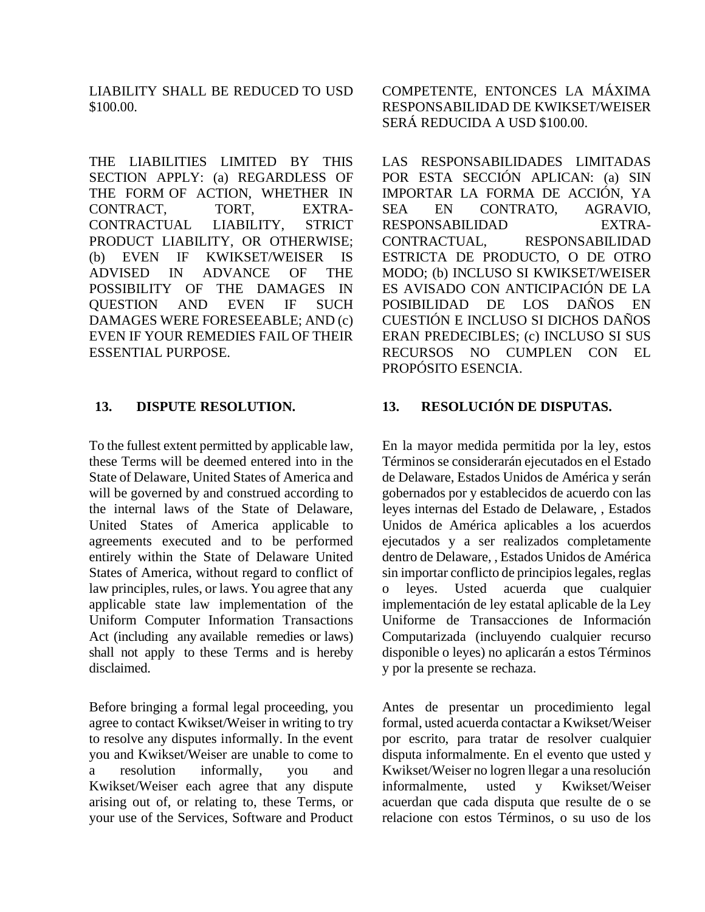LIABILITY SHALL BE REDUCED TO USD \$100.00.

THE LIABILITIES LIMITED BY THIS SECTION APPLY: (a) REGARDLESS OF THE FORM OF ACTION, WHETHER IN CONTRACT, TORT, EXTRA-CONTRACTUAL LIABILITY, STRICT PRODUCT LIABILITY, OR OTHERWISE; (b) EVEN IF KWIKSET/WEISER IS ADVISED IN ADVANCE OF THE POSSIBILITY OF THE DAMAGES IN QUESTION AND EVEN IF SUCH DAMAGES WERE FORESEEABLE; AND (c) EVEN IF YOUR REMEDIES FAIL OF THEIR ESSENTIAL PURPOSE.

To the fullest extent permitted by applicable law, these Terms will be deemed entered into in the State of Delaware, United States of America and will be governed by and construed according to the internal laws of the State of Delaware, United States of America applicable to agreements executed and to be performed entirely within the State of Delaware United States of America, without regard to conflict of law principles, rules, or laws. You agree that any applicable state law implementation of the Uniform Computer Information Transactions Act (including any available remedies or laws) shall not apply to these Terms and is hereby disclaimed.

Before bringing a formal legal proceeding, you agree to contact Kwikset/Weiser in writing to try to resolve any disputes informally. In the event you and Kwikset/Weiser are unable to come to a resolution informally, you and Kwikset/Weiser each agree that any dispute arising out of, or relating to, these Terms, or your use of the Services, Software and Product COMPETENTE, ENTONCES LA MÁXIMA RESPONSABILIDAD DE KWIKSET/WEISER SERÁ REDUCIDA A USD \$100.00.

LAS RESPONSABILIDADES LIMITADAS POR ESTA SECCIÓN APLICAN: (a) SIN IMPORTAR LA FORMA DE ACCIÓN, YA SEA EN CONTRATO, AGRAVIO, RESPONSABILIDAD EXTRA-CONTRACTUAL, RESPONSABILIDAD ESTRICTA DE PRODUCTO, O DE OTRO MODO; (b) INCLUSO SI KWIKSET/WEISER ES AVISADO CON ANTICIPACIÓN DE LA POSIBILIDAD DE LOS DAÑOS EN CUESTIÓN E INCLUSO SI DICHOS DAÑOS ERAN PREDECIBLES; (c) INCLUSO SI SUS RECURSOS NO CUMPLEN CON EL PROPÓSITO ESENCIA.

# **13. DISPUTE RESOLUTION. 13. RESOLUCIÓN DE DISPUTAS.**

<span id="page-17-0"></span>En la mayor medida permitida por la ley, estos Términos se considerarán ejecutados en el Estado de Delaware, Estados Unidos de América y serán gobernados por y establecidos de acuerdo con las leyes internas del Estado de Delaware, , Estados Unidos de América aplicables a los acuerdos ejecutados y a ser realizados completamente dentro de Delaware, , Estados Unidos de América sin importar conflicto de principios legales, reglas o leyes. Usted acuerda que cualquier implementación de ley estatal aplicable de la Ley Uniforme de Transacciones de Información Computarizada (incluyendo cualquier recurso disponible o leyes) no aplicarán a estos Términos y por la presente se rechaza.

Antes de presentar un procedimiento legal formal, usted acuerda contactar a Kwikset/Weiser por escrito, para tratar de resolver cualquier disputa informalmente. En el evento que usted y Kwikset/Weiser no logren llegar a una resolución informalmente, usted y Kwikset/Weiser acuerdan que cada disputa que resulte de o se relacione con estos Términos, o su uso de los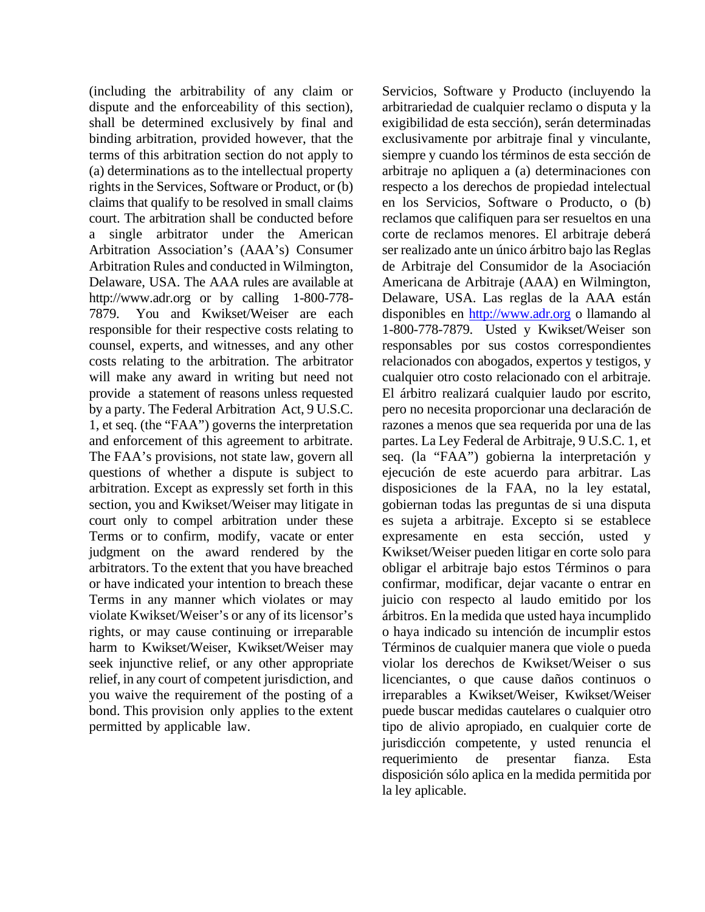(including the arbitrability of any claim or dispute and the enforceability of this section), shall be determined exclusively by final and binding arbitration, provided however, that the terms of this arbitration section do not apply to (a) determinations as to the intellectual property rights in the Services, Software or Product, or (b) claims that qualify to be resolved in small claims court. The arbitration shall be conducted before a single arbitrator under the American Arbitration Association's (AAA's) Consumer Arbitration Rules and conducted in Wilmington, Delaware, USA. The AAA rules are available at [http://www.adr.org](http://www.adr.org/) or by calling 1-800-778- 7879. You and Kwikset/Weiser are each responsible for their respective costs relating to counsel, experts, and witnesses, and any other costs relating to the arbitration. The arbitrator will make any award in writing but need not provide a statement of reasons unless requested by a party. The Federal Arbitration Act, 9 U.S.C. 1, et seq. (the "FAA") governs the interpretation and enforcement of this agreement to arbitrate. The FAA's provisions, not state law, govern all questions of whether a dispute is subject to arbitration. Except as expressly set forth in this section, you and Kwikset/Weiser may litigate in court only to compel arbitration under these Terms or to confirm, modify, vacate or enter judgment on the award rendered by the arbitrators. To the extent that you have breached or have indicated your intention to breach these Terms in any manner which violates or may violate Kwikset/Weiser's or any of its licensor's rights, or may cause continuing or irreparable harm to Kwikset/Weiser, Kwikset/Weiser may seek injunctive relief, or any other appropriate relief, in any court of competent jurisdiction, and you waive the requirement of the posting of a bond. This provision only applies to the extent permitted by applicable law.

Servicios, Software y Producto (incluyendo la arbitrariedad de cualquier reclamo o disputa y la exigibilidad de esta sección), serán determinadas exclusivamente por arbitraje final y vinculante, siempre y cuando los términos de esta sección de arbitraje no apliquen a (a) determinaciones con respecto a los derechos de propiedad intelectual en los Servicios, Software o Producto, o (b) reclamos que califiquen para ser resueltos en una corte de reclamos menores. El arbitraje deberá ser realizado ante un único árbitro bajo las Reglas de Arbitraje del Consumidor de la Asociación Americana de Arbitraje (AAA) en Wilmington, Delaware, USA. Las reglas de la AAA están disponibles en [http://www.adr.org](http://www.adr.org/) o llamando al 1-800-778-7879. Usted y Kwikset/Weiser son responsables por sus costos correspondientes relacionados con abogados, expertos y testigos, y cualquier otro costo relacionado con el arbitraje. El árbitro realizará cualquier laudo por escrito, pero no necesita proporcionar una declaración de razones a menos que sea requerida por una de las partes. La Ley Federal de Arbitraje, 9 U.S.C. 1, et seq. (la "FAA") gobierna la interpretación y ejecución de este acuerdo para arbitrar. Las disposiciones de la FAA, no la ley estatal, gobiernan todas las preguntas de si una disputa es sujeta a arbitraje. Excepto si se establece expresamente en esta sección, usted y Kwikset/Weiser pueden litigar en corte solo para obligar el arbitraje bajo estos Términos o para confirmar, modificar, dejar vacante o entrar en juicio con respecto al laudo emitido por los árbitros. En la medida que usted haya incumplido o haya indicado su intención de incumplir estos Términos de cualquier manera que viole o pueda violar los derechos de Kwikset/Weiser o sus licenciantes, o que cause daños continuos o irreparables a Kwikset/Weiser, Kwikset/Weiser puede buscar medidas cautelares o cualquier otro tipo de alivio apropiado, en cualquier corte de jurisdicción competente, y usted renuncia el requerimiento de presentar fianza. Esta disposición sólo aplica en la medida permitida por la ley aplicable.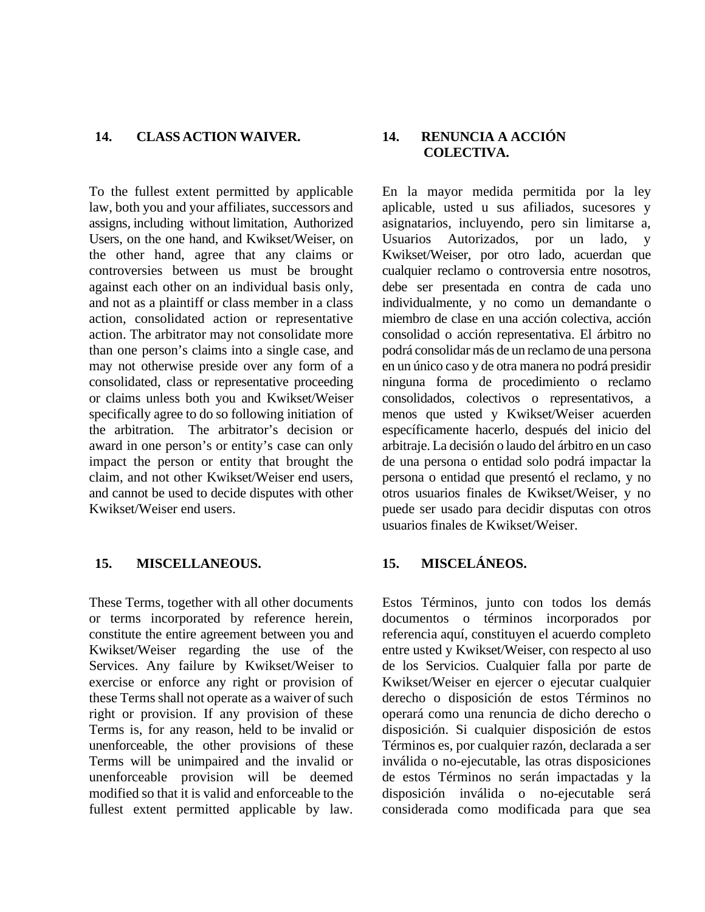#### **14. CLASS ACTION WAIVER. 14. RENUNCIA A ACCIÓN**

To the fullest extent permitted by applicable law, both you and your affiliates, successors and assigns, including without limitation, Authorized Users, on the one hand, and Kwikset/Weiser, on the other hand, agree that any claims or controversies between us must be brought against each other on an individual basis only, and not as a plaintiff or class member in a class action, consolidated action or representative action. The arbitrator may not consolidate more than one person's claims into a single case, and may not otherwise preside over any form of a consolidated, class or representative proceeding or claims unless both you and Kwikset/Weiser specifically agree to do so following initiation of the arbitration. The arbitrator's decision or award in one person's or entity's case can only impact the person or entity that brought the claim, and not other Kwikset/Weiser end users, and cannot be used to decide disputes with other Kwikset/Weiser end users.

## **15. MISCELLANEOUS. 15. MISCELÁNEOS.**

These Terms, together with all other documents or terms incorporated by reference herein, constitute the entire agreement between you and Kwikset/Weiser regarding the use of the Services. Any failure by Kwikset/Weiser to exercise or enforce any right or provision of these Terms shall not operate as a waiver of such right or provision. If any provision of these Terms is, for any reason, held to be invalid or unenforceable, the other provisions of these Terms will be unimpaired and the invalid or unenforceable provision will be deemed modified so that it is valid and enforceable to the fullest extent permitted applicable by law.

# <span id="page-19-0"></span>**COLECTIVA.**

En la mayor medida permitida por la ley aplicable, usted u sus afiliados, sucesores y asignatarios, incluyendo, pero sin limitarse a, Usuarios Autorizados, por un lado, y Kwikset/Weiser, por otro lado, acuerdan que cualquier reclamo o controversia entre nosotros, debe ser presentada en contra de cada uno individualmente, y no como un demandante o miembro de clase en una acción colectiva, acción consolidad o acción representativa. El árbitro no podrá consolidar más de un reclamo de una persona en un único caso y de otra manera no podrá presidir ninguna forma de procedimiento o reclamo consolidados, colectivos o representativos, a menos que usted y Kwikset/Weiser acuerden específicamente hacerlo, después del inicio del arbitraje. La decisión o laudo del árbitro en un caso de una persona o entidad solo podrá impactar la persona o entidad que presentó el reclamo, y no otros usuarios finales de Kwikset/Weiser, y no puede ser usado para decidir disputas con otros usuarios finales de Kwikset/Weiser.

<span id="page-19-1"></span>Estos Términos, junto con todos los demás documentos o términos incorporados por referencia aquí, constituyen el acuerdo completo entre usted y Kwikset/Weiser, con respecto al uso de los Servicios. Cualquier falla por parte de Kwikset/Weiser en ejercer o ejecutar cualquier derecho o disposición de estos Términos no operará como una renuncia de dicho derecho o disposición. Si cualquier disposición de estos Términos es, por cualquier razón, declarada a ser inválida o no-ejecutable, las otras disposiciones de estos Términos no serán impactadas y la disposición inválida o no-ejecutable será considerada como modificada para que sea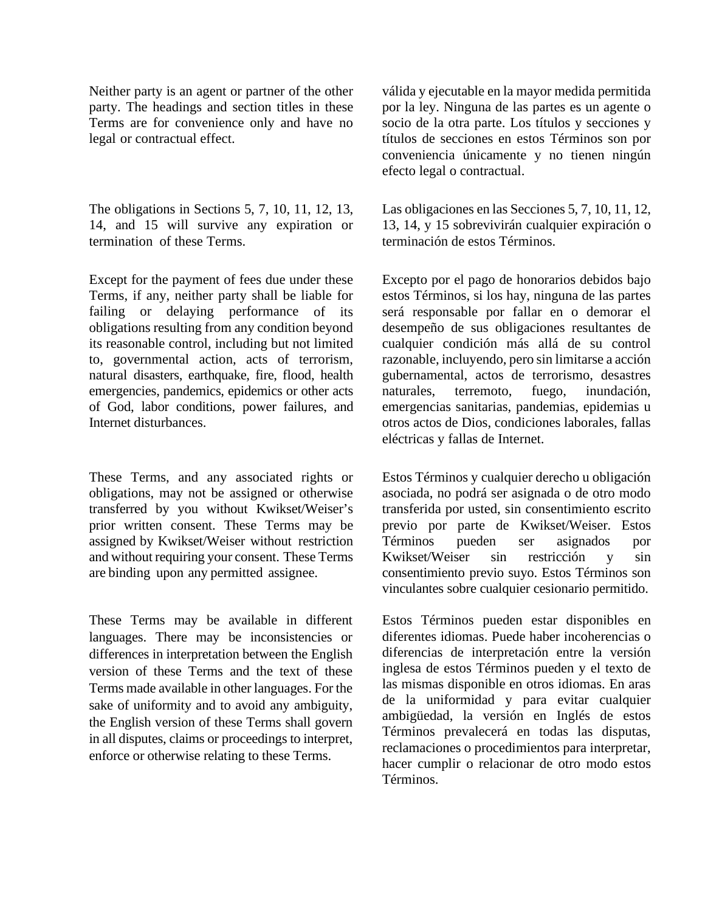Neither party is an agent or partner of the other party. The headings and section titles in these Terms are for convenience only and have no legal or contractual effect.

The obligations in Sections [5,](#page-5-0) [7,](#page-8-0) [10,](#page-13-0) [11,](#page-14-0) [12,](#page-15-0) [13,](#page-17-0) [14,](#page-19-0) and [15](#page-19-1) will survive any expiration or termination of these Terms.

Except for the payment of fees due under these Terms, if any, neither party shall be liable for failing or delaying performance of its obligations resulting from any condition beyond its reasonable control, including but not limited to, governmental action, acts of terrorism, natural disasters, earthquake, fire, flood, health emergencies, pandemics, epidemics or other acts of God, labor conditions, power failures, and Internet disturbances.

These Terms, and any associated rights or obligations, may not be assigned or otherwise transferred by you without Kwikset/Weiser's prior written consent. These Terms may be assigned by Kwikset/Weiser without restriction and without requiring your consent. These Terms are binding upon any permitted assignee.

These Terms may be available in different languages. There may be inconsistencies or differences in interpretation between the English version of these Terms and the text of these Terms made available in other languages. For the sake of uniformity and to avoid any ambiguity, the English version of these Terms shall govern in all disputes, claims or proceedings to interpret, enforce or otherwise relating to these Terms.

válida y ejecutable en la mayor medida permitida por la ley. Ninguna de las partes es un agente o socio de la otra parte. Los títulos y secciones y títulos de secciones en estos Términos son por conveniencia únicamente y no tienen ningún efecto legal o contractual.

Las obligaciones en las Seccione[s 5,](#page-5-0) [7,](#page-8-0) [10,](#page-13-0) [11,](#page-14-0) [12,](#page-15-0) [13,](#page-17-0) [14,](#page-19-0) y [15](#page-19-1) sobrevivirán cualquier expiración o terminación de estos Términos.

Excepto por el pago de honorarios debidos bajo estos Términos, si los hay, ninguna de las partes será responsable por fallar en o demorar el desempeño de sus obligaciones resultantes de cualquier condición más allá de su control razonable, incluyendo, pero sin limitarse a acción gubernamental, actos de terrorismo, desastres naturales, terremoto, fuego, inundación, emergencias sanitarias, pandemias, epidemias u otros actos de Dios, condiciones laborales, fallas eléctricas y fallas de Internet.

Estos Términos y cualquier derecho u obligación asociada, no podrá ser asignada o de otro modo transferida por usted, sin consentimiento escrito previo por parte de Kwikset/Weiser. Estos Términos pueden ser asignados por Kwikset/Weiser sin restricción y sin consentimiento previo suyo. Estos Términos son vinculantes sobre cualquier cesionario permitido.

Estos Términos pueden estar disponibles en diferentes idiomas. Puede haber incoherencias o diferencias de interpretación entre la versión inglesa de estos Términos pueden y el texto de las mismas disponible en otros idiomas. En aras de la uniformidad y para evitar cualquier ambigüedad, la versión en Inglés de estos Términos prevalecerá en todas las disputas, reclamaciones o procedimientos para interpretar, hacer cumplir o relacionar de otro modo estos Términos.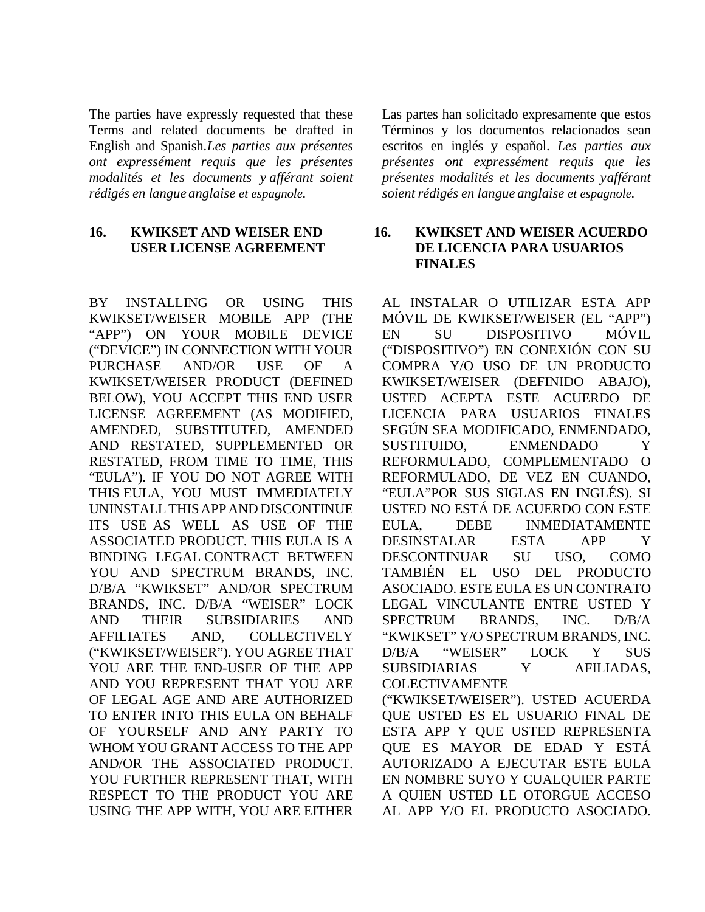The parties have expressly requested that these Terms and related documents be drafted in English and Spanish.*Les parties aux présentes ont expressément requis que les présentes modalités et les documents y afférant soient rédigés en langue anglaise et espagnole.*

### **16. KWIKSET AND WEISER END USER LICENSE AGREEMENT**

BY INSTALLING OR USING THIS KWIKSET/WEISER MOBILE APP (THE "APP") ON YOUR MOBILE DEVICE ("DEVICE") IN CONNECTION WITH YOUR PURCHASE AND/OR USE OF A KWIKSET/WEISER PRODUCT (DEFINED BELOW), YOU ACCEPT THIS END USER LICENSE AGREEMENT (AS MODIFIED, AMENDED, SUBSTITUTED, AMENDED AND RESTATED, SUPPLEMENTED OR RESTATED, FROM TIME TO TIME, THIS "EULA"). IF YOU DO NOT AGREE WITH THIS EULA, YOU MUST IMMEDIATELY UNINSTALLTHISAPPAND DISCONTINUE ITS USE AS WELL AS USE OF THE ASSOCIATED PRODUCT. THIS EULA IS A BINDING LEGAL CONTRACT BETWEEN YOU AND SPECTRUM BRANDS, INC. D/B/A "KWIKSET" AND/OR SPECTRUM BRANDS, INC. D/B/A "WEISER" LOCK AND THEIR SUBSIDIARIES AND AFFILIATES AND, COLLECTIVELY ("KWIKSET/WEISER"). YOU AGREE THAT YOU ARE THE END-USER OF THE APP AND YOU REPRESENT THAT YOU ARE OF LEGAL AGE AND ARE AUTHORIZED TO ENTER INTO THIS EULA ON BEHALF OF YOURSELF AND ANY PARTY TO WHOM YOU GRANT ACCESS TO THE APP AND/OR THE ASSOCIATED PRODUCT. YOU FURTHER REPRESENT THAT, WITH RESPECT TO THE PRODUCT YOU ARE USING THE APP WITH, YOU ARE EITHER

Las partes han solicitado expresamente que estos Términos y los documentos relacionados sean escritos en inglés y español. *Les parties aux présentes ont expressément requis que les présentes modalités et les documents yafférant soientrédigés en langue anglaise et espagnole.*

### **16. KWIKSET AND WEISER ACUERDO DE LICENCIA PARA USUARIOS FINALES**

AL INSTALAR O UTILIZAR ESTA APP MÓVIL DE KWIKSET/WEISER (EL "APP") EN SU DISPOSITIVO MÓVIL ("DISPOSITIVO") EN CONEXIÓN CON SU COMPRA Y/O USO DE UN PRODUCTO KWIKSET/WEISER (DEFINIDO ABAJO), USTED ACEPTA ESTE ACUERDO DE LICENCIA PARA USUARIOS FINALES SEGÚN SEA MODIFICADO, ENMENDADO, SUSTITUIDO, ENMENDADO Y REFORMULADO, COMPLEMENTADO O REFORMULADO, DE VEZ EN CUANDO, "EULA"POR SUS SIGLAS EN INGLÉS). SI USTED NO ESTÁ DE ACUERDO CON ESTE EULA, DEBE INMEDIATAMENTE DESINSTALAR ESTA APP Y DESCONTINUAR SU USO, COMO TAMBIÉN EL USO DEL PRODUCTO ASOCIADO. ESTE EULA ES UN CONTRATO LEGAL VINCULANTE ENTRE USTED Y SPECTRUM BRANDS, INC. D/B/A "KWIKSET" Y/O SPECTRUM BRANDS, INC. D/B/A "WEISER" LOCK Y SUS SUBSIDIARIAS Y AFILIADAS, COLECTIVAMENTE ("KWIKSET/WEISER"). USTED ACUERDA QUE USTED ES EL USUARIO FINAL DE ESTA APP Y QUE USTED REPRESENTA QUE ES MAYOR DE EDAD Y ESTÁ AUTORIZADO A EJECUTAR ESTE EULA EN NOMBRE SUYO Y CUALQUIER PARTE A QUIEN USTED LE OTORGUE ACCESO AL APP Y/O EL PRODUCTO ASOCIADO.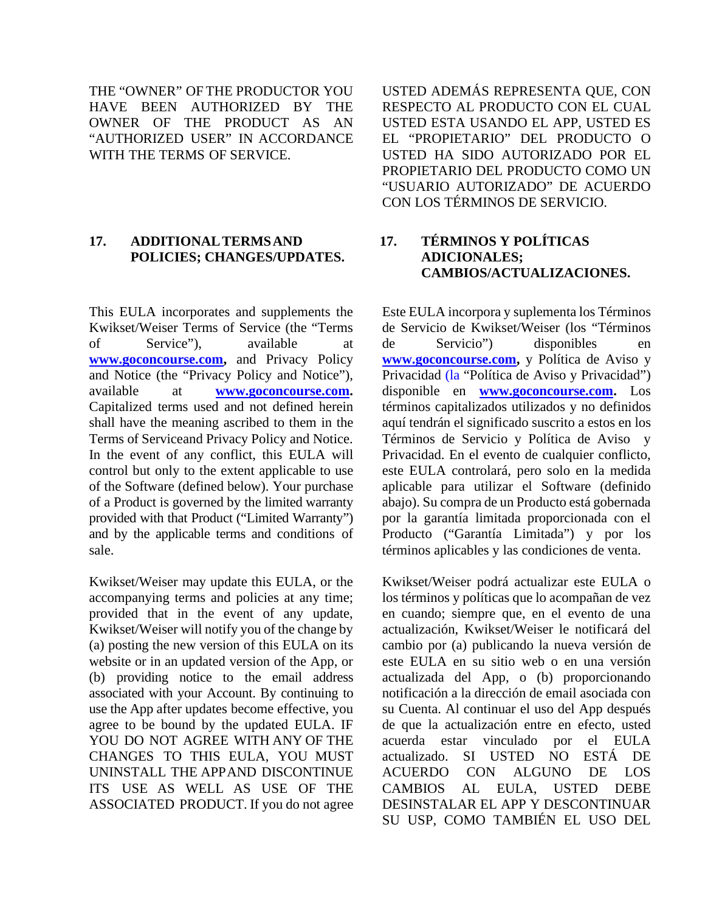THE "OWNER" OF THE PRODUCTOR YOU HAVE BEEN AUTHORIZED BY THE OWNER OF THE PRODUCT AS AN "AUTHORIZED USER" IN ACCORDANCE WITH THE TERMS OF SERVICE.

### **17. ADDITIONALTERMSAND POLICIES; CHANGES/UPDATES.**

This EULA incorporates and supplements the Kwikset/Weiser Terms of Service (the "Terms of Service"), available at **[www.goconcourse.com,](http://www.goconcourse.com/)** and Privacy Policy and Notice (the "Privacy Policy and Notice"), available at **[www.goconcourse.com.](http://www.goconcourse.com/)** Capitalized terms used and not defined herein shall have the meaning ascribed to them in the Terms of Serviceand Privacy Policy and Notice. In the event of any conflict, this EULA will control but only to the extent applicable to use of the Software (defined below). Your purchase of a Product is governed by the limited warranty provided with that Product ("Limited Warranty") and by the applicable terms and conditions of sale.

Kwikset/Weiser may update this EULA, or the accompanying terms and policies at any time; provided that in the event of any update, Kwikset/Weiser will notify you of the change by (a) posting the new version of this EULA on its website or in an updated version of the App, or (b) providing notice to the email address associated with your Account. By continuing to use the App after updates become effective, you agree to be bound by the updated EULA. IF YOU DO NOT AGREE WITH ANY OF THE CHANGES TO THIS EULA, YOU MUST UNINSTALL THE APPAND DISCONTINUE ITS USE AS WELL AS USE OF THE ASSOCIATED PRODUCT. If you do not agree USTED ADEMÁS REPRESENTA QUE, CON RESPECTO AL PRODUCTO CON EL CUAL USTED ESTA USANDO EL APP, USTED ES EL "PROPIETARIO" DEL PRODUCTO O USTED HA SIDO AUTORIZADO POR EL PROPIETARIO DEL PRODUCTO COMO UN "USUARIO AUTORIZADO" DE ACUERDO CON LOS TÉRMINOS DE SERVICIO.

# **17. TÉRMINOS Y POLÍTICAS ADICIONALES; CAMBIOS/ACTUALIZACIONES.**

Este EULA incorpora y suplementa los Términos de Servicio de Kwikset/Weiser (los "Términos de Servicio") disponibles en **[www.goconcourse.com,](http://www.goconcourse.com/)** y Política de Aviso y Privacidad (la "Política de Aviso y Privacidad") disponible en **[www.goconcourse.com.](http://www.goconcourse.com/)** Los términos capitalizados utilizados y no definidos aquí tendrán el significado suscrito a estos en los Términos de Servicio y Política de Aviso y Privacidad. En el evento de cualquier conflicto, este EULA controlará, pero solo en la medida aplicable para utilizar el Software (definido abajo). Su compra de un Producto está gobernada por la garantía limitada proporcionada con el Producto ("Garantía Limitada") y por los términos aplicables y las condiciones de venta.

Kwikset/Weiser podrá actualizar este EULA o los términos y políticas que lo acompañan de vez en cuando; siempre que, en el evento de una actualización, Kwikset/Weiser le notificará del cambio por (a) publicando la nueva versión de este EULA en su sitio web o en una versión actualizada del App, o (b) proporcionando notificación a la dirección de email asociada con su Cuenta. Al continuar el uso del App después de que la actualización entre en efecto, usted acuerda estar vinculado por el EULA actualizado. SI USTED NO ESTÁ DE ACUERDO CON ALGUNO DE LOS CAMBIOS AL EULA, USTED DEBE DESINSTALAR EL APP Y DESCONTINUAR SU USP, COMO TAMBIÉN EL USO DEL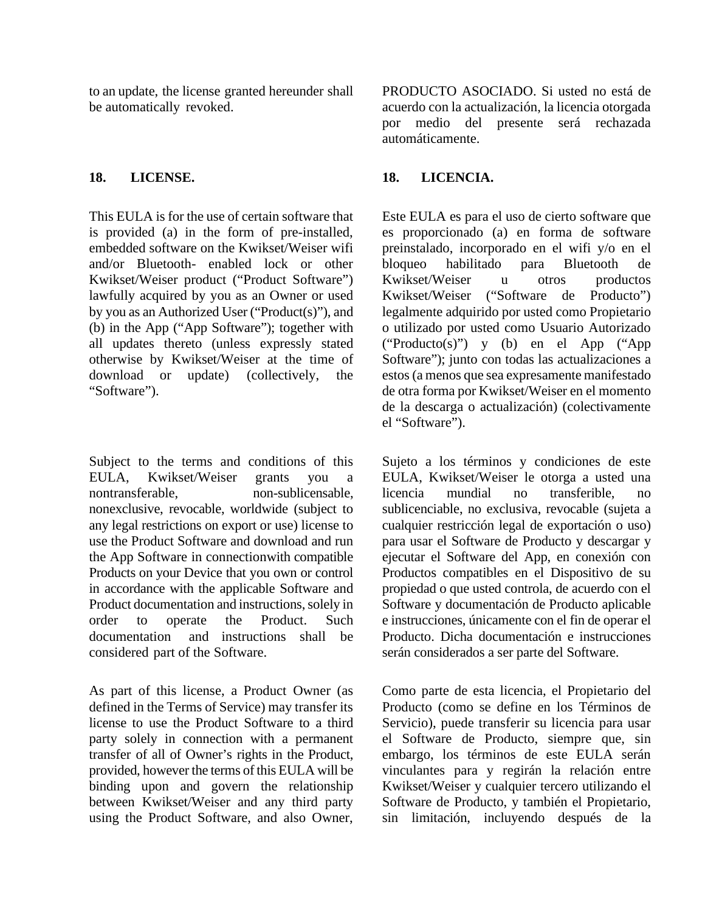to an update, the license granted hereunder shall be automatically revoked.

This EULA is for the use of certain software that is provided (a) in the form of pre-installed, embedded software on the Kwikset/Weiser wifi and/or Bluetooth- enabled lock or other Kwikset/Weiser product ("Product Software") lawfully acquired by you as an Owner or used by you as an Authorized User ("Product(s)"), and (b) in the App ("App Software"); together with all updates thereto (unless expressly stated otherwise by Kwikset/Weiser at the time of download or update) (collectively, the "Software").

Subject to the terms and conditions of this EULA, Kwikset/Weiser grants you a nontransferable, non-sublicensable, nonexclusive, revocable, worldwide (subject to any legal restrictions on export or use) license to use the Product Software and download and run the App Software in connectionwith compatible Products on your Device that you own or control in accordance with the applicable Software and Product documentation and instructions, solely in order to operate the Product. Such documentation and instructions shall be considered part of the Software.

As part of this license, a Product Owner (as defined in the Terms of Service) may transfer its license to use the Product Software to a third party solely in connection with a permanent transfer of all of Owner's rights in the Product, provided, however the terms of this EULA will be binding upon and govern the relationship between Kwikset/Weiser and any third party using the Product Software, and also Owner,

PRODUCTO ASOCIADO. Si usted no está de acuerdo con la actualización, la licencia otorgada por medio del presente será rechazada automáticamente.

# **18. LICENSE. 18. LICENCIA.**

Este EULA es para el uso de cierto software que es proporcionado (a) en forma de software preinstalado, incorporado en el wifi y/o en el bloqueo habilitado para Bluetooth de Kwikset/Weiser u otros productos Kwikset/Weiser ("Software de Producto") legalmente adquirido por usted como Propietario o utilizado por usted como Usuario Autorizado ("Producto(s)") y (b) en el App ("App Software"); junto con todas las actualizaciones a estos (a menos que sea expresamente manifestado de otra forma por Kwikset/Weiser en el momento de la descarga o actualización) (colectivamente el "Software").

Sujeto a los términos y condiciones de este EULA, Kwikset/Weiser le otorga a usted una licencia mundial no transferible, no sublicenciable, no exclusiva, revocable (sujeta a cualquier restricción legal de exportación o uso) para usar el Software de Producto y descargar y ejecutar el Software del App, en conexión con Productos compatibles en el Dispositivo de su propiedad o que usted controla, de acuerdo con el Software y documentación de Producto aplicable e instrucciones, únicamente con el fin de operar el Producto. Dicha documentación e instrucciones serán considerados a ser parte del Software.

Como parte de esta licencia, el Propietario del Producto (como se define en los Términos de Servicio), puede transferir su licencia para usar el Software de Producto, siempre que, sin embargo, los términos de este EULA serán vinculantes para y regirán la relación entre Kwikset/Weiser y cualquier tercero utilizando el Software de Producto, y también el Propietario, sin limitación, incluyendo después de la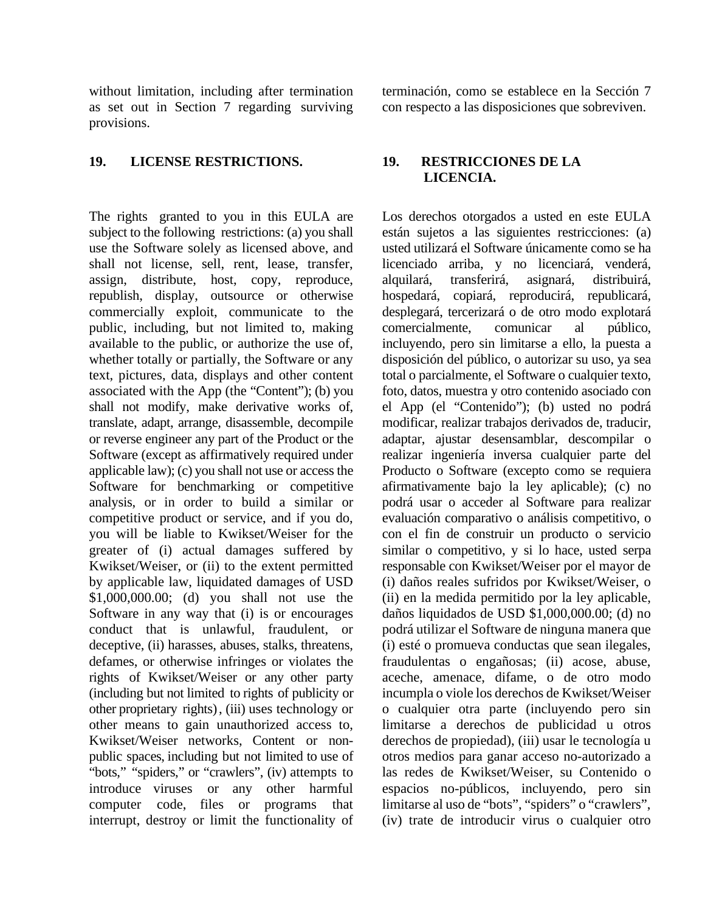without limitation, including after termination as set out in Section 7 regarding surviving provisions.

#### **19. LICENSE RESTRICTIONS. 19. RESTRICCIONES DE LA**

The rights granted to you in this EULA are subject to the following restrictions: (a) you shall use the Software solely as licensed above, and shall not license, sell, rent, lease, transfer, assign, distribute, host, copy, reproduce, republish, display, outsource or otherwise commercially exploit, communicate to the public, including, but not limited to, making available to the public, or authorize the use of, whether totally or partially, the Software or any text, pictures, data, displays and other content associated with the App (the "Content"); (b) you shall not modify, make derivative works of, translate, adapt, arrange, disassemble, decompile or reverse engineer any part of the Product or the Software (except as affirmatively required under applicable law); (c) you shall not use or access the Software for benchmarking or competitive analysis, or in order to build a similar or competitive product or service, and if you do, you will be liable to Kwikset/Weiser for the greater of (i) actual damages suffered by Kwikset/Weiser, or (ii) to the extent permitted by applicable law, liquidated damages of USD \$1,000,000.00; (d) you shall not use the Software in any way that (i) is or encourages conduct that is unlawful, fraudulent, or deceptive, (ii) harasses, abuses, stalks, threatens, defames, or otherwise infringes or violates the rights of Kwikset/Weiser or any other party (including but not limited to rights of publicity or other proprietary rights), (iii) uses technology or other means to gain unauthorized access to, Kwikset/Weiser networks, Content or nonpublic spaces, including but not limited to use of "bots," "spiders," or "crawlers", (iv) attempts to introduce viruses or any other harmful computer code, files or programs that interrupt, destroy or limit the functionality of terminación, como se establece en la Sección 7 con respecto a las disposiciones que sobreviven.

# **LICENCIA.**

Los derechos otorgados a usted en este EULA están sujetos a las siguientes restricciones: (a) usted utilizará el Software únicamente como se ha licenciado arriba, y no licenciará, venderá, alquilará, transferirá, asignará, distribuirá, hospedará, copiará, reproducirá, republicará, desplegará, tercerizará o de otro modo explotará comercialmente, comunicar al público, incluyendo, pero sin limitarse a ello, la puesta a disposición del público, o autorizar su uso, ya sea total o parcialmente, el Software o cualquier texto, foto, datos, muestra y otro contenido asociado con el App (el "Contenido"); (b) usted no podrá modificar, realizar trabajos derivados de, traducir, adaptar, ajustar desensamblar, descompilar o realizar ingeniería inversa cualquier parte del Producto o Software (excepto como se requiera afirmativamente bajo la ley aplicable); (c) no podrá usar o acceder al Software para realizar evaluación comparativo o análisis competitivo, o con el fin de construir un producto o servicio similar o competitivo, y si lo hace, usted serpa responsable con Kwikset/Weiser por el mayor de (i) daños reales sufridos por Kwikset/Weiser, o (ii) en la medida permitido por la ley aplicable, daños liquidados de USD \$1,000,000.00; (d) no podrá utilizar el Software de ninguna manera que (i) esté o promueva conductas que sean ilegales, fraudulentas o engañosas; (ii) acose, abuse, aceche, amenace, difame, o de otro modo incumpla o viole los derechos de Kwikset/Weiser o cualquier otra parte (incluyendo pero sin limitarse a derechos de publicidad u otros derechos de propiedad), (iii) usar le tecnología u otros medios para ganar acceso no-autorizado a las redes de Kwikset/Weiser, su Contenido o espacios no-públicos, incluyendo, pero sin limitarse al uso de "bots", "spiders" o "crawlers", (iv) trate de introducir virus o cualquier otro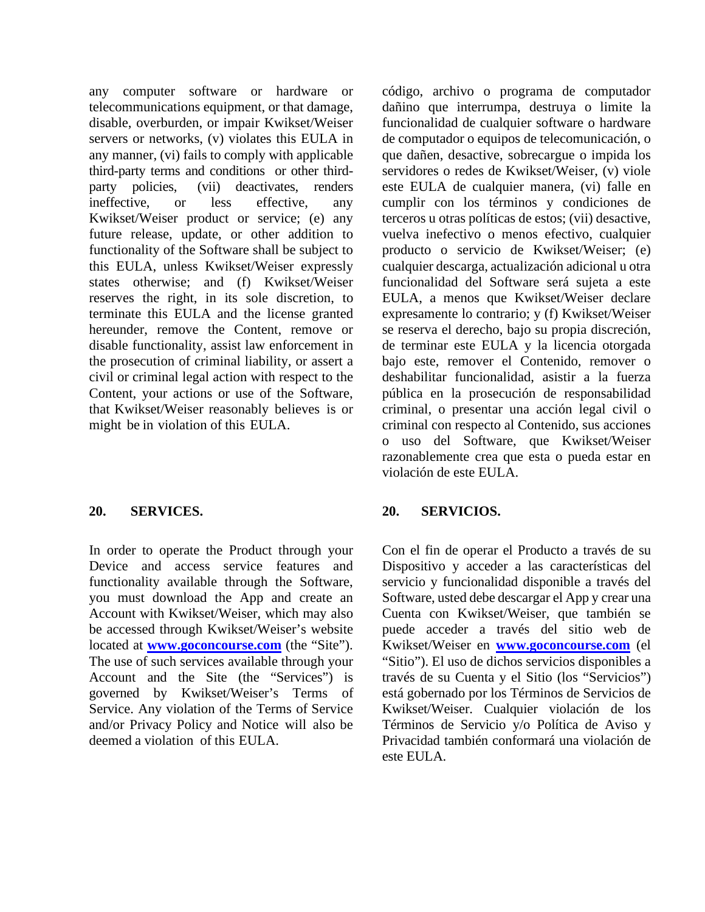any computer software or hardware or telecommunications equipment, or that damage, disable, overburden, or impair Kwikset/Weiser servers or networks, (v) violates this EULA in any manner, (vi) fails to comply with applicable third-party terms and conditions or other thirdparty policies, (vii) deactivates, renders ineffective, or less effective, any Kwikset/Weiser product or service; (e) any future release, update, or other addition to functionality of the Software shall be subject to this EULA, unless Kwikset/Weiser expressly states otherwise; and (f) Kwikset/Weiser reserves the right, in its sole discretion, to terminate this EULA and the license granted hereunder, remove the Content, remove or disable functionality, assist law enforcement in the prosecution of criminal liability, or assert a civil or criminal legal action with respect to the Content, your actions or use of the Software, that Kwikset/Weiser reasonably believes is or might be in violation of this EULA.

In order to operate the Product through your Device and access service features and functionality available through the Software, you must download the App and create an Account with Kwikset/Weiser, which may also be accessed through Kwikset/Weiser's website located at **[www.goconcourse.com](http://www.goconcourse.com/)** (the "Site"). The use of such services available through your Account and the Site (the "Services") is governed by Kwikset/Weiser's Terms of Service. Any violation of the Terms of Service and/or Privacy Policy and Notice will also be deemed a violation of this EULA.

código, archivo o programa de computador dañino que interrumpa, destruya o limite la funcionalidad de cualquier software o hardware de computador o equipos de telecomunicación, o que dañen, desactive, sobrecargue o impida los servidores o redes de Kwikset/Weiser, (v) viole este EULA de cualquier manera, (vi) falle en cumplir con los términos y condiciones de terceros u otras políticas de estos; (vii) desactive, vuelva inefectivo o menos efectivo, cualquier producto o servicio de Kwikset/Weiser; (e) cualquier descarga, actualización adicional u otra funcionalidad del Software será sujeta a este EULA, a menos que Kwikset/Weiser declare expresamente lo contrario; y (f) Kwikset/Weiser se reserva el derecho, bajo su propia discreción, de terminar este EULA y la licencia otorgada bajo este, remover el Contenido, remover o deshabilitar funcionalidad, asistir a la fuerza pública en la prosecución de responsabilidad criminal, o presentar una acción legal civil o criminal con respecto al Contenido, sus acciones o uso del Software, que Kwikset/Weiser razonablemente crea que esta o pueda estar en violación de este EULA.

### **20. SERVICES. 20. SERVICIOS.**

Con el fin de operar el Producto a través de su Dispositivo y acceder a las características del servicio y funcionalidad disponible a través del Software, usted debe descargar el App y crear una Cuenta con Kwikset/Weiser, que también se puede acceder a través del sitio web de Kwikset/Weiser en **[www.goconcourse.com](http://www.goconcourse.com/)** (el "Sitio"). El uso de dichos servicios disponibles a través de su Cuenta y el Sitio (los "Servicios") está gobernado por los Términos de Servicios de Kwikset/Weiser. Cualquier violación de los Términos de Servicio y/o Política de Aviso y Privacidad también conformará una violación de este EULA.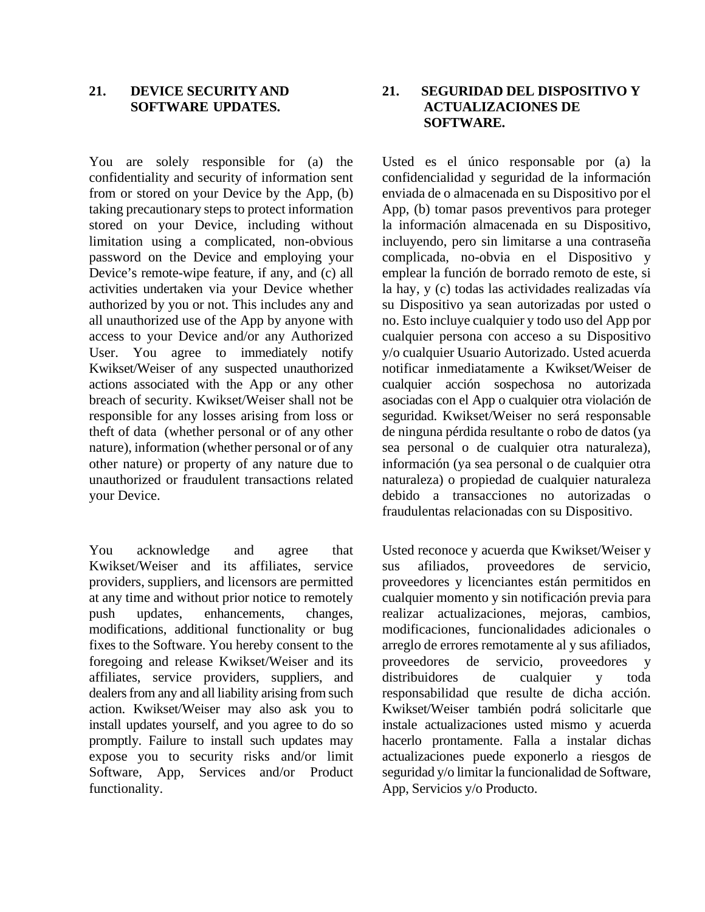#### **21. DEVICE SECURITYAND SOFTWARE UPDATES.**

You are solely responsible for (a) the confidentiality and security of information sent from or stored on your Device by the App, (b) taking precautionary steps to protect information stored on your Device, including without limitation using a complicated, non-obvious password on the Device and employing your Device's remote-wipe feature, if any, and (c) all activities undertaken via your Device whether authorized by you or not. This includes any and all unauthorized use of the App by anyone with access to your Device and/or any Authorized User. You agree to immediately notify Kwikset/Weiser of any suspected unauthorized actions associated with the App or any other breach of security. Kwikset/Weiser shall not be responsible for any losses arising from loss or theft of data (whether personal or of any other nature), information (whether personal or of any other nature) or property of any nature due to unauthorized or fraudulent transactions related your Device.

You acknowledge and agree that Kwikset/Weiser and its affiliates, service providers, suppliers, and licensors are permitted at any time and without prior notice to remotely push updates, enhancements, changes, modifications, additional functionality or bug fixes to the Software. You hereby consent to the foregoing and release Kwikset/Weiser and its affiliates, service providers, suppliers, and dealers from any and all liability arising from such action. Kwikset/Weiser may also ask you to install updates yourself, and you agree to do so promptly. Failure to install such updates may expose you to security risks and/or limit Software, App, Services and/or Product functionality.

### **21. SEGURIDAD DEL DISPOSITIVO Y ACTUALIZACIONES DE SOFTWARE.**

Usted es el único responsable por (a) la confidencialidad y seguridad de la información enviada de o almacenada en su Dispositivo por el App, (b) tomar pasos preventivos para proteger la información almacenada en su Dispositivo, incluyendo, pero sin limitarse a una contraseña complicada, no-obvia en el Dispositivo y emplear la función de borrado remoto de este, si la hay, y (c) todas las actividades realizadas vía su Dispositivo ya sean autorizadas por usted o no. Esto incluye cualquier y todo uso del App por cualquier persona con acceso a su Dispositivo y/o cualquier Usuario Autorizado. Usted acuerda notificar inmediatamente a Kwikset/Weiser de cualquier acción sospechosa no autorizada asociadas con el App o cualquier otra violación de seguridad. Kwikset/Weiser no será responsable de ninguna pérdida resultante o robo de datos (ya sea personal o de cualquier otra naturaleza), información (ya sea personal o de cualquier otra naturaleza) o propiedad de cualquier naturaleza debido a transacciones no autorizadas o fraudulentas relacionadas con su Dispositivo.

Usted reconoce y acuerda que Kwikset/Weiser y sus afiliados, proveedores de servicio, proveedores y licenciantes están permitidos en cualquier momento y sin notificación previa para realizar actualizaciones, mejoras, cambios, modificaciones, funcionalidades adicionales o arreglo de errores remotamente al y sus afiliados, proveedores de servicio, proveedores y distribuidores de cualquier y toda responsabilidad que resulte de dicha acción. Kwikset/Weiser también podrá solicitarle que instale actualizaciones usted mismo y acuerda hacerlo prontamente. Falla a instalar dichas actualizaciones puede exponerlo a riesgos de seguridad y/o limitar la funcionalidad de Software, App, Servicios y/o Producto.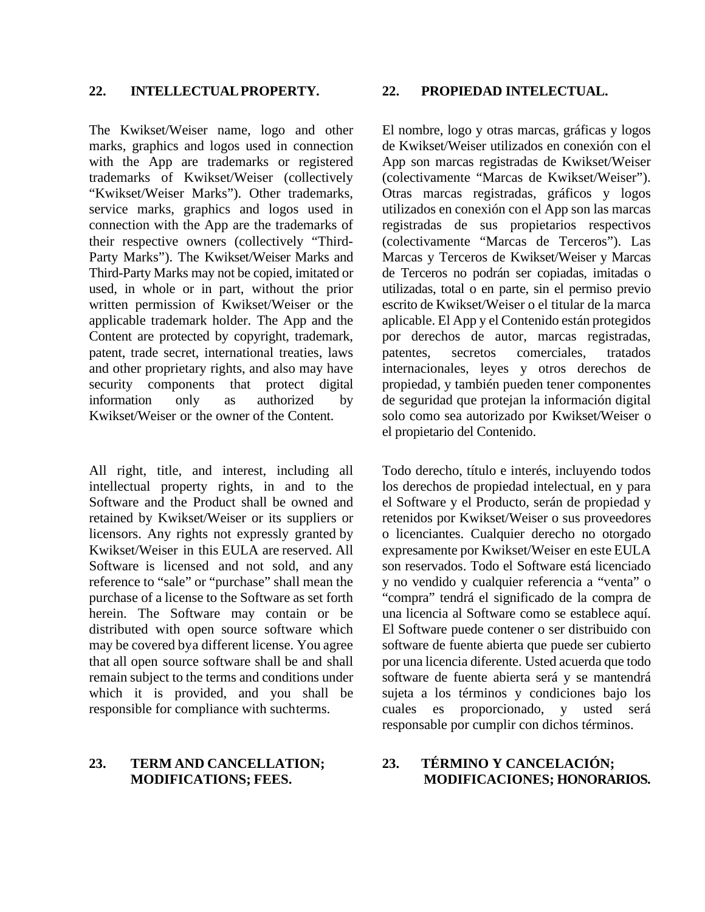The Kwikset/Weiser name, logo and other marks, graphics and logos used in connection with the App are trademarks or registered trademarks of Kwikset/Weiser (collectively "Kwikset/Weiser Marks"). Other trademarks, service marks, graphics and logos used in connection with the App are the trademarks of their respective owners (collectively "Third-Party Marks"). The Kwikset/Weiser Marks and Third-Party Marks may not be copied, imitated or used, in whole or in part, without the prior written permission of Kwikset/Weiser or the applicable trademark holder. The App and the Content are protected by copyright, trademark, patent, trade secret, international treaties, laws and other proprietary rights, and also may have security components that protect digital information only as authorized by Kwikset/Weiser or the owner of the Content.

All right, title, and interest, including all intellectual property rights, in and to the Software and the Product shall be owned and retained by Kwikset/Weiser or its suppliers or licensors. Any rights not expressly granted by Kwikset/Weiser in this EULA are reserved. All Software is licensed and not sold, and any reference to "sale" or "purchase" shall mean the purchase of a license to the Software as set forth herein. The Software may contain or be distributed with open source software which may be covered bya different license. You agree that all open source software shall be and shall remain subject to the terms and conditions under which it is provided, and you shall be responsible for compliance with suchterms.

## **23. TERM AND CANCELLATION; MODIFICATIONS; FEES.**

### **22. INTELLECTUALPROPERTY. 22. PROPIEDAD INTELECTUAL.**

El nombre, logo y otras marcas, gráficas y logos de Kwikset/Weiser utilizados en conexión con el App son marcas registradas de Kwikset/Weiser (colectivamente "Marcas de Kwikset/Weiser"). Otras marcas registradas, gráficos y logos utilizados en conexión con el App son las marcas registradas de sus propietarios respectivos (colectivamente "Marcas de Terceros"). Las Marcas y Terceros de Kwikset/Weiser y Marcas de Terceros no podrán ser copiadas, imitadas o utilizadas, total o en parte, sin el permiso previo escrito de Kwikset/Weiser o el titular de la marca aplicable. El App y el Contenido están protegidos por derechos de autor, marcas registradas, patentes, secretos comerciales, tratados internacionales, leyes y otros derechos de propiedad, y también pueden tener componentes de seguridad que protejan la información digital solo como sea autorizado por Kwikset/Weiser o el propietario del Contenido.

Todo derecho, título e interés, incluyendo todos los derechos de propiedad intelectual, en y para el Software y el Producto, serán de propiedad y retenidos por Kwikset/Weiser o sus proveedores o licenciantes. Cualquier derecho no otorgado expresamente por Kwikset/Weiser en este EULA son reservados. Todo el Software está licenciado y no vendido y cualquier referencia a "venta" o "compra" tendrá el significado de la compra de una licencia al Software como se establece aquí. El Software puede contener o ser distribuido con software de fuente abierta que puede ser cubierto por una licencia diferente. Usted acuerda que todo software de fuente abierta será y se mantendrá sujeta a los términos y condiciones bajo los cuales es proporcionado, y usted será responsable por cumplir con dichos términos.

# **23. TÉRMINO Y CANCELACIÓN; MODIFICACIONES; HONORARIOS.**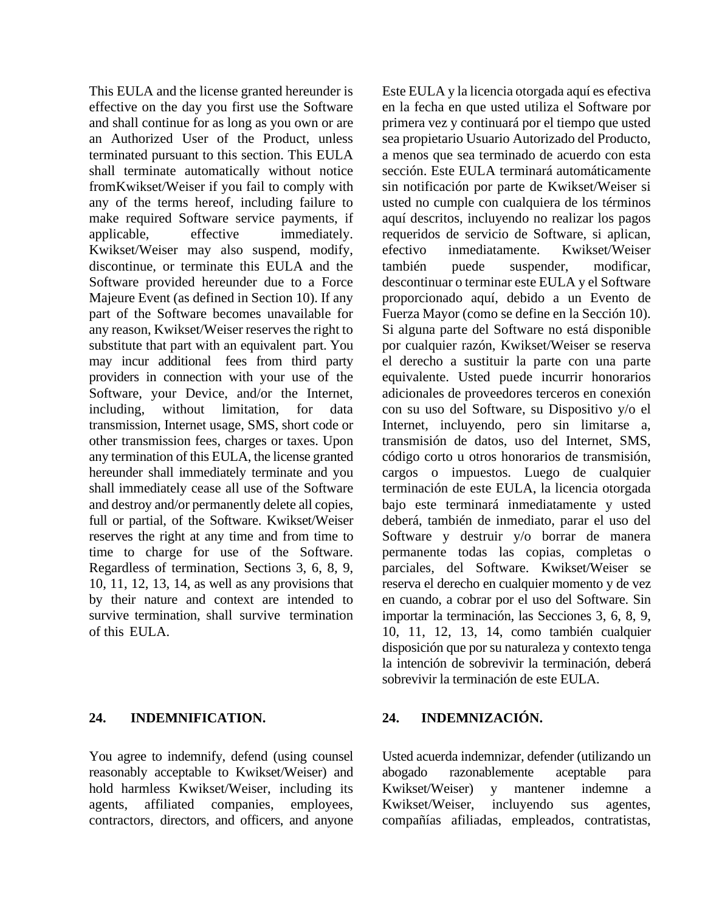This EULA and the license granted hereunder is effective on the day you first use the Software and shall continue for as long as you own or are an Authorized User of the Product, unless terminated pursuant to this section. This EULA shall terminate automatically without notice fromKwikset/Weiser if you fail to comply with any of the terms hereof, including failure to make required Software service payments, if applicable, effective immediately. Kwikset/Weiser may also suspend, modify, discontinue, or terminate this EULA and the Software provided hereunder due to a Force Majeure Event (as defined in Section 10). If any part of the Software becomes unavailable for any reason, Kwikset/Weiser reserves the right to substitute that part with an equivalent part. You may incur additional fees from third party providers in connection with your use of the Software, your Device, and/or the Internet, including, without limitation, for data transmission, Internet usage, SMS, short code or other transmission fees, charges or taxes. Upon any termination of this EULA, the license granted hereunder shall immediately terminate and you shall immediately cease all use of the Software and destroy and/or permanently delete all copies, full or partial, of the Software. Kwikset/Weiser reserves the right at any time and from time to time to charge for use of the Software. Regardless of termination, Sections 3, 6, 8, 9, 10, 11, 12, 13, 14, as well as any provisions that by their nature and context are intended to survive termination, shall survive termination of this EULA.

# **24. INDEMNIFICATION. 24. INDEMNIZACIÓN.**

You agree to indemnify, defend (using counsel reasonably acceptable to Kwikset/Weiser) and hold harmless Kwikset/Weiser, including its agents, affiliated companies, employees, contractors, directors, and officers, and anyone

Este EULA y la licencia otorgada aquí es efectiva en la fecha en que usted utiliza el Software por primera vez y continuará por el tiempo que usted sea propietario Usuario Autorizado del Producto, a menos que sea terminado de acuerdo con esta sección. Este EULA terminará automáticamente sin notificación por parte de Kwikset/Weiser si usted no cumple con cualquiera de los términos aquí descritos, incluyendo no realizar los pagos requeridos de servicio de Software, si aplican, efectivo inmediatamente. Kwikset/Weiser también puede suspender, modificar, descontinuar o terminar este EULA y el Software proporcionado aquí, debido a un Evento de Fuerza Mayor (como se define en la Sección 10). Si alguna parte del Software no está disponible por cualquier razón, Kwikset/Weiser se reserva el derecho a sustituir la parte con una parte equivalente. Usted puede incurrir honorarios adicionales de proveedores terceros en conexión con su uso del Software, su Dispositivo y/o el Internet, incluyendo, pero sin limitarse a, transmisión de datos, uso del Internet, SMS, código corto u otros honorarios de transmisión, cargos o impuestos. Luego de cualquier terminación de este EULA, la licencia otorgada bajo este terminará inmediatamente y usted deberá, también de inmediato, parar el uso del Software y destruir y/o borrar de manera permanente todas las copias, completas o parciales, del Software. Kwikset/Weiser se reserva el derecho en cualquier momento y de vez en cuando, a cobrar por el uso del Software. Sin importar la terminación, las Secciones 3, 6, 8, 9, 10, 11, 12, 13, 14, como también cualquier disposición que por su naturaleza y contexto tenga la intención de sobrevivir la terminación, deberá sobrevivir la terminación de este EULA.

Usted acuerda indemnizar, defender (utilizando un abogado razonablemente aceptable para Kwikset/Weiser) y mantener indemne a Kwikset/Weiser, incluyendo sus agentes, compañías afiliadas, empleados, contratistas,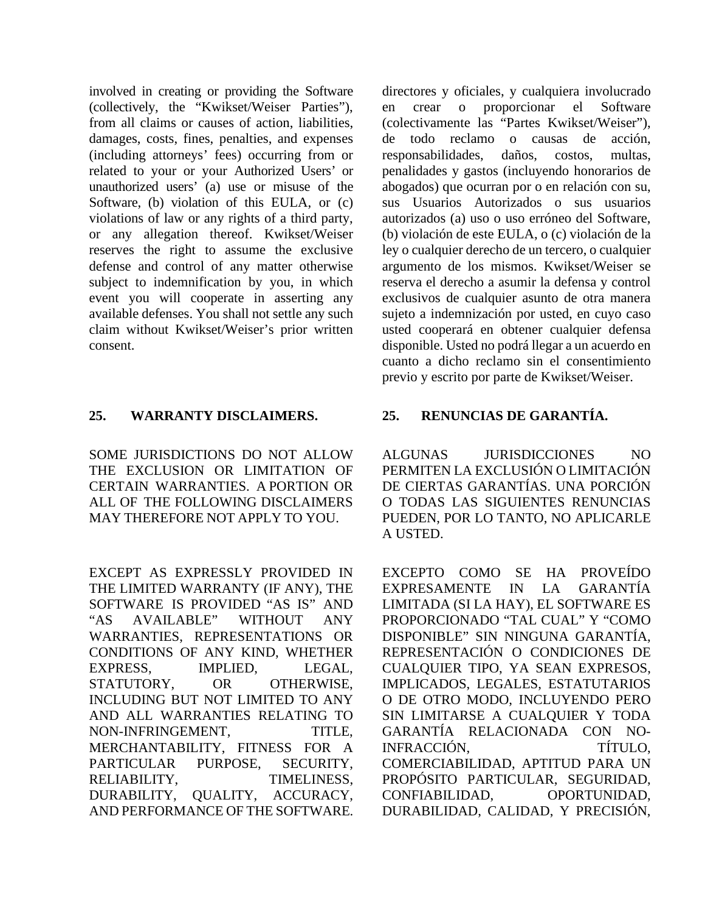involved in creating or providing the Software (collectively, the "Kwikset/Weiser Parties"), from all claims or causes of action, liabilities, damages, costs, fines, penalties, and expenses (including attorneys' fees) occurring from or related to your or your Authorized Users' or unauthorized users' (a) use or misuse of the Software, (b) violation of this EULA, or (c) violations of law or any rights of a third party, or any allegation thereof. Kwikset/Weiser reserves the right to assume the exclusive defense and control of any matter otherwise subject to indemnification by you, in which event you will cooperate in asserting any available defenses. You shall not settle any such claim without Kwikset/Weiser's prior written consent.

# **25. WARRANTY DISCLAIMERS. 25. RENUNCIAS DE GARANTÍA.**

SOME JURISDICTIONS DO NOT ALLOW THE EXCLUSION OR LIMITATION OF CERTAIN WARRANTIES. A PORTION OR ALL OF THE FOLLOWING DISCLAIMERS MAY THEREFORE NOT APPLY TO YOU.

EXCEPT AS EXPRESSLY PROVIDED IN THE LIMITED WARRANTY (IF ANY), THE SOFTWARE IS PROVIDED "AS IS" AND "AS AVAILABLE" WITHOUT ANY WARRANTIES, REPRESENTATIONS OR CONDITIONS OF ANY KIND, WHETHER EXPRESS, IMPLIED, LEGAL, STATUTORY, OR OTHERWISE, INCLUDING BUT NOT LIMITED TO ANY AND ALL WARRANTIES RELATING TO NON-INFRINGEMENT, TITLE, MERCHANTABILITY, FITNESS FOR A PARTICULAR PURPOSE, SECURITY, RELIABILITY, TIMELINESS, DURABILITY, QUALITY, ACCURACY, AND PERFORMANCE OF THE SOFTWARE.

directores y oficiales, y cualquiera involucrado en crear o proporcionar el Software (colectivamente las "Partes Kwikset/Weiser"), de todo reclamo o causas de acción, responsabilidades, daños, costos, multas, penalidades y gastos (incluyendo honorarios de abogados) que ocurran por o en relación con su, sus Usuarios Autorizados o sus usuarios autorizados (a) uso o uso erróneo del Software, (b) violación de este EULA, o (c) violación de la ley o cualquier derecho de un tercero, o cualquier argumento de los mismos. Kwikset/Weiser se reserva el derecho a asumir la defensa y control exclusivos de cualquier asunto de otra manera sujeto a indemnización por usted, en cuyo caso usted cooperará en obtener cualquier defensa disponible. Usted no podrá llegar a un acuerdo en cuanto a dicho reclamo sin el consentimiento previo y escrito por parte de Kwikset/Weiser.

ALGUNAS JURISDICCIONES NO PERMITEN LA EXCLUSIÓN O LIMITACIÓN DE CIERTAS GARANTÍAS. UNA PORCIÓN O TODAS LAS SIGUIENTES RENUNCIAS PUEDEN, POR LO TANTO, NO APLICARLE A USTED.

EXCEPTO COMO SE HA PROVEÍDO EXPRESAMENTE IN LA GARANTÍA LIMITADA (SI LA HAY), EL SOFTWARE ES PROPORCIONADO "TAL CUAL" Y "COMO DISPONIBLE" SIN NINGUNA GARANTÍA, REPRESENTACIÓN O CONDICIONES DE CUALQUIER TIPO, YA SEAN EXPRESOS, IMPLICADOS, LEGALES, ESTATUTARIOS O DE OTRO MODO, INCLUYENDO PERO SIN LIMITARSE A CUALQUIER Y TODA GARANTÍA RELACIONADA CON NO-INFRACCIÓN, TÍTULO, COMERCIABILIDAD, APTITUD PARA UN PROPÓSITO PARTICULAR, SEGURIDAD, CONFIABILIDAD, OPORTUNIDAD, DURABILIDAD, CALIDAD, Y PRECISIÓN,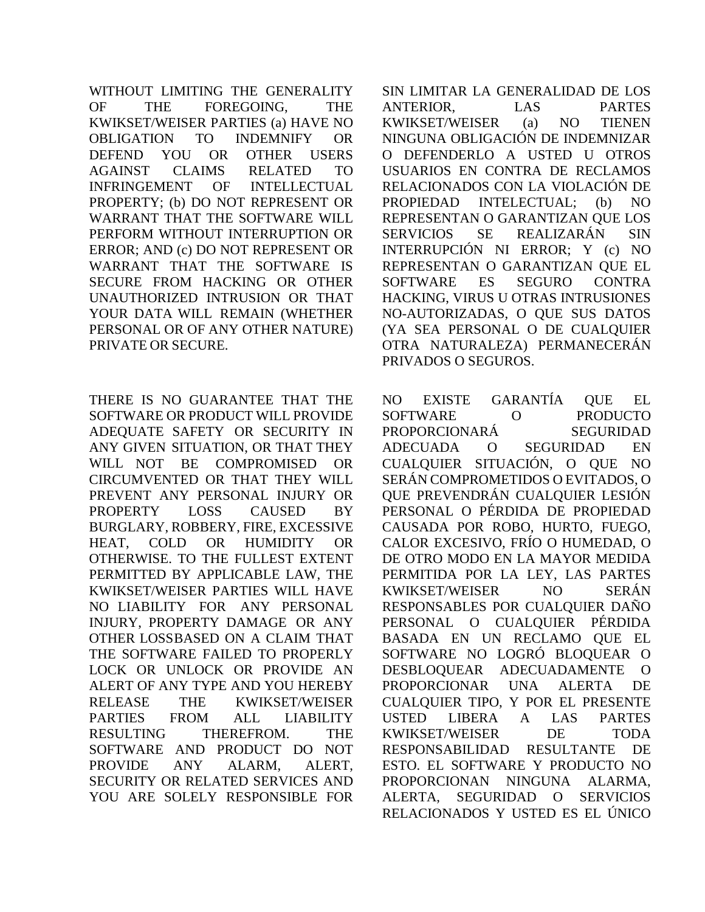WITHOUT LIMITING THE GENERALITY OF THE FOREGOING, THE KWIKSET/WEISER PARTIES (a) HAVE NO OBLIGATION TO INDEMNIFY OR DEFEND YOU OR OTHER USERS AGAINST CLAIMS RELATED TO INFRINGEMENT OF INTELLECTUAL PROPERTY; (b) DO NOT REPRESENT OR WARRANT THAT THE SOFTWARE WILL PERFORM WITHOUT INTERRUPTION OR ERROR; AND (c) DO NOT REPRESENT OR WARRANT THAT THE SOFTWARE IS SECURE FROM HACKING OR OTHER UNAUTHORIZED INTRUSION OR THAT YOUR DATA WILL REMAIN (WHETHER PERSONAL OR OF ANY OTHER NATURE) PRIVATE OR SECURE.

THERE IS NO GUARANTEE THAT THE SOFTWARE OR PRODUCT WILL PROVIDE ADEQUATE SAFETY OR SECURITY IN ANY GIVEN SITUATION, OR THAT THEY WILL NOT BE COMPROMISED OR CIRCUMVENTED OR THAT THEY WILL PREVENT ANY PERSONAL INJURY OR PROPERTY LOSS CAUSED BY BURGLARY, ROBBERY, FIRE, EXCESSIVE HEAT, COLD OR HUMIDITY OR OTHERWISE. TO THE FULLEST EXTENT PERMITTED BY APPLICABLE LAW, THE KWIKSET/WEISER PARTIES WILL HAVE NO LIABILITY FOR ANY PERSONAL INJURY, PROPERTY DAMAGE OR ANY OTHER LOSSBASED ON A CLAIM THAT THE SOFTWARE FAILED TO PROPERLY LOCK OR UNLOCK OR PROVIDE AN ALERT OF ANY TYPE AND YOU HEREBY RELEASE THE KWIKSET/WEISER PARTIES FROM ALL LIABILITY RESULTING THEREFROM. THE SOFTWARE AND PRODUCT DO NOT PROVIDE ANY ALARM, ALERT, SECURITY OR RELATED SERVICES AND YOU ARE SOLELY RESPONSIBLE FOR

SIN LIMITAR LA GENERALIDAD DE LOS ANTERIOR, LAS PARTES KWIKSET/WEISER (a) NO TIENEN NINGUNA OBLIGACIÓN DE INDEMNIZAR O DEFENDERLO A USTED U OTROS USUARIOS EN CONTRA DE RECLAMOS RELACIONADOS CON LA VIOLACIÓN DE PROPIEDAD INTELECTUAL; (b) NO REPRESENTAN O GARANTIZAN QUE LOS SERVICIOS SE REALIZARÁN SIN INTERRUPCIÓN NI ERROR; Y (c) NO REPRESENTAN O GARANTIZAN QUE EL SOFTWARE ES SEGURO CONTRA HACKING, VIRUS U OTRAS INTRUSIONES NO-AUTORIZADAS, O QUE SUS DATOS (YA SEA PERSONAL O DE CUALQUIER OTRA NATURALEZA) PERMANECERÁN PRIVADOS O SEGUROS.

NO EXISTE GARANTÍA QUE EL SOFTWARE O PRODUCTO PROPORCIONARÁ SEGURIDAD ADECUADA O SEGURIDAD EN CUALQUIER SITUACIÓN, O QUE NO SERÁN COMPROMETIDOS O EVITADOS, O QUE PREVENDRÁN CUALQUIER LESIÓN PERSONAL O PÉRDIDA DE PROPIEDAD CAUSADA POR ROBO, HURTO, FUEGO, CALOR EXCESIVO, FRÍO O HUMEDAD, O DE OTRO MODO EN LA MAYOR MEDIDA PERMITIDA POR LA LEY, LAS PARTES KWIKSET/WEISER NO SERÁN RESPONSABLES POR CUALQUIER DAÑO PERSONAL O CUALQUIER PÉRDIDA BASADA EN UN RECLAMO QUE EL SOFTWARE NO LOGRÓ BLOQUEAR O DESBLOQUEAR ADECUADAMENTE O PROPORCIONAR UNA ALERTA DE CUALQUIER TIPO, Y POR EL PRESENTE USTED LIBERA A LAS PARTES KWIKSET/WEISER DE TODA RESPONSABILIDAD RESULTANTE DE ESTO. EL SOFTWARE Y PRODUCTO NO PROPORCIONAN NINGUNA ALARMA, ALERTA, SEGURIDAD O SERVICIOS RELACIONADOS Y USTED ES EL ÚNICO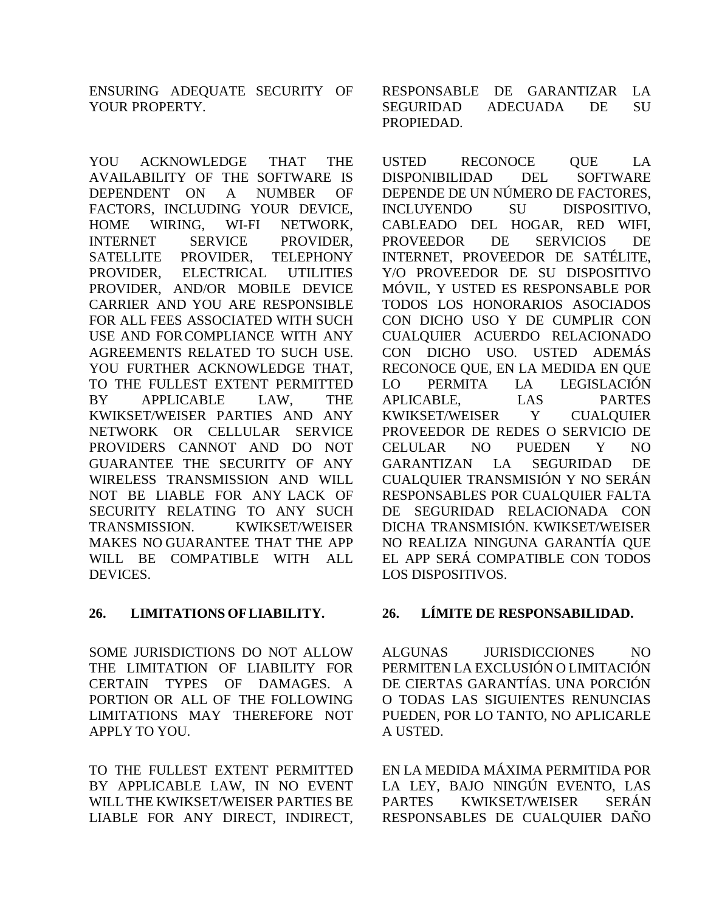ENSURING ADEQUATE SECURITY OF YOUR PROPERTY.

YOU ACKNOWLEDGE THAT THE AVAILABILITY OF THE SOFTWARE IS DEPENDENT ON A NUMBER OF FACTORS, INCLUDING YOUR DEVICE, HOME WIRING, WI-FI NETWORK, INTERNET SERVICE PROVIDER, SATELLITE PROVIDER, TELEPHONY PROVIDER, ELECTRICAL UTILITIES PROVIDER, AND/OR MOBILE DEVICE CARRIER AND YOU ARE RESPONSIBLE FOR ALL FEES ASSOCIATED WITH SUCH USE AND FORCOMPLIANCE WITH ANY AGREEMENTS RELATED TO SUCH USE. YOU FURTHER ACKNOWLEDGE THAT, TO THE FULLEST EXTENT PERMITTED BY APPLICABLE LAW, THE KWIKSET/WEISER PARTIES AND ANY NETWORK OR CELLULAR SERVICE PROVIDERS CANNOT AND DO NOT GUARANTEE THE SECURITY OF ANY WIRELESS TRANSMISSION AND WILL NOT BE LIABLE FOR ANY LACK OF SECURITY RELATING TO ANY SUCH TRANSMISSION. KWIKSET/WEISER MAKES NO GUARANTEE THAT THE APP WILL BE COMPATIBLE WITH ALL DEVICES.

SOME JURISDICTIONS DO NOT ALLOW THE LIMITATION OF LIABILITY FOR CERTAIN TYPES OF DAMAGES. A PORTION OR ALL OF THE FOLLOWING LIMITATIONS MAY THEREFORE NOT APPLY TO YOU.

TO THE FULLEST EXTENT PERMITTED BY APPLICABLE LAW, IN NO EVENT WILL THE KWIKSET/WEISER PARTIES BE LIABLE FOR ANY DIRECT, INDIRECT,

RESPONSABLE DE GARANTIZAR LA SEGURIDAD ADECUADA DE SU PROPIEDAD.

USTED RECONOCE OUE LA DISPONIBILIDAD DEL SOFTWARE DEPENDE DE UN NÚMERO DE FACTORES, INCLUYENDO SU DISPOSITIVO, CABLEADO DEL HOGAR, RED WIFI, PROVEEDOR DE SERVICIOS DE INTERNET, PROVEEDOR DE SATÉLITE, Y/O PROVEEDOR DE SU DISPOSITIVO MÓVIL, Y USTED ES RESPONSABLE POR TODOS LOS HONORARIOS ASOCIADOS CON DICHO USO Y DE CUMPLIR CON CUALQUIER ACUERDO RELACIONADO CON DICHO USO. USTED ADEMÁS RECONOCE QUE, EN LA MEDIDA EN QUE LO PERMITA LA LEGISLACIÓN APLICABLE, LAS PARTES KWIKSET/WEISER Y CUALQUIER PROVEEDOR DE REDES O SERVICIO DE CELULAR NO PUEDEN Y NO GARANTIZAN LA SEGURIDAD DE CUALQUIER TRANSMISIÓN Y NO SERÁN RESPONSABLES POR CUALQUIER FALTA DE SEGURIDAD RELACIONADA CON DICHA TRANSMISIÓN. KWIKSET/WEISER NO REALIZA NINGUNA GARANTÍA QUE EL APP SERÁ COMPATIBLE CON TODOS LOS DISPOSITIVOS.

# **26. LIMITATIONS OFLIABILITY. 26. LÍMITE DE RESPONSABILIDAD.**

ALGUNAS JURISDICCIONES NO PERMITEN LA EXCLUSIÓN O LIMITACIÓN DE CIERTAS GARANTÍAS. UNA PORCIÓN O TODAS LAS SIGUIENTES RENUNCIAS PUEDEN, POR LO TANTO, NO APLICARLE A USTED.

EN LA MEDIDA MÁXIMA PERMITIDA POR LA LEY, BAJO NINGÚN EVENTO, LAS PARTES KWIKSET/WEISER SERÁN RESPONSABLES DE CUALQUIER DAÑO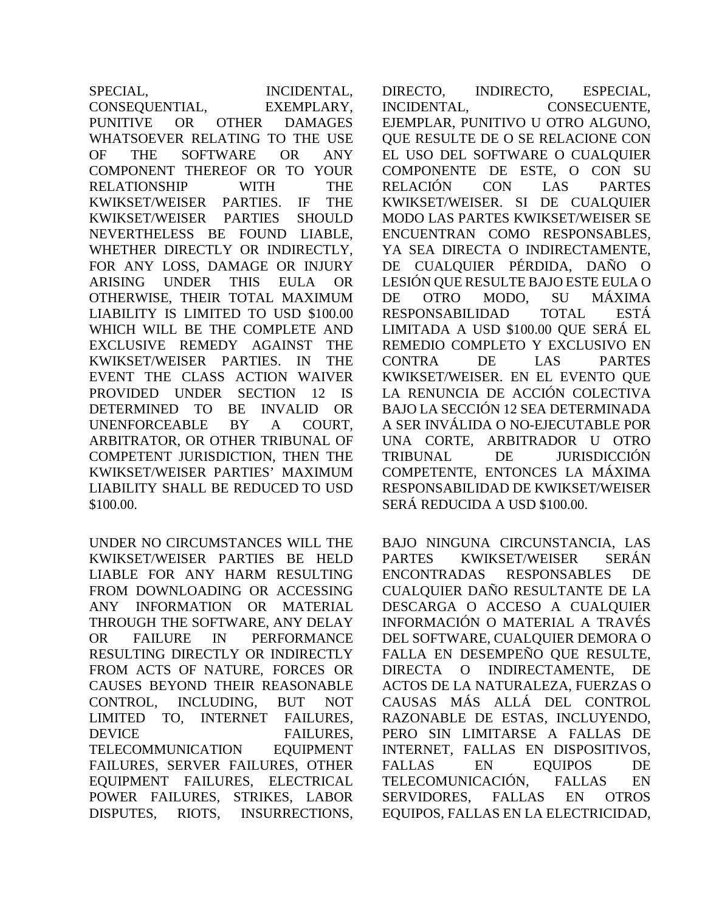SPECIAL, INCIDENTAL, CONSEQUENTIAL, EXEMPLARY, PUNITIVE OR OTHER DAMAGES WHATSOEVER RELATING TO THE USE OF THE SOFTWARE OR ANY COMPONENT THEREOF OR TO YOUR RELATIONSHIP WITH THE KWIKSET/WEISER PARTIES. IF THE KWIKSET/WEISER PARTIES SHOULD NEVERTHELESS BE FOUND LIABLE, WHETHER DIRECTLY OR INDIRECTLY, FOR ANY LOSS, DAMAGE OR INJURY ARISING UNDER THIS EULA OR OTHERWISE, THEIR TOTAL MAXIMUM LIABILITY IS LIMITED TO USD \$100.00 WHICH WILL BE THE COMPLETE AND EXCLUSIVE REMEDY AGAINST THE KWIKSET/WEISER PARTIES. IN THE EVENT THE CLASS ACTION WAIVER PROVIDED UNDER SECTION 12 IS DETERMINED TO BE INVALID OR UNENFORCEABLE BY A COURT, ARBITRATOR, OR OTHER TRIBUNAL OF COMPETENT JURISDICTION, THEN THE KWIKSET/WEISER PARTIES' MAXIMUM LIABILITY SHALL BE REDUCED TO USD \$100.00.

UNDER NO CIRCUMSTANCES WILL THE KWIKSET/WEISER PARTIES BE HELD LIABLE FOR ANY HARM RESULTING FROM DOWNLOADING OR ACCESSING ANY INFORMATION OR MATERIAL THROUGH THE SOFTWARE, ANY DELAY OR FAILURE IN PERFORMANCE RESULTING DIRECTLY OR INDIRECTLY FROM ACTS OF NATURE, FORCES OR CAUSES BEYOND THEIR REASONABLE CONTROL, INCLUDING, BUT NOT LIMITED TO, INTERNET FAILURES, DEVICE FAILURES, TELECOMMUNICATION EQUIPMENT FAILURES, SERVER FAILURES, OTHER EQUIPMENT FAILURES, ELECTRICAL POWER FAILURES, STRIKES, LABOR DISPUTES, RIOTS, INSURRECTIONS,

DIRECTO, INDIRECTO, ESPECIAL, INCIDENTAL, CONSECUENTE, EJEMPLAR, PUNITIVO U OTRO ALGUNO, QUE RESULTE DE O SE RELACIONE CON EL USO DEL SOFTWARE O CUALQUIER COMPONENTE DE ESTE, O CON SU RELACIÓN CON LAS PARTES KWIKSET/WEISER. SI DE CUALQUIER MODO LAS PARTES KWIKSET/WEISER SE ENCUENTRAN COMO RESPONSABLES, YA SEA DIRECTA O INDIRECTAMENTE, DE CUALQUIER PÉRDIDA, DAÑO O LESIÓN QUE RESULTE BAJO ESTE EULA O DE OTRO MODO, SU MÁXIMA RESPONSABILIDAD TOTAL ESTÁ LIMITADA A USD \$100.00 QUE SERÁ EL REMEDIO COMPLETO Y EXCLUSIVO EN CONTRA DE LAS PARTES KWIKSET/WEISER. EN EL EVENTO QUE LA RENUNCIA DE ACCIÓN COLECTIVA BAJO LA SECCIÓN 12 SEA DETERMINADA A SER INVÁLIDA O NO-EJECUTABLE POR UNA CORTE, ARBITRADOR U OTRO TRIBUNAL DE JURISDICCIÓN COMPETENTE, ENTONCES LA MÁXIMA RESPONSABILIDAD DE KWIKSET/WEISER SERÁ REDUCIDA A USD \$100.00.

BAJO NINGUNA CIRCUNSTANCIA, LAS PARTES KWIKSET/WEISER SERÁN ENCONTRADAS RESPONSABLES DE CUALQUIER DAÑO RESULTANTE DE LA DESCARGA O ACCESO A CUALQUIER INFORMACIÓN O MATERIAL A TRAVÉS DEL SOFTWARE, CUALQUIER DEMORA O FALLA EN DESEMPEÑO QUE RESULTE, DIRECTA O INDIRECTAMENTE, DE ACTOS DE LA NATURALEZA, FUERZAS O CAUSAS MÁS ALLÁ DEL CONTROL RAZONABLE DE ESTAS, INCLUYENDO, PERO SIN LIMITARSE A FALLAS DE INTERNET, FALLAS EN DISPOSITIVOS, FALLAS EN EQUIPOS DE TELECOMUNICACIÓN, FALLAS EN SERVIDORES, FALLAS EN OTROS EQUIPOS, FALLAS EN LA ELECTRICIDAD,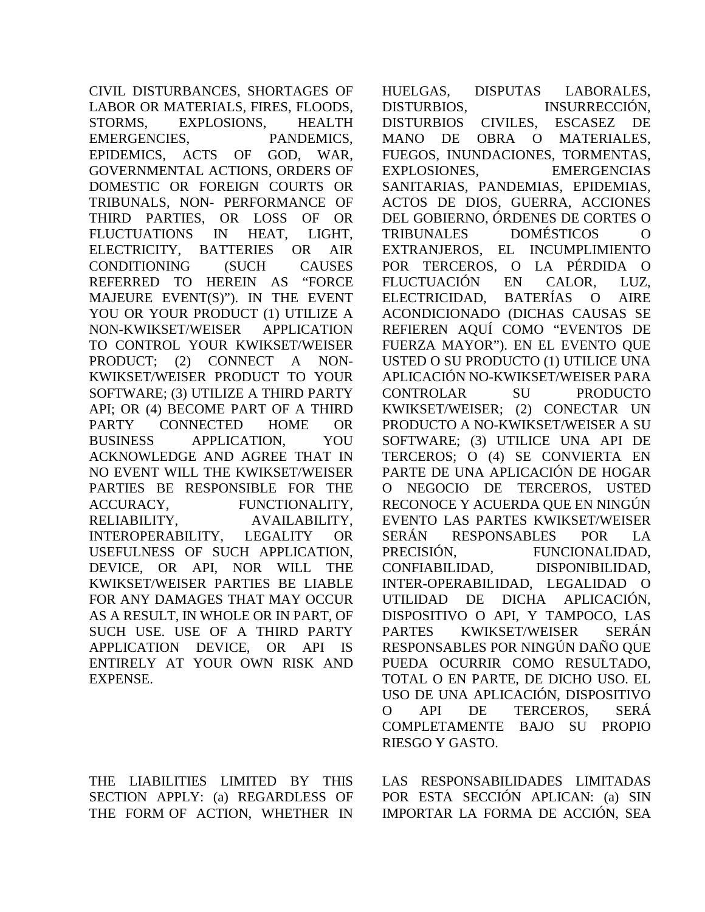CIVIL DISTURBANCES, SHORTAGES OF LABOR OR MATERIALS, FIRES, FLOODS, STORMS, EXPLOSIONS, HEALTH EMERGENCIES, PANDEMICS, EPIDEMICS, ACTS OF GOD, WAR, GOVERNMENTAL ACTIONS, ORDERS OF DOMESTIC OR FOREIGN COURTS OR TRIBUNALS, NON- PERFORMANCE OF THIRD PARTIES, OR LOSS OF OR FLUCTUATIONS IN HEAT, LIGHT, ELECTRICITY, BATTERIES OR AIR CONDITIONING (SUCH CAUSES REFERRED TO HEREIN AS "FORCE MAJEURE EVENT(S)"). IN THE EVENT YOU OR YOUR PRODUCT (1) UTILIZE A NON-KWIKSET/WEISER APPLICATION TO CONTROL YOUR KWIKSET/WEISER PRODUCT; (2) CONNECT A NON-KWIKSET/WEISER PRODUCT TO YOUR SOFTWARE; (3) UTILIZE A THIRD PARTY API; OR (4) BECOME PART OF A THIRD PARTY CONNECTED HOME OR BUSINESS APPLICATION, YOU ACKNOWLEDGE AND AGREE THAT IN NO EVENT WILL THE KWIKSET/WEISER PARTIES BE RESPONSIBLE FOR THE ACCURACY, FUNCTIONALITY, RELIABILITY, AVAILABILITY, INTEROPERABILITY, LEGALITY OR USEFULNESS OF SUCH APPLICATION, DEVICE, OR API, NOR WILL THE KWIKSET/WEISER PARTIES BE LIABLE FOR ANY DAMAGES THAT MAY OCCUR AS A RESULT, IN WHOLE OR IN PART, OF SUCH USE. USE OF A THIRD PARTY APPLICATION DEVICE, OR API IS ENTIRELY AT YOUR OWN RISK AND EXPENSE.

THE LIABILITIES LIMITED BY THIS SECTION APPLY: (a) REGARDLESS OF THE FORM OF ACTION, WHETHER IN

HUELGAS, DISPUTAS LABORALES, DISTURBIOS, INSURRECCIÓN, DISTURBIOS CIVILES, ESCASEZ DE MANO DE OBRA O MATERIALES, FUEGOS, INUNDACIONES, TORMENTAS, EXPLOSIONES, EMERGENCIAS SANITARIAS, PANDEMIAS, EPIDEMIAS, ACTOS DE DIOS, GUERRA, ACCIONES DEL GOBIERNO, ÓRDENES DE CORTES O TRIBUNALES DOMÉSTICOS O EXTRANJEROS, EL INCUMPLIMIENTO POR TERCEROS, O LA PÉRDIDA O FLUCTUACIÓN EN CALOR, LUZ, ELECTRICIDAD, BATERÍAS O AIRE ACONDICIONADO (DICHAS CAUSAS SE REFIEREN AQUÍ COMO "EVENTOS DE FUERZA MAYOR"). EN EL EVENTO QUE USTED O SU PRODUCTO (1) UTILICE UNA APLICACIÓN NO-KWIKSET/WEISER PARA CONTROLAR SU PRODUCTO KWIKSET/WEISER; (2) CONECTAR UN PRODUCTO A NO-KWIKSET/WEISER A SU SOFTWARE; (3) UTILICE UNA API DE TERCEROS; O (4) SE CONVIERTA EN PARTE DE UNA APLICACIÓN DE HOGAR O NEGOCIO DE TERCEROS, USTED RECONOCE Y ACUERDA QUE EN NINGÚN EVENTO LAS PARTES KWIKSET/WEISER SERÁN RESPONSABLES POR LA PRECISIÓN, FUNCIONALIDAD, CONFIABILIDAD, DISPONIBILIDAD, INTER-OPERABILIDAD, LEGALIDAD O UTILIDAD DE DICHA APLICACIÓN, DISPOSITIVO O API, Y TAMPOCO, LAS PARTES KWIKSET/WEISER SERÁN RESPONSABLES POR NINGÚN DAÑO QUE PUEDA OCURRIR COMO RESULTADO, TOTAL O EN PARTE, DE DICHO USO. EL USO DE UNA APLICACIÓN, DISPOSITIVO O API DE TERCEROS, SERÁ COMPLETAMENTE BAJO SU PROPIO RIESGO Y GASTO.

LAS RESPONSABILIDADES LIMITADAS POR ESTA SECCIÓN APLICAN: (a) SIN IMPORTAR LA FORMA DE ACCIÓN, SEA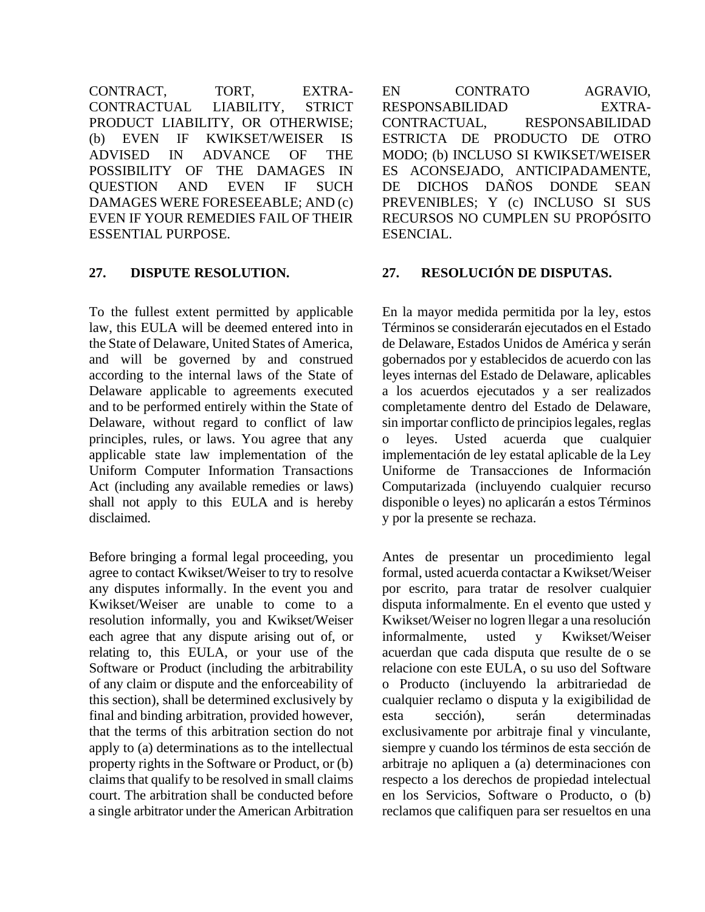CONTRACT, TORT, EXTRA-CONTRACTUAL LIABILITY, STRICT PRODUCT LIABILITY, OR OTHERWISE; (b) EVEN IF KWIKSET/WEISER IS ADVISED IN ADVANCE OF THE POSSIBILITY OF THE DAMAGES IN QUESTION AND EVEN IF SUCH DAMAGES WERE FORESEEABLE; AND (c) EVEN IF YOUR REMEDIES FAIL OF THEIR ESSENTIAL PURPOSE.

To the fullest extent permitted by applicable law, this EULA will be deemed entered into in the State of Delaware, United States of America, and will be governed by and construed according to the internal laws of the State of Delaware applicable to agreements executed and to be performed entirely within the State of Delaware, without regard to conflict of law principles, rules, or laws. You agree that any applicable state law implementation of the Uniform Computer Information Transactions Act (including any available remedies or laws) shall not apply to this EULA and is hereby disclaimed.

Before bringing a formal legal proceeding, you agree to contact Kwikset/Weiser to try to resolve any disputes informally. In the event you and Kwikset/Weiser are unable to come to a resolution informally, you and Kwikset/Weiser each agree that any dispute arising out of, or relating to, this EULA, or your use of the Software or Product (including the arbitrability of any claim or dispute and the enforceability of this section), shall be determined exclusively by final and binding arbitration, provided however, that the terms of this arbitration section do not apply to (a) determinations as to the intellectual property rights in the Software or Product, or (b) claims that qualify to be resolved in small claims court. The arbitration shall be conducted before a single arbitrator under the American Arbitration EN CONTRATO AGRAVIO, RESPONSABILIDAD EXTRA-CONTRACTUAL, RESPONSABILIDAD ESTRICTA DE PRODUCTO DE OTRO MODO; (b) INCLUSO SI KWIKSET/WEISER ES ACONSEJADO, ANTICIPADAMENTE, DE DICHOS DAÑOS DONDE SEAN PREVENIBLES; Y (c) INCLUSO SI SUS RECURSOS NO CUMPLEN SU PROPÓSITO ESENCIAL.

## **27. DISPUTE RESOLUTION. 27. RESOLUCIÓN DE DISPUTAS.**

En la mayor medida permitida por la ley, estos Términos se considerarán ejecutados en el Estado de Delaware, Estados Unidos de América y serán gobernados por y establecidos de acuerdo con las leyes internas del Estado de Delaware, aplicables a los acuerdos ejecutados y a ser realizados completamente dentro del Estado de Delaware, sin importar conflicto de principios legales, reglas o leyes. Usted acuerda que cualquier implementación de ley estatal aplicable de la Ley Uniforme de Transacciones de Información Computarizada (incluyendo cualquier recurso disponible o leyes) no aplicarán a estos Términos y por la presente se rechaza.

Antes de presentar un procedimiento legal formal, usted acuerda contactar a Kwikset/Weiser por escrito, para tratar de resolver cualquier disputa informalmente. En el evento que usted y Kwikset/Weiser no logren llegar a una resolución informalmente, usted y Kwikset/Weiser acuerdan que cada disputa que resulte de o se relacione con este EULA, o su uso del Software o Producto (incluyendo la arbitrariedad de cualquier reclamo o disputa y la exigibilidad de esta sección), serán determinadas exclusivamente por arbitraje final y vinculante, siempre y cuando los términos de esta sección de arbitraje no apliquen a (a) determinaciones con respecto a los derechos de propiedad intelectual en los Servicios, Software o Producto, o (b) reclamos que califiquen para ser resueltos en una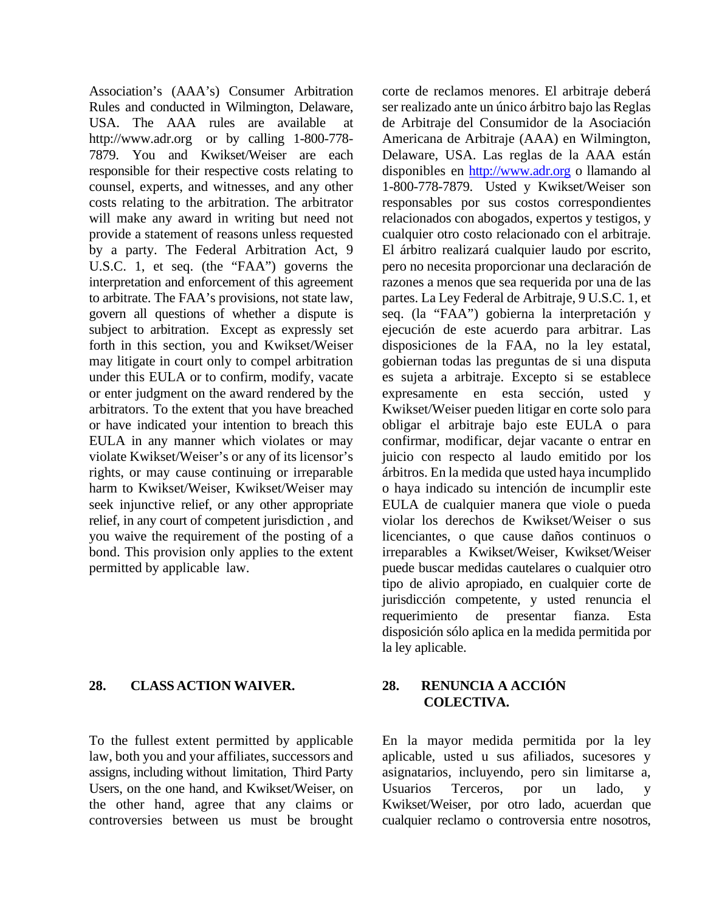Association's (AAA's) Consumer Arbitration Rules and conducted in Wilmington, Delaware, USA. The AAA rules are available at [http://www.adr.org](http://www.adr.org/) or by calling 1-800-778- 7879. You and Kwikset/Weiser are each responsible for their respective costs relating to counsel, experts, and witnesses, and any other costs relating to the arbitration. The arbitrator will make any award in writing but need not provide a statement of reasons unless requested by a party. The Federal Arbitration Act, 9 U.S.C. 1, et seq. (the "FAA") governs the interpretation and enforcement of this agreement to arbitrate. The FAA's provisions, not state law, govern all questions of whether a dispute is subject to arbitration. Except as expressly set forth in this section, you and Kwikset/Weiser may litigate in court only to compel arbitration under this EULA or to confirm, modify, vacate or enter judgment on the award rendered by the arbitrators. To the extent that you have breached or have indicated your intention to breach this EULA in any manner which violates or may violate Kwikset/Weiser's or any of its licensor's rights, or may cause continuing or irreparable harm to Kwikset/Weiser, Kwikset/Weiser may seek injunctive relief, or any other appropriate relief, in any court of competent jurisdiction , and you waive the requirement of the posting of a bond. This provision only applies to the extent permitted by applicable law.

# **28. CLASS ACTION WAIVER. 28. RENUNCIA A ACCIÓN**

To the fullest extent permitted by applicable law, both you and your affiliates, successors and assigns, including without limitation, Third Party Users, on the one hand, and Kwikset/Weiser, on the other hand, agree that any claims or controversies between us must be brought

corte de reclamos menores. El arbitraje deberá ser realizado ante un único árbitro bajo las Reglas de Arbitraje del Consumidor de la Asociación Americana de Arbitraje (AAA) en Wilmington, Delaware, USA. Las reglas de la AAA están disponibles en [http://www.adr.org](http://www.adr.org/) o llamando al 1-800-778-7879. Usted y Kwikset/Weiser son responsables por sus costos correspondientes relacionados con abogados, expertos y testigos, y cualquier otro costo relacionado con el arbitraje. El árbitro realizará cualquier laudo por escrito, pero no necesita proporcionar una declaración de razones a menos que sea requerida por una de las partes. La Ley Federal de Arbitraje, 9 U.S.C. 1, et seq. (la "FAA") gobierna la interpretación y ejecución de este acuerdo para arbitrar. Las disposiciones de la FAA, no la ley estatal, gobiernan todas las preguntas de si una disputa es sujeta a arbitraje. Excepto si se establece expresamente en esta sección, usted y Kwikset/Weiser pueden litigar en corte solo para obligar el arbitraje bajo este EULA o para confirmar, modificar, dejar vacante o entrar en juicio con respecto al laudo emitido por los árbitros. En la medida que usted haya incumplido o haya indicado su intención de incumplir este EULA de cualquier manera que viole o pueda violar los derechos de Kwikset/Weiser o sus licenciantes, o que cause daños continuos o irreparables a Kwikset/Weiser, Kwikset/Weiser puede buscar medidas cautelares o cualquier otro tipo de alivio apropiado, en cualquier corte de jurisdicción competente, y usted renuncia el requerimiento de presentar fianza. Esta disposición sólo aplica en la medida permitida por la ley aplicable.

# **COLECTIVA.**

En la mayor medida permitida por la ley aplicable, usted u sus afiliados, sucesores y asignatarios, incluyendo, pero sin limitarse a, Usuarios Terceros, por un lado, y Kwikset/Weiser, por otro lado, acuerdan que cualquier reclamo o controversia entre nosotros,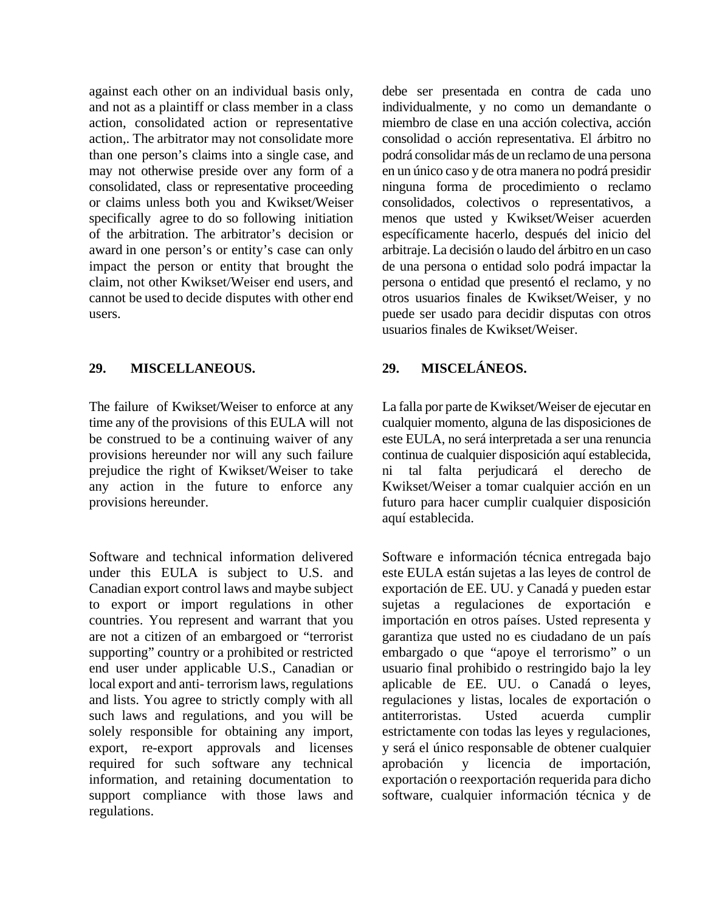against each other on an individual basis only, and not as a plaintiff or class member in a class action, consolidated action or representative action,. The arbitrator may not consolidate more than one person's claims into a single case, and may not otherwise preside over any form of a consolidated, class or representative proceeding or claims unless both you and Kwikset/Weiser specifically agree to do so following initiation of the arbitration. The arbitrator's decision or award in one person's or entity's case can only impact the person or entity that brought the claim, not other Kwikset/Weiser end users, and cannot be used to decide disputes with other end users.

## **29. MISCELLANEOUS. 29. MISCELÁNEOS.**

The failure of Kwikset/Weiser to enforce at any time any of the provisions of this EULA will not be construed to be a continuing waiver of any provisions hereunder nor will any such failure prejudice the right of Kwikset/Weiser to take any action in the future to enforce any provisions hereunder.

Software and technical information delivered under this EULA is subject to U.S. and Canadian export control laws and maybe subject to export or import regulations in other countries. You represent and warrant that you are not a citizen of an embargoed or "terrorist supporting" country or a prohibited or restricted end user under applicable U.S., Canadian or local export and anti- terrorism laws, regulations and lists. You agree to strictly comply with all such laws and regulations, and you will be solely responsible for obtaining any import, export, re-export approvals and licenses required for such software any technical information, and retaining documentation to support compliance with those laws and regulations.

debe ser presentada en contra de cada uno individualmente, y no como un demandante o miembro de clase en una acción colectiva, acción consolidad o acción representativa. El árbitro no podrá consolidar más de un reclamo de una persona en un único caso y de otra manera no podrá presidir ninguna forma de procedimiento o reclamo consolidados, colectivos o representativos, a menos que usted y Kwikset/Weiser acuerden específicamente hacerlo, después del inicio del arbitraje. La decisión o laudo del árbitro en un caso de una persona o entidad solo podrá impactar la persona o entidad que presentó el reclamo, y no otros usuarios finales de Kwikset/Weiser, y no puede ser usado para decidir disputas con otros usuarios finales de Kwikset/Weiser.

La falla por parte de Kwikset/Weiser de ejecutar en cualquier momento, alguna de las disposiciones de este EULA, no será interpretada a ser una renuncia continua de cualquier disposición aquí establecida, ni tal falta perjudicará el derecho de Kwikset/Weiser a tomar cualquier acción en un futuro para hacer cumplir cualquier disposición aquí establecida.

Software e información técnica entregada bajo este EULA están sujetas a las leyes de control de exportación de EE. UU. y Canadá y pueden estar sujetas a regulaciones de exportación e importación en otros países. Usted representa y garantiza que usted no es ciudadano de un país embargado o que "apoye el terrorismo" o un usuario final prohibido o restringido bajo la ley aplicable de EE. UU. o Canadá o leyes, regulaciones y listas, locales de exportación o antiterroristas. Usted acuerda cumplir estrictamente con todas las leyes y regulaciones, y será el único responsable de obtener cualquier aprobación y licencia de importación, exportación o reexportación requerida para dicho software, cualquier información técnica y de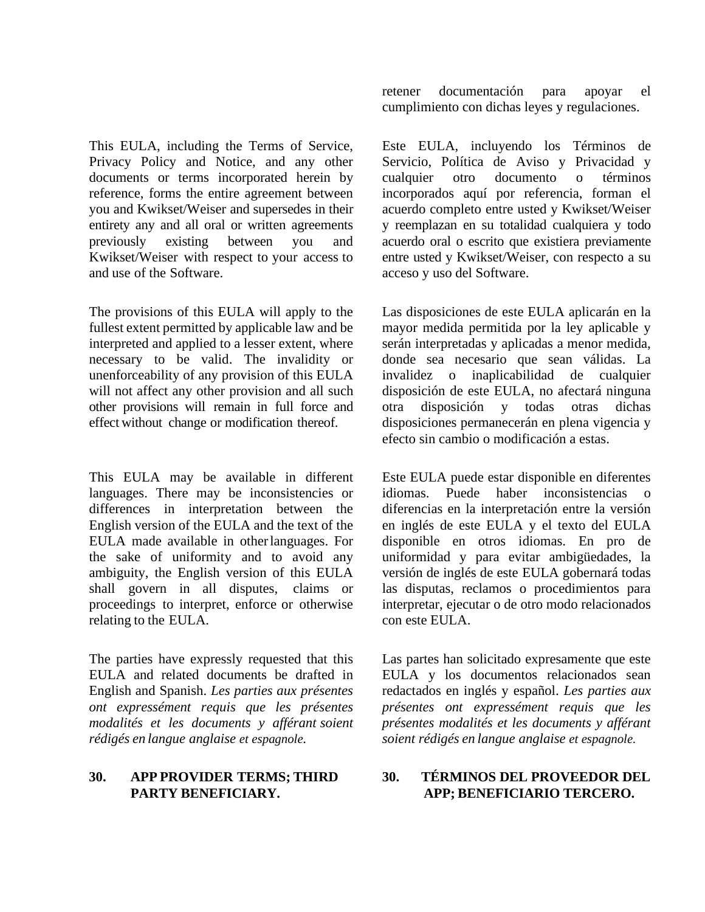This EULA, including the Terms of Service, Privacy Policy and Notice, and any other documents or terms incorporated herein by reference, forms the entire agreement between you and Kwikset/Weiser and supersedes in their entirety any and all oral or written agreements previously existing between you and Kwikset/Weiser with respect to your access to and use of the Software.

The provisions of this EULA will apply to the fullest extent permitted by applicable law and be interpreted and applied to a lesser extent, where necessary to be valid. The invalidity or unenforceability of any provision of this EULA will not affect any other provision and all such other provisions will remain in full force and effect without change or modification thereof.

This EULA may be available in different languages. There may be inconsistencies or differences in interpretation between the English version of the EULA and the text of the EULA made available in otherlanguages. For the sake of uniformity and to avoid any ambiguity, the English version of this EULA shall govern in all disputes, claims or proceedings to interpret, enforce or otherwise relating to the EULA.

The parties have expressly requested that this EULA and related documents be drafted in English and Spanish. *Les parties aux présentes ont expressément requis que les présentes modalités et les documents y afférant soient rédigés en langue anglaise et espagnole.*

#### **30. APP PROVIDER TERMS; THIRD PARTY BENEFICIARY.**

retener documentación para apoyar el cumplimiento con dichas leyes y regulaciones.

Este EULA, incluyendo los Términos de Servicio, Política de Aviso y Privacidad y cualquier otro documento o términos incorporados aquí por referencia, forman el acuerdo completo entre usted y Kwikset/Weiser y reemplazan en su totalidad cualquiera y todo acuerdo oral o escrito que existiera previamente entre usted y Kwikset/Weiser, con respecto a su acceso y uso del Software.

Las disposiciones de este EULA aplicarán en la mayor medida permitida por la ley aplicable y serán interpretadas y aplicadas a menor medida, donde sea necesario que sean válidas. La invalidez o inaplicabilidad de cualquier disposición de este EULA, no afectará ninguna otra disposición y todas otras dichas disposiciones permanecerán en plena vigencia y efecto sin cambio o modificación a estas.

Este EULA puede estar disponible en diferentes idiomas. Puede haber inconsistencias diferencias en la interpretación entre la versión en inglés de este EULA y el texto del EULA disponible en otros idiomas. En pro de uniformidad y para evitar ambigüedades, la versión de inglés de este EULA gobernará todas las disputas, reclamos o procedimientos para interpretar, ejecutar o de otro modo relacionados con este EULA.

Las partes han solicitado expresamente que este EULA y los documentos relacionados sean redactados en inglés y español. *Les parties aux présentes ont expressément requis que les présentes modalités et les documents y afférant soient rédigés en langue anglaise et espagnole.*

# **30. TÉRMINOS DEL PROVEEDOR DEL APP; BENEFICIARIO TERCERO.**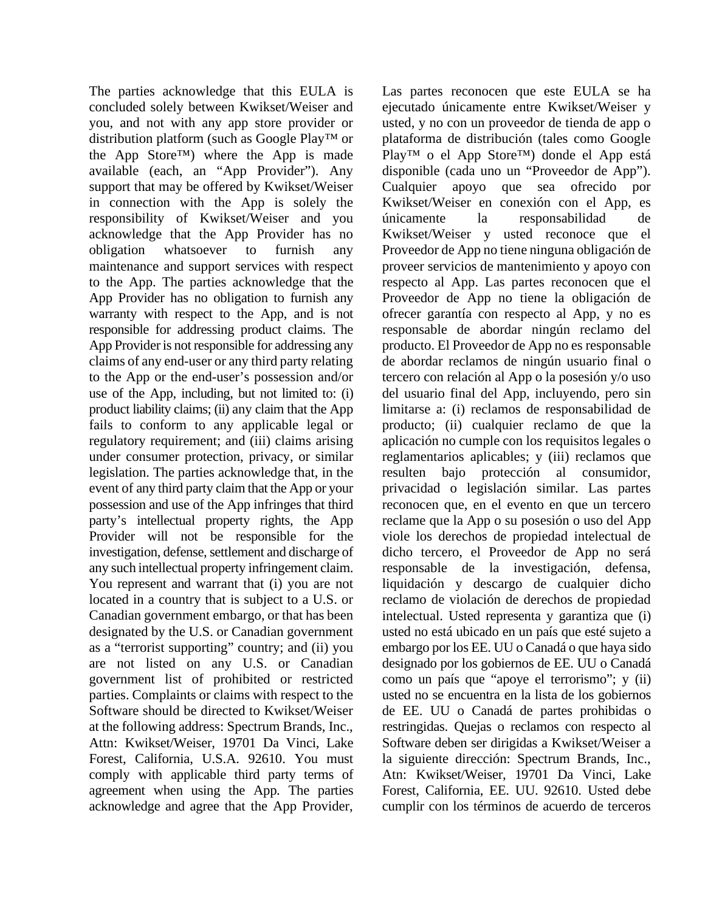The parties acknowledge that this EULA is concluded solely between Kwikset/Weiser and you, and not with any app store provider or distribution platform (such as Google Play™ or the App Store™) where the App is made available (each, an "App Provider"). Any support that may be offered by Kwikset/Weiser in connection with the App is solely the responsibility of Kwikset/Weiser and you acknowledge that the App Provider has no obligation whatsoever to furnish any maintenance and support services with respect to the App. The parties acknowledge that the App Provider has no obligation to furnish any warranty with respect to the App, and is not responsible for addressing product claims. The App Provider is not responsible for addressing any claims of any end-user or any third party relating to the App or the end-user's possession and/or use of the App, including, but not limited to: (i) product liability claims; (ii) any claim that the App fails to conform to any applicable legal or regulatory requirement; and (iii) claims arising under consumer protection, privacy, or similar legislation. The parties acknowledge that, in the event of any third party claim that the App or your possession and use of the App infringes that third party's intellectual property rights, the App Provider will not be responsible for the investigation, defense, settlement and discharge of any such intellectual property infringement claim. You represent and warrant that (i) you are not located in a country that is subject to a U.S. or Canadian government embargo, or that has been designated by the U.S. or Canadian government as a "terrorist supporting" country; and (ii) you are not listed on any U.S. or Canadian government list of prohibited or restricted parties. Complaints or claims with respect to the Software should be directed to Kwikset/Weiser at the following address: Spectrum Brands, Inc., Attn: Kwikset/Weiser, 19701 Da Vinci, Lake Forest, California, U.S.A. 92610. You must comply with applicable third party terms of agreement when using the App. The parties acknowledge and agree that the App Provider,

Las partes reconocen que este EULA se ha ejecutado únicamente entre Kwikset/Weiser y usted, y no con un proveedor de tienda de app o plataforma de distribución (tales como Google Play™ o el App Store™) donde el App está disponible (cada uno un "Proveedor de App"). Cualquier apoyo que sea ofrecido por Kwikset/Weiser en conexión con el App, es únicamente la responsabilidad de Kwikset/Weiser y usted reconoce que el Proveedor de App no tiene ninguna obligación de proveer servicios de mantenimiento y apoyo con respecto al App. Las partes reconocen que el Proveedor de App no tiene la obligación de ofrecer garantía con respecto al App, y no es responsable de abordar ningún reclamo del producto. El Proveedor de App no es responsable de abordar reclamos de ningún usuario final o tercero con relación al App o la posesión y/o uso del usuario final del App, incluyendo, pero sin limitarse a: (i) reclamos de responsabilidad de producto; (ii) cualquier reclamo de que la aplicación no cumple con los requisitos legales o reglamentarios aplicables; y (iii) reclamos que resulten bajo protección al consumidor, privacidad o legislación similar. Las partes reconocen que, en el evento en que un tercero reclame que la App o su posesión o uso del App viole los derechos de propiedad intelectual de dicho tercero, el Proveedor de App no será responsable de la investigación, defensa, liquidación y descargo de cualquier dicho reclamo de violación de derechos de propiedad intelectual. Usted representa y garantiza que (i) usted no está ubicado en un país que esté sujeto a embargo por los EE. UU o Canadá o que haya sido designado por los gobiernos de EE. UU o Canadá como un país que "apoye el terrorismo"; y (ii) usted no se encuentra en la lista de los gobiernos de EE. UU o Canadá de partes prohibidas o restringidas. Quejas o reclamos con respecto al Software deben ser dirigidas a Kwikset/Weiser a la siguiente dirección: Spectrum Brands, Inc., Atn: Kwikset/Weiser, 19701 Da Vinci, Lake Forest, California, EE. UU. 92610. Usted debe cumplir con los términos de acuerdo de terceros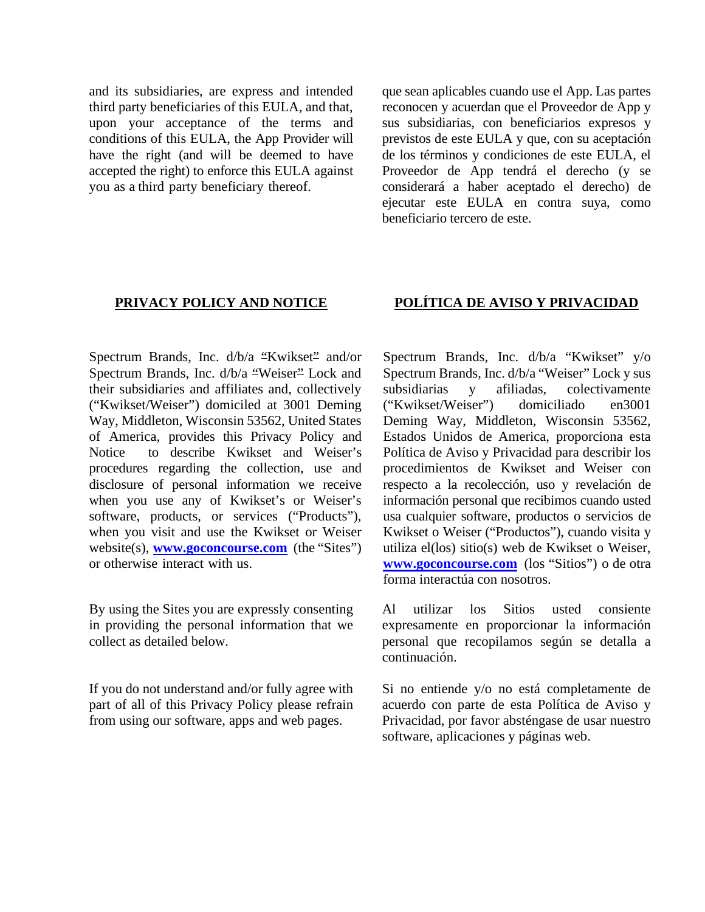and its subsidiaries, are express and intended third party beneficiaries of this EULA, and that, upon your acceptance of the terms and conditions of this EULA, the App Provider will have the right (and will be deemed to have accepted the right) to enforce this EULA against you as a third party beneficiary thereof.

que sean aplicables cuando use el App. Las partes reconocen y acuerdan que el Proveedor de App y sus subsidiarias, con beneficiarios expresos y previstos de este EULA y que, con su aceptación de los términos y condiciones de este EULA, el Proveedor de App tendrá el derecho (y se considerará a haber aceptado el derecho) de ejecutar este EULA en contra suya, como beneficiario tercero de este.

Spectrum Brands, Inc. d/b/a "Kwikset" and/or Spectrum Brands, Inc. d/b/a "Weiser" Lock and their subsidiaries and affiliates and, collectively ("Kwikset/Weiser") domiciled at 3001 Deming Way, Middleton, Wisconsin 53562, United States of America, provides this Privacy Policy and Notice to describe Kwikset and Weiser's procedures regarding the collection, use and disclosure of personal information we receive when you use any of Kwikset's or Weiser's software, products, or services ("Products"), when you visit and use the Kwikset or Weiser website(s), **[www.goconcourse.com](http://www.goconcourse.com/)** (the "Sites") or otherwise interact with us.

By using the Sites you are expressly consenting in providing the personal information that we collect as detailed below.

If you do not understand and/or fully agree with part of all of this Privacy Policy please refrain from using our software, apps and web pages.

## **PRIVACY POLICY AND NOTICE POLÍTICA DE AVISO Y PRIVACIDAD**

Spectrum Brands, Inc. d/b/a "Kwikset" y/o Spectrum Brands, Inc. d/b/a "Weiser" Lock y sus subsidiarias y afiliadas, colectivamente ("Kwikset/Weiser") domiciliado en3001 Deming Way, Middleton, Wisconsin 53562, Estados Unidos de America, proporciona esta Política de Aviso y Privacidad para describir los procedimientos de Kwikset and Weiser con respecto a la recolección, uso y revelación de información personal que recibimos cuando usted usa cualquier software, productos o servicios de Kwikset o Weiser ("Productos"), cuando visita y utiliza el(los) sitio(s) web de Kwikset o Weiser, **[www.goconcourse.com](http://www.goconcourse.com/)** (los "Sitios") o de otra forma interactúa con nosotros.

Al utilizar los Sitios usted consiente expresamente en proporcionar la información personal que recopilamos según se detalla a continuación.

Si no entiende y/o no está completamente de acuerdo con parte de esta Política de Aviso y Privacidad, por favor absténgase de usar nuestro software, aplicaciones y páginas web.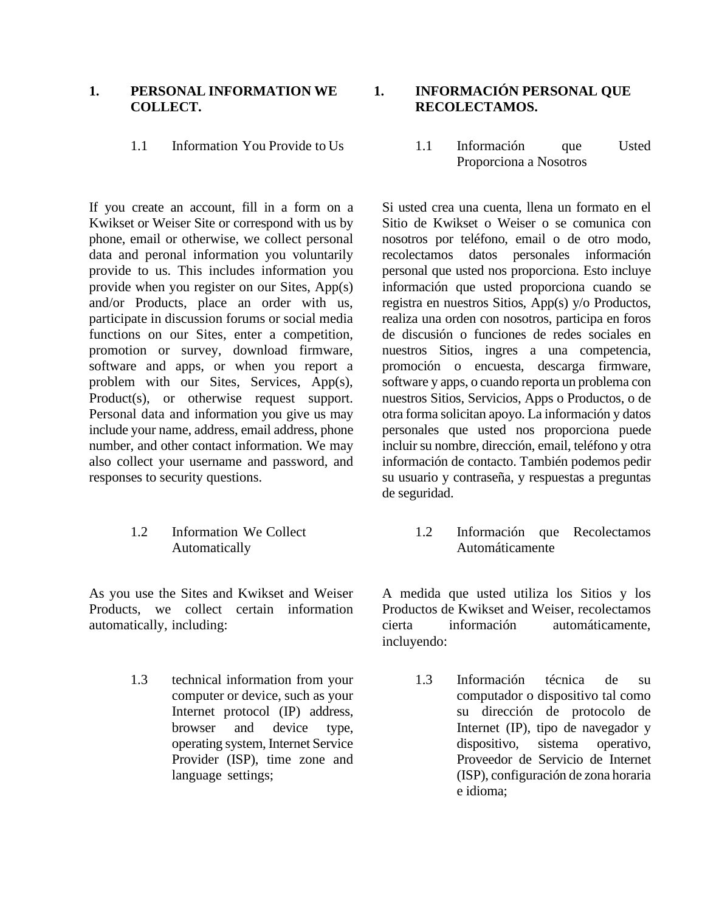#### **1. PERSONAL INFORMATION WE COLLECT.**

If you create an account, fill in a form on a Kwikset or Weiser Site or correspond with us by phone, email or otherwise, we collect personal data and peronal information you voluntarily provide to us. This includes information you provide when you register on our Sites, App(s) and/or Products, place an order with us, participate in discussion forums or social media functions on our Sites, enter a competition, promotion or survey, download firmware, software and apps, or when you report a problem with our Sites, Services, App(s), Product(s), or otherwise request support. Personal data and information you give us may include your name, address, email address, phone number, and other contact information. We may also collect your username and password, and responses to security questions.

### 1.2 Information We Collect Automatically

As you use the Sites and Kwikset and Weiser Products, we collect certain information automatically, including:

> 1.3 technical information from your computer or device, such as your Internet protocol (IP) address, browser and device type, operating system, Internet Service Provider (ISP), time zone and language settings;

**1. INFORMACIÓN PERSONAL QUE RECOLECTAMOS.**

1.1 Information You Provide to Us 1.1 Información que Usted Proporciona a Nosotros

> Si usted crea una cuenta, llena un formato en el Sitio de Kwikset o Weiser o se comunica con nosotros por teléfono, email o de otro modo, recolectamos datos personales información personal que usted nos proporciona. Esto incluye información que usted proporciona cuando se registra en nuestros Sitios, App(s) y/o Productos, realiza una orden con nosotros, participa en foros de discusión o funciones de redes sociales en nuestros Sitios, ingres a una competencia, promoción o encuesta, descarga firmware, software y apps, o cuando reporta un problema con nuestros Sitios, Servicios, Apps o Productos, o de otra forma solicitan apoyo. La información y datos personales que usted nos proporciona puede incluir su nombre, dirección, email, teléfono y otra información de contacto. También podemos pedir su usuario y contraseña, y respuestas a preguntas de seguridad.

> > 1.2 Información que Recolectamos Automáticamente

A medida que usted utiliza los Sitios y los Productos de Kwikset and Weiser, recolectamos cierta información automáticamente, incluyendo:

> 1.3 Información técnica de su computador o dispositivo tal como su dirección de protocolo de Internet (IP), tipo de navegador y dispositivo, sistema operativo, Proveedor de Servicio de Internet (ISP), configuración de zona horaria e idioma;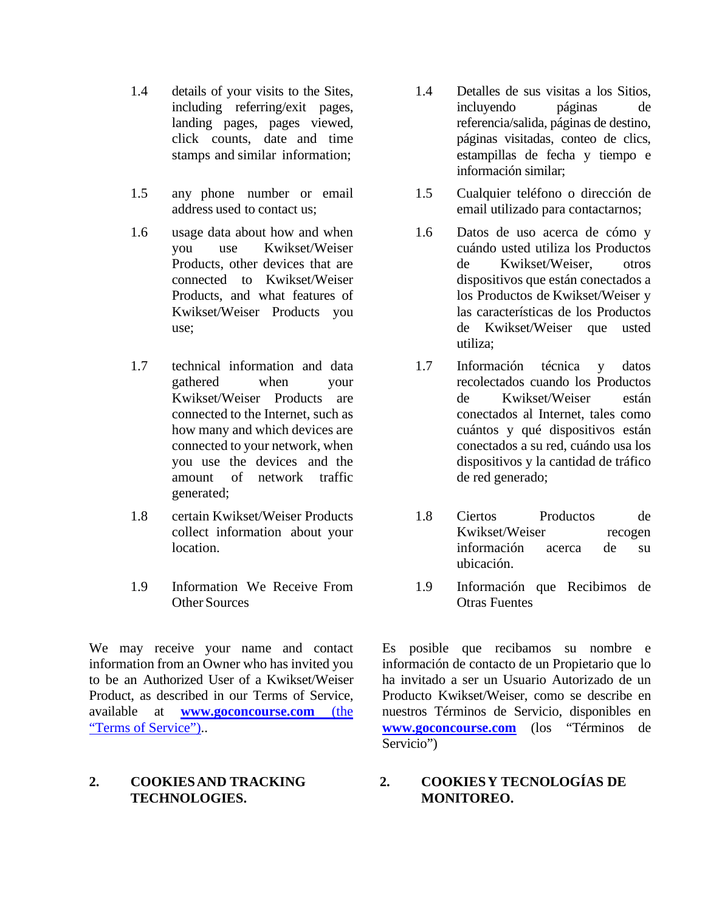- 1.4 details of your visits to the Sites, including referring/exit pages, landing pages, pages viewed, click counts, date and time stamps and similar information;
- 1.5 any phone number or email address used to contact us;
- 1.6 usage data about how and when you use Kwikset/Weiser Products, other devices that are connected to Kwikset/Weiser Products, and what features of Kwikset/Weiser Products you use;
- 1.7 technical information and data gathered when your Kwikset/Weiser Products are connected to the Internet, such as how many and which devices are connected to your network, when you use the devices and the amount of network traffic generated;
- 1.8 certain Kwikset/Weiser Products collect information about your location.
- 1.9 Information We Receive From Other Sources

We may receive your name and contact information from an Owner who has invited you to be an Authorized User of a Kwikset/Weiser Product, as described in our Terms of Service, available at **[www.goconcourse.com](http://www.goconcourse.com/)** (the "Terms of Service")..

## **2. COOKIESAND TRACKING TECHNOLOGIES.**

- 1.4 Detalles de sus visitas a los Sitios, incluyendo páginas de referencia/salida, páginas de destino, páginas visitadas, conteo de clics, estampillas de fecha y tiempo e información similar;
- 1.5 Cualquier teléfono o dirección de email utilizado para contactarnos;
- 1.6 Datos de uso acerca de cómo y cuándo usted utiliza los Productos de Kwikset/Weiser, otros dispositivos que están conectados a los Productos de Kwikset/Weiser y las características de los Productos de Kwikset/Weiser que usted utiliza;
- 1.7 Información técnica y datos recolectados cuando los Productos de Kwikset/Weiser están conectados al Internet, tales como cuántos y qué dispositivos están conectados a su red, cuándo usa los dispositivos y la cantidad de tráfico de red generado;
- 1.8 Ciertos Productos de Kwikset/Weiser recogen información acerca de su ubicación.
- 1.9 Información que Recibimos de Otras Fuentes

Es posible que recibamos su nombre e información de contacto de un Propietario que lo ha invitado a ser un Usuario Autorizado de un Producto Kwikset/Weiser, como se describe en nuestros Términos de Servicio, disponibles en **[www.goconcourse.com](http://www.goconcourse.com/)** (los "Términos de Servicio")

# **2. COOKIESY TECNOLOGÍAS DE MONITOREO.**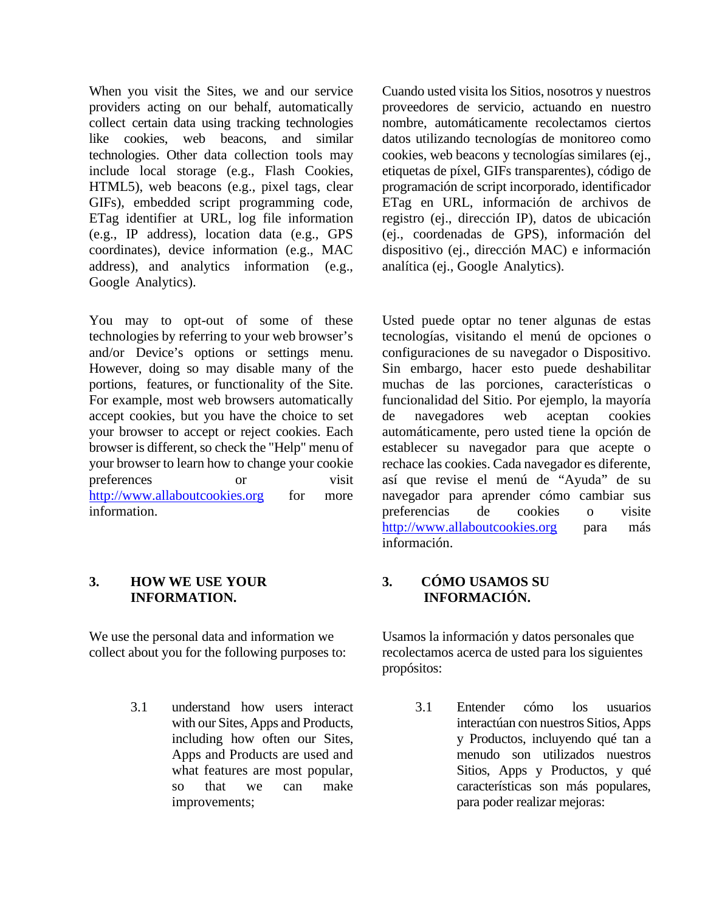When you visit the Sites, we and our service providers acting on our behalf, automatically collect certain data using tracking technologies like cookies, web beacons, and similar technologies. Other data collection tools may include local storage (e.g., Flash Cookies, HTML5), web beacons (e.g., pixel tags, clear GIFs), embedded script programming code, ETag identifier at URL, log file information (e.g., IP address), location data (e.g., GPS coordinates), device information (e.g., MAC address), and analytics information (e.g., Google Analytics).

You may to opt-out of some of these technologies by referring to your web browser's and/or Device's options or settings menu. However, doing so may disable many of the portions, features, or functionality of the Site. For example, most web browsers automatically accept cookies, but you have the choice to set your browser to accept or reject cookies. Each browser is different, so check the "Help" menu of your browser to learn how to change your cookie preferences or visit [http://www.allaboutcookies.org](http://www.allaboutcookies.org/) for more information.

#### **3. HOW WE USE YOUR INFORMATION.**

We use the personal data and information we collect about you for the following purposes to:

> 3.1 understand how users interact with our Sites, Apps and Products, including how often our Sites, Apps and Products are used and what features are most popular, so that we can make improvements;

Cuando usted visita los Sitios, nosotros y nuestros proveedores de servicio, actuando en nuestro nombre, automáticamente recolectamos ciertos datos utilizando tecnologías de monitoreo como cookies, web beacons y tecnologías similares (ej., etiquetas de píxel, GIFs transparentes), código de programación de script incorporado, identificador ETag en URL, información de archivos de registro (ej., dirección IP), datos de ubicación (ej., coordenadas de GPS), información del dispositivo (ej., dirección MAC) e información analítica (ej., Google Analytics).

Usted puede optar no tener algunas de estas tecnologías, visitando el menú de opciones o configuraciones de su navegador o Dispositivo. Sin embargo, hacer esto puede deshabilitar muchas de las porciones, características o funcionalidad del Sitio. Por ejemplo, la mayoría de navegadores web aceptan cookies automáticamente, pero usted tiene la opción de establecer su navegador para que acepte o rechace las cookies. Cada navegador es diferente, así que revise el menú de "Ayuda" de su navegador para aprender cómo cambiar sus preferencias de cookies o visite [http://www.allaboutcookies.org](http://www.allaboutcookies.org/) para más información.

### **3. CÓMO USAMOS SU INFORMACIÓN.**

Usamos la información y datos personales que recolectamos acerca de usted para los siguientes propósitos:

> 3.1 Entender cómo los usuarios interactúan con nuestros Sitios, Apps y Productos, incluyendo qué tan a menudo son utilizados nuestros Sitios, Apps y Productos, y qué características son más populares, para poder realizar mejoras: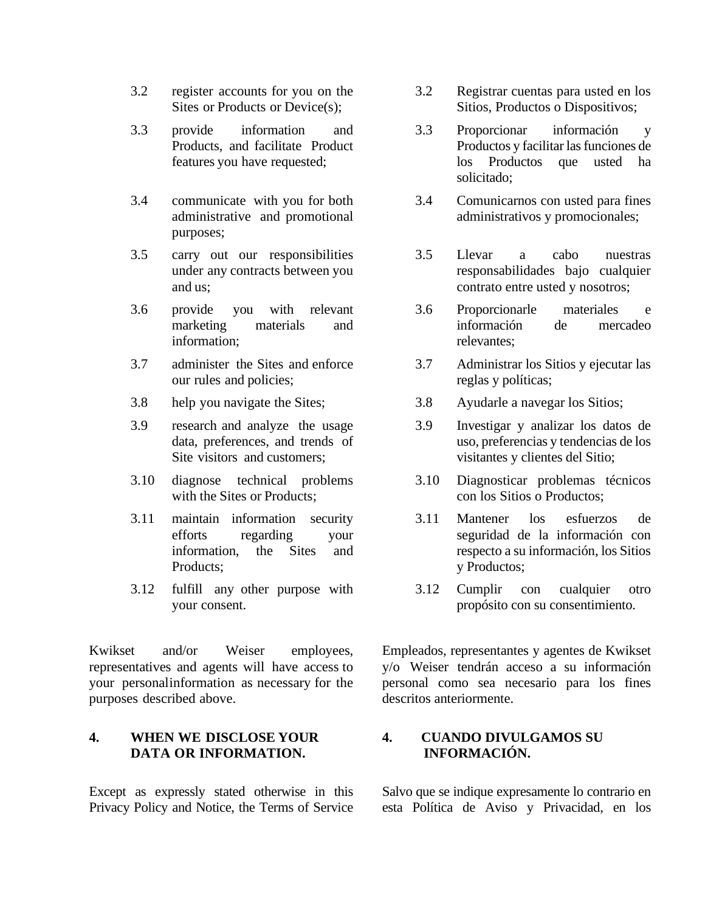- 3.2 register accounts for you on the Sites or Products or Device(s):
- 3.3 provide information and Products, and facilitate Product features you have requested;
- 3.4 communicate with you for both administrative and promotional purposes;
- 3.5 carry out our responsibilities under any contracts between you and us;
- 3.6 provide you with relevant marketing materials and information;
- 3.7 administer the Sites and enforce our rules and policies;
- 3.8 help you navigate the Sites; 3.8 Ayudarle a navegar los Sitios;
- 3.9 research and analyze the usage data, preferences, and trends of Site visitors and customers;
- 3.10 diagnose technical problems with the Sites or Products;
- 3.11 maintain information security efforts regarding your information, the Sites and Products;
- 3.12 fulfill any other purpose with your consent.

Kwikset and/or Weiser employees, representatives and agents will have access to your personalinformation as necessary for the purposes described above.

### **4. WHEN WE DISCLOSE YOUR DATA OR INFORMATION.**

Except as expressly stated otherwise in this Privacy Policy and Notice, the Terms of Service

- 3.2 Registrar cuentas para usted en los Sitios, Productos o Dispositivos;
- 3.3 Proporcionar información y Productos y facilitar las funciones de los Productos que usted ha solicitado;
- 3.4 Comunicarnos con usted para fines administrativos y promocionales;
- 3.5 Llevar a cabo nuestras responsabilidades bajo cualquier contrato entre usted y nosotros;
- 3.6 Proporcionarle materiales e información de mercadeo relevantes;
- 3.7 Administrar los Sitios y ejecutar las reglas y políticas;
- 
- 3.9 Investigar y analizar los datos de uso, preferencias y tendencias de los visitantes y clientes del Sitio;
- 3.10 Diagnosticar problemas técnicos con los Sitios o Productos;
- 3.11 Mantener los esfuerzos de seguridad de la información con respecto a su información, los Sitios y Productos;
- 3.12 Cumplir con cualquier otro propósito con su consentimiento.

Empleados, representantes y agentes de Kwikset y/o Weiser tendrán acceso a su información personal como sea necesario para los fines descritos anteriormente.

# **4. CUANDO DIVULGAMOS SU INFORMACIÓN.**

Salvo que se indique expresamente lo contrario en esta Política de Aviso y Privacidad, en los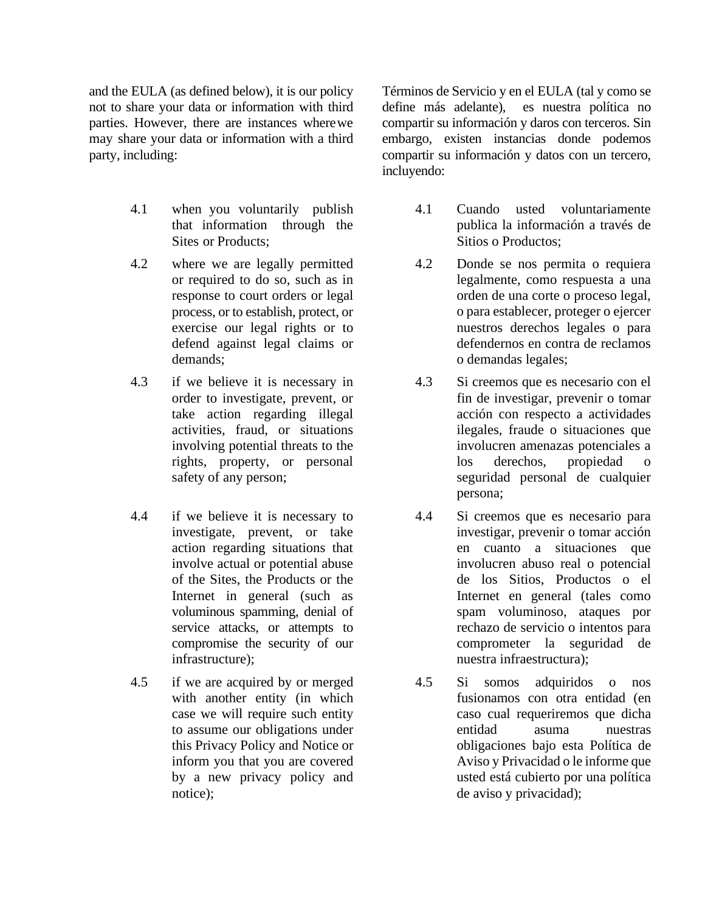and the EULA (as defined below), it is our policy not to share your data or information with third parties. However, there are instances wherewe may share your data or information with a third party, including:

- 4.1 when you voluntarily publish that information through the Sites or Products;
- 4.2 where we are legally permitted or required to do so, such as in response to court orders or legal process, or to establish, protect, or exercise our legal rights or to defend against legal claims or demands;
- 4.3 if we believe it is necessary in order to investigate, prevent, or take action regarding illegal activities, fraud, or situations involving potential threats to the rights, property, or personal safety of any person;
- 4.4 if we believe it is necessary to investigate, prevent, or take action regarding situations that involve actual or potential abuse of the Sites, the Products or the Internet in general (such as voluminous spamming, denial of service attacks, or attempts to compromise the security of our infrastructure);
- 4.5 if we are acquired by or merged with another entity (in which case we will require such entity to assume our obligations under this Privacy Policy and Notice or inform you that you are covered by a new privacy policy and notice);

Términos de Servicio y en el EULA (tal y como se define más adelante), es nuestra política no compartir su información y daros con terceros. Sin embargo, existen instancias donde podemos compartir su información y datos con un tercero, incluyendo:

- 4.1 Cuando usted voluntariamente publica la información a través de Sitios o Productos;
- 4.2 Donde se nos permita o requiera legalmente, como respuesta a una orden de una corte o proceso legal, o para establecer, proteger o ejercer nuestros derechos legales o para defendernos en contra de reclamos o demandas legales;
- 4.3 Si creemos que es necesario con el fin de investigar, prevenir o tomar acción con respecto a actividades ilegales, fraude o situaciones que involucren amenazas potenciales a los derechos, propiedad o seguridad personal de cualquier persona;
- 4.4 Si creemos que es necesario para investigar, prevenir o tomar acción en cuanto a situaciones que involucren abuso real o potencial de los Sitios, Productos o el Internet en general (tales como spam voluminoso, ataques por rechazo de servicio o intentos para comprometer la seguridad de nuestra infraestructura);
- 4.5 Si somos adquiridos o nos fusionamos con otra entidad (en caso cual requeriremos que dicha entidad asuma nuestras obligaciones bajo esta Política de Aviso y Privacidad o le informe que usted está cubierto por una política de aviso y privacidad);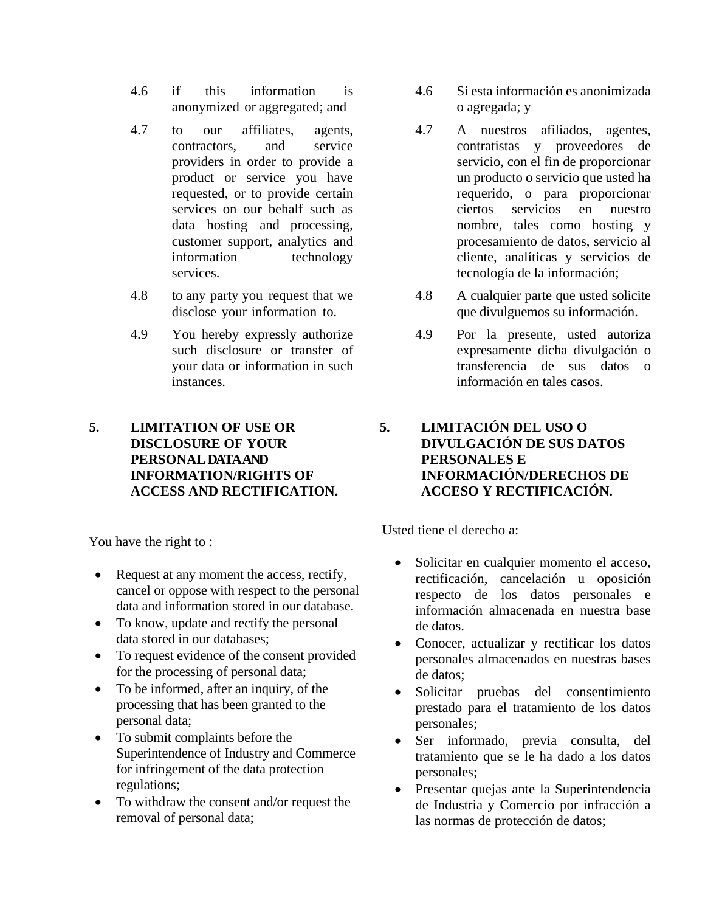- 4.6 if this information is anonymized or aggregated; and
- 4.7 to our affiliates, agents, contractors, and service providers in order to provide a product or service you have requested, or to provide certain services on our behalf such as data hosting and processing, customer support, analytics and information technology services.
- 4.8 to any party you request that we disclose your information to.
- 4.9 You hereby expressly authorize such disclosure or transfer of your data or information in such instances.

# **5. LIMITATION OF USE OR DISCLOSURE OF YOUR PERSONALDATA AND INFORMATION/RIGHTS OF ACCESS AND RECTIFICATION.**

You have the right to :

- Request at any moment the access, rectify, cancel or oppose with respect to the personal data and information stored in our database.
- To know, update and rectify the personal data stored in our databases;
- To request evidence of the consent provided for the processing of personal data;
- To be informed, after an inquiry, of the processing that has been granted to the personal data;
- To submit complaints before the Superintendence of Industry and Commerce for infringement of the data protection regulations;
- To withdraw the consent and/or request the removal of personal data;
- 4.6 Si esta información es anonimizada o agregada; y
- 4.7 A nuestros afiliados, agentes, contratistas y proveedores de servicio, con el fin de proporcionar un producto o servicio que usted ha requerido, o para proporcionar ciertos servicios en nuestro nombre, tales como hosting y procesamiento de datos, servicio al cliente, analíticas y servicios de tecnología de la información;
- 4.8 A cualquier parte que usted solicite que divulguemos su información.
- 4.9 Por la presente, usted autoriza expresamente dicha divulgación o transferencia de sus datos o información en tales casos.

# **5. LIMITACIÓN DEL USO O DIVULGACIÓN DE SUS DATOS PERSONALES E INFORMACIÓN/DERECHOS DE ACCESO Y RECTIFICACIÓN.**

Usted tiene el derecho a:

- Solicitar en cualquier momento el acceso, rectificación, cancelación u oposición respecto de los datos personales e información almacenada en nuestra base de datos.
- Conocer, actualizar y rectificar los datos personales almacenados en nuestras bases de datos;
- Solicitar pruebas del consentimiento prestado para el tratamiento de los datos personales;
- Ser informado, previa consulta, del tratamiento que se le ha dado a los datos personales;
- Presentar quejas ante la Superintendencia de Industria y Comercio por infracción a las normas de protección de datos;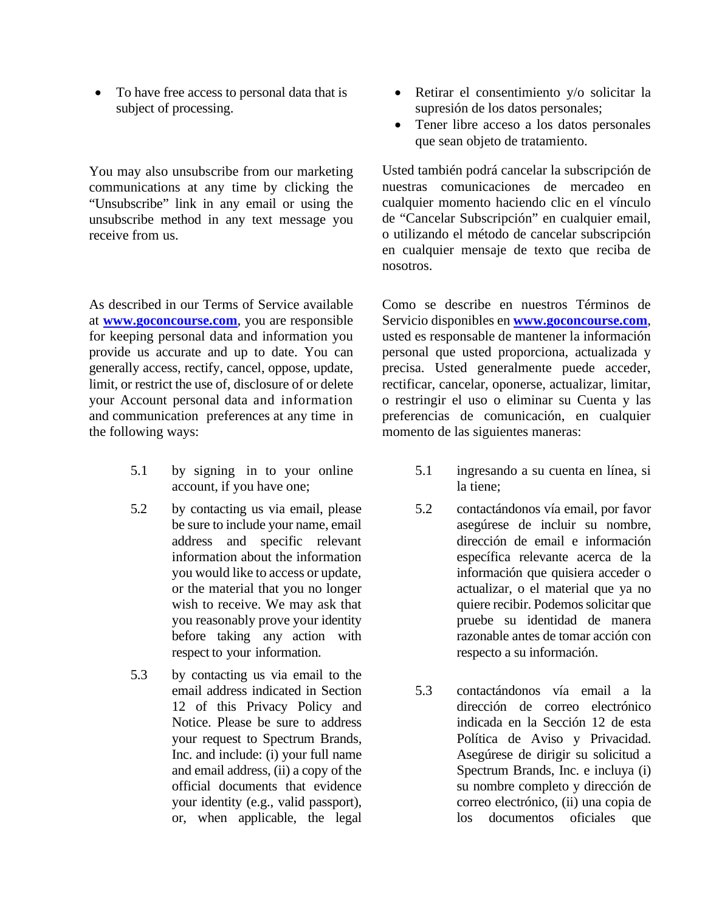• To have free access to personal data that is subject of processing.

You may also unsubscribe from our marketing communications at any time by clicking the "Unsubscribe" link in any email or using the unsubscribe method in any text message you receive from us.

As described in our Terms of Service available at **[www.goconcourse.com](http://www.goconcourse.com/)**, you are responsible for keeping personal data and information you provide us accurate and up to date. You can generally access, rectify, cancel, oppose, update, limit, or restrict the use of, disclosure of or delete your Account personal data and information and communication preferences at any time in the following ways:

- 5.1 by signing in to your online account, if you have one;
- 5.2 by contacting us via email, please be sure to include your name, email address and specific relevant information about the information you would like to access or update, or the material that you no longer wish to receive. We may ask that you reasonably prove your identity before taking any action with respect to your information.
- 5.3 by contacting us via email to the email address indicated in Section 12 of this Privacy Policy and Notice. Please be sure to address your request to Spectrum Brands, Inc. and include: (i) your full name and email address, (ii) a copy of the official documents that evidence your identity (e.g., valid passport), or, when applicable, the legal
- Retirar el consentimiento y/o solicitar la supresión de los datos personales;
- Tener libre acceso a los datos personales que sean objeto de tratamiento.

Usted también podrá cancelar la subscripción de nuestras comunicaciones de mercadeo en cualquier momento haciendo clic en el vínculo de "Cancelar Subscripción" en cualquier email, o utilizando el método de cancelar subscripción en cualquier mensaje de texto que reciba de nosotros.

Como se describe en nuestros Términos de Servicio disponibles en **[www.goconcourse.com](http://www.goconcourse.com/)**, usted es responsable de mantener la información personal que usted proporciona, actualizada y precisa. Usted generalmente puede acceder, rectificar, cancelar, oponerse, actualizar, limitar, o restringir el uso o eliminar su Cuenta y las preferencias de comunicación, en cualquier momento de las siguientes maneras:

- 5.1 ingresando a su cuenta en línea, si la tiene;
- 5.2 contactándonos vía email, por favor asegúrese de incluir su nombre, dirección de email e información específica relevante acerca de la información que quisiera acceder o actualizar, o el material que ya no quiere recibir. Podemos solicitar que pruebe su identidad de manera razonable antes de tomar acción con respecto a su información.
- 5.3 contactándonos vía email a la dirección de correo electrónico indicada en la Sección 12 de esta Política de Aviso y Privacidad. Asegúrese de dirigir su solicitud a Spectrum Brands, Inc. e incluya (i) su nombre completo y dirección de correo electrónico, (ii) una copia de los documentos oficiales que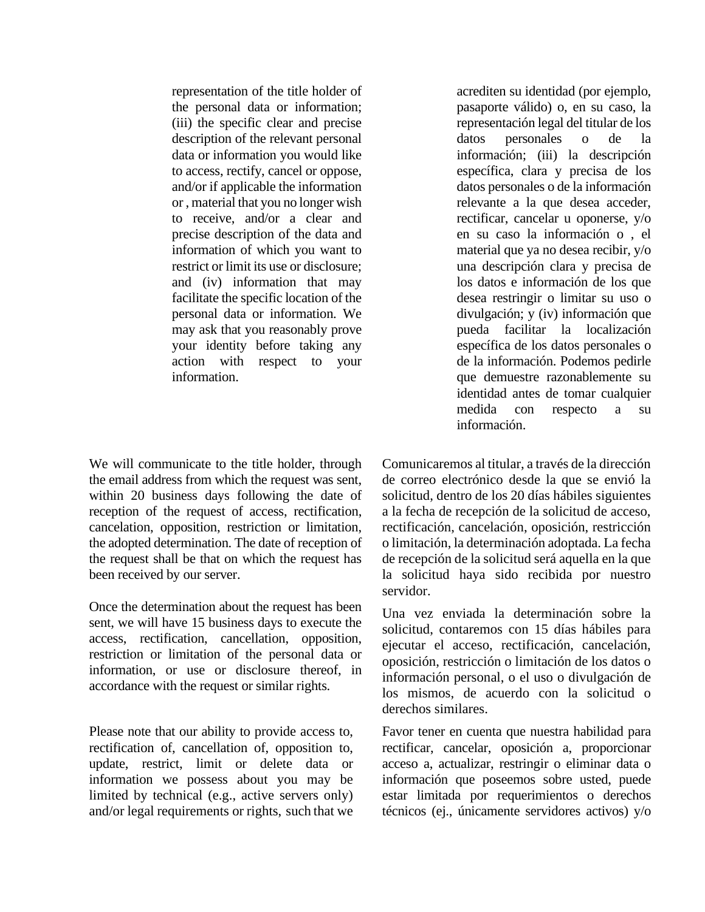representation of the title holder of the personal data or information; (iii) the specific clear and precise description of the relevant personal data or information you would like to access, rectify, cancel or oppose, and/or if applicable the information or , material that you no longer wish to receive, and/or a clear and precise description of the data and information of which you want to restrict or limit its use or disclosure; and (iv) information that may facilitate the specific location of the personal data or information. We may ask that you reasonably prove your identity before taking any action with respect to your information.

We will communicate to the title holder, through the email address from which the request was sent, within 20 business days following the date of reception of the request of access, rectification, cancelation, opposition, restriction or limitation, the adopted determination. The date of reception of the request shall be that on which the request has been received by our server.

Once the determination about the request has been sent, we will have 15 business days to execute the access, rectification, cancellation, opposition, restriction or limitation of the personal data or information, or use or disclosure thereof, in accordance with the request or similar rights.

Please note that our ability to provide access to, rectification of, cancellation of, opposition to, update, restrict, limit or delete data or information we possess about you may be limited by technical (e.g., active servers only) and/or legal requirements or rights, such that we

acrediten su identidad (por ejemplo, pasaporte válido) o, en su caso, la representación legal del titular de los datos personales o de la información; (iii) la descripción específica, clara y precisa de los datos personales o de la información relevante a la que desea acceder, rectificar, cancelar u oponerse, y/o en su caso la información o , el material que ya no desea recibir, y/o una descripción clara y precisa de los datos e información de los que desea restringir o limitar su uso o divulgación; y (iv) información que pueda facilitar la localización específica de los datos personales o de la información. Podemos pedirle que demuestre razonablemente su identidad antes de tomar cualquier medida con respecto a su información.

Comunicaremos al titular, a través de la dirección de correo electrónico desde la que se envió la solicitud, dentro de los 20 días hábiles siguientes a la fecha de recepción de la solicitud de acceso, rectificación, cancelación, oposición, restricción o limitación, la determinación adoptada. La fecha de recepción de la solicitud será aquella en la que la solicitud haya sido recibida por nuestro servidor.

Una vez enviada la determinación sobre la solicitud, contaremos con 15 días hábiles para ejecutar el acceso, rectificación, cancelación, oposición, restricción o limitación de los datos o información personal, o el uso o divulgación de los mismos, de acuerdo con la solicitud o derechos similares.

Favor tener en cuenta que nuestra habilidad para rectificar, cancelar, oposición a, proporcionar acceso a, actualizar, restringir o eliminar data o información que poseemos sobre usted, puede estar limitada por requerimientos o derechos técnicos (ej., únicamente servidores activos) y/o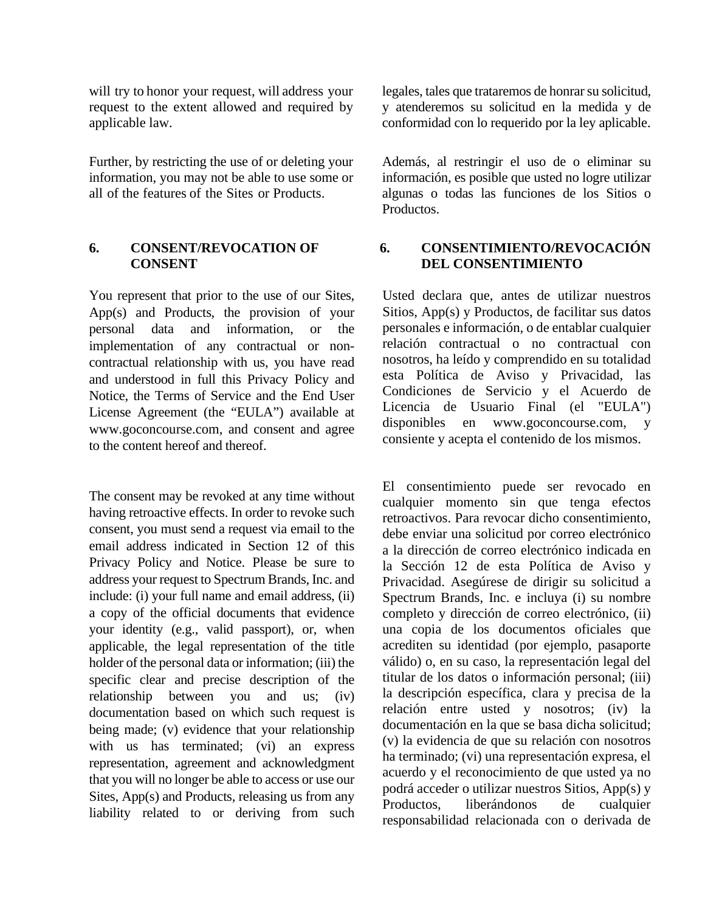will try to honor your request, will address your request to the extent allowed and required by applicable law.

Further, by restricting the use of or deleting your information, you may not be able to use some or all of the features of the Sites or Products.

### **6. CONSENT/REVOCATION OF CONSENT**

You represent that prior to the use of our Sites, App(s) and Products, the provision of your personal data and information, or the implementation of any contractual or noncontractual relationship with us, you have read and understood in full this Privacy Policy and Notice, the Terms of Service and the End User License Agreement (the "EULA") available at [www.goconcourse.com,](http://www.goconcourse.com/) and consent and agree to the content hereof and thereof.

The consent may be revoked at any time without having retroactive effects. In order to revoke such consent, you must send a request via email to the email address indicated in Section 12 of this Privacy Policy and Notice. Please be sure to address your request to Spectrum Brands, Inc. and include: (i) your full name and email address, (ii) a copy of the official documents that evidence your identity (e.g., valid passport), or, when applicable, the legal representation of the title holder of the personal data or information; (iii) the specific clear and precise description of the relationship between you and us; (iv) documentation based on which such request is being made; (v) evidence that your relationship with us has terminated; (vi) an express representation, agreement and acknowledgment that you will no longer be able to access or use our Sites, App(s) and Products, releasing us from any liability related to or deriving from such legales, tales que trataremos de honrar su solicitud, y atenderemos su solicitud en la medida y de conformidad con lo requerido por la ley aplicable.

Además, al restringir el uso de o eliminar su información, es posible que usted no logre utilizar algunas o todas las funciones de los Sitios o Productos.

# **6. CONSENTIMIENTO/REVOCACIÓN DEL CONSENTIMIENTO**

Usted declara que, antes de utilizar nuestros Sitios, App(s) y Productos, de facilitar sus datos personales e información, o de entablar cualquier relación contractual o no contractual con nosotros, ha leído y comprendido en su totalidad esta Política de Aviso y Privacidad, las Condiciones de Servicio y el Acuerdo de Licencia de Usuario Final (el "EULA") disponibles en www.goconcourse.com, y consiente y acepta el contenido de los mismos.

El consentimiento puede ser revocado en cualquier momento sin que tenga efectos retroactivos. Para revocar dicho consentimiento, debe enviar una solicitud por correo electrónico a la dirección de correo electrónico indicada en la Sección 12 de esta Política de Aviso y Privacidad. Asegúrese de dirigir su solicitud a Spectrum Brands, Inc. e incluya (i) su nombre completo y dirección de correo electrónico, (ii) una copia de los documentos oficiales que acrediten su identidad (por ejemplo, pasaporte válido) o, en su caso, la representación legal del titular de los datos o información personal; (iii) la descripción específica, clara y precisa de la relación entre usted y nosotros; (iv) la documentación en la que se basa dicha solicitud; (v) la evidencia de que su relación con nosotros ha terminado; (vi) una representación expresa, el acuerdo y el reconocimiento de que usted ya no podrá acceder o utilizar nuestros Sitios, App(s) y Productos, liberándonos de cualquier responsabilidad relacionada con o derivada de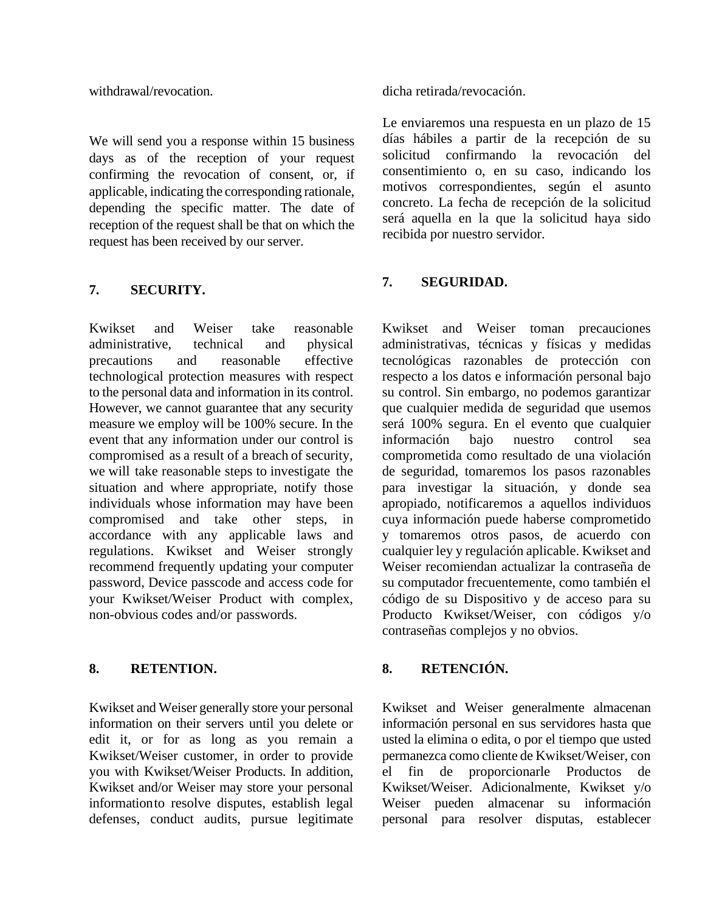withdrawal/revocation.

We will send you a response within 15 business days as of the reception of your request confirming the revocation of consent, or, if applicable, indicating the corresponding rationale, depending the specific matter. The date of reception of the request shall be that on which the request has been received by our server.

## **7. SECURITY.**

Kwikset and Weiser take reasonable administrative, technical and physical precautions and reasonable effective technological protection measures with respect to the personal data and information in its control. However, we cannot guarantee that any security measure we employ will be 100% secure. In the event that any information under our control is compromised as a result of a breach of security, we will take reasonable steps to investigate the situation and where appropriate, notify those individuals whose information may have been compromised and take other steps, in accordance with any applicable laws and regulations. Kwikset and Weiser strongly recommend frequently updating your computer password, Device passcode and access code for your Kwikset/Weiser Product with complex, non-obvious codes and/or passwords.

# **8. RETENTION. 8. RETENCIÓN.**

Kwikset and Weiser generally store your personal information on their servers until you delete or edit it, or for as long as you remain a Kwikset/Weiser customer, in order to provide you with Kwikset/Weiser Products. In addition, Kwikset and/or Weiser may store your personal informationto resolve disputes, establish legal defenses, conduct audits, pursue legitimate dicha retirada/revocación.

Le enviaremos una respuesta en un plazo de 15 días hábiles a partir de la recepción de su solicitud confirmando la revocación del consentimiento o, en su caso, indicando los motivos correspondientes, según el asunto concreto. La fecha de recepción de la solicitud será aquella en la que la solicitud haya sido recibida por nuestro servidor.

## **7. SEGURIDAD.**

Kwikset and Weiser toman precauciones administrativas, técnicas y físicas y medidas tecnológicas razonables de protección con respecto a los datos e información personal bajo su control. Sin embargo, no podemos garantizar que cualquier medida de seguridad que usemos será 100% segura. En el evento que cualquier información bajo nuestro control sea comprometida como resultado de una violación de seguridad, tomaremos los pasos razonables para investigar la situación, y donde sea apropiado, notificaremos a aquellos individuos cuya información puede haberse comprometido y tomaremos otros pasos, de acuerdo con cualquier ley y regulación aplicable. Kwikset and Weiser recomiendan actualizar la contraseña de su computador frecuentemente, como también el código de su Dispositivo y de acceso para su Producto Kwikset/Weiser, con códigos y/o contraseñas complejos y no obvios.

Kwikset and Weiser generalmente almacenan información personal en sus servidores hasta que usted la elimina o edita, o por el tiempo que usted permanezca como cliente de Kwikset/Weiser, con el fin de proporcionarle Productos de Kwikset/Weiser. Adicionalmente, Kwikset y/o Weiser pueden almacenar su información personal para resolver disputas, establecer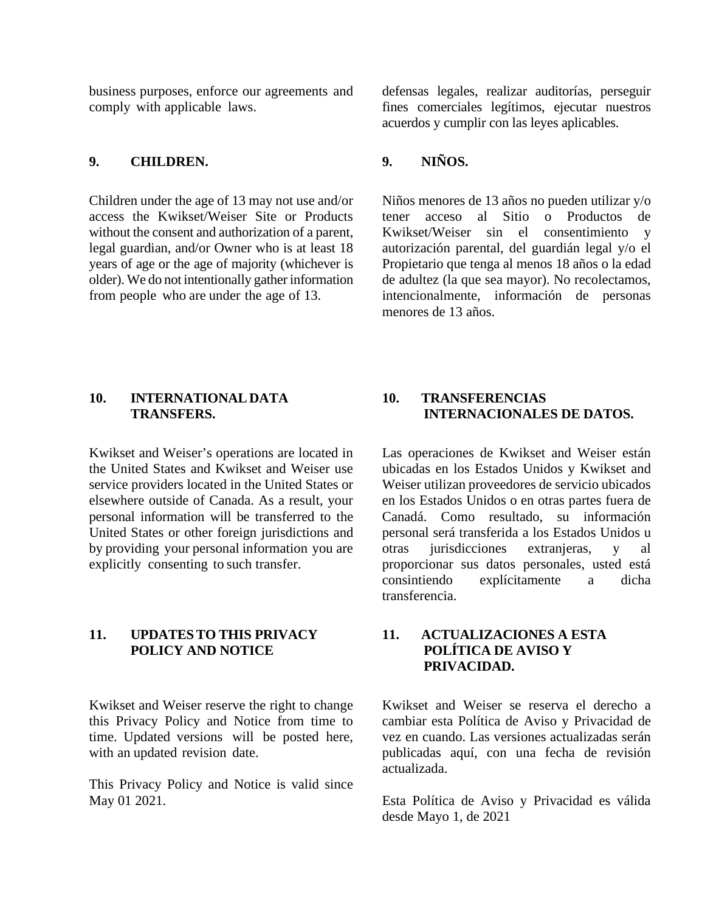business purposes, enforce our agreements and comply with applicable laws.

# **9. CHILDREN. 9. NIÑOS.**

Children under the age of 13 may not use and/or access the Kwikset/Weiser Site or Products without the consent and authorization of a parent, legal guardian, and/or Owner who is at least 18 years of age or the age of majority (whichever is older). We do not intentionally gather information from people who are under the age of 13.

defensas legales, realizar auditorías, perseguir fines comerciales legítimos, ejecutar nuestros acuerdos y cumplir con las leyes aplicables.

Niños menores de 13 años no pueden utilizar y/o tener acceso al Sitio o Productos de Kwikset/Weiser sin el consentimiento y autorización parental, del guardián legal y/o el Propietario que tenga al menos 18 años o la edad de adultez (la que sea mayor). No recolectamos, intencionalmente, información de personas menores de 13 años.

#### **10. INTERNATIONALDATA TRANSFERS.**

Kwikset and Weiser's operations are located in the United States and Kwikset and Weiser use service providers located in the United States or elsewhere outside of Canada. As a result, your personal information will be transferred to the United States or other foreign jurisdictions and by providing your personal information you are explicitly consenting to such transfer.

## **11. UPDATESTO THIS PRIVACY POLICY AND NOTICE**

Kwikset and Weiser reserve the right to change this Privacy Policy and Notice from time to time. Updated versions will be posted here, with an updated revision date.

This Privacy Policy and Notice is valid since May 01 2021.

# **10. TRANSFERENCIAS INTERNACIONALES DE DATOS.**

Las operaciones de Kwikset and Weiser están ubicadas en los Estados Unidos y Kwikset and Weiser utilizan proveedores de servicio ubicados en los Estados Unidos o en otras partes fuera de Canadá. Como resultado, su información personal será transferida a los Estados Unidos u otras jurisdicciones extranjeras, y al proporcionar sus datos personales, usted está consintiendo explícitamente a dicha transferencia.

## **11. ACTUALIZACIONES A ESTA POLÍTICA DE AVISO Y PRIVACIDAD.**

Kwikset and Weiser se reserva el derecho a cambiar esta Política de Aviso y Privacidad de vez en cuando. Las versiones actualizadas serán publicadas aquí, con una fecha de revisión actualizada.

Esta Política de Aviso y Privacidad es válida desde Mayo 1, de 2021